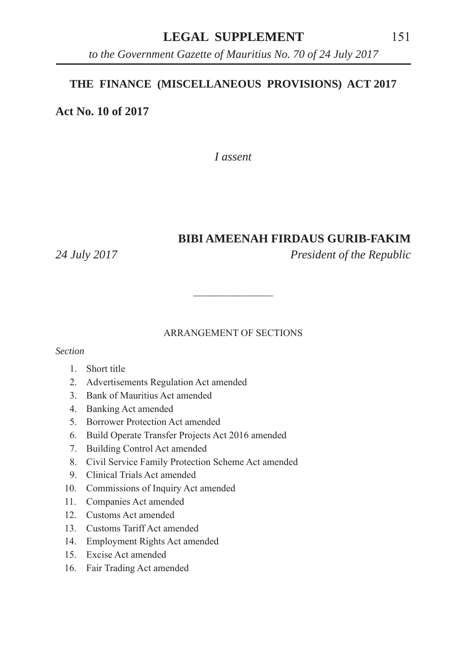## LEGAL SUPPLEMENT 151

*to the Government Gazette of Mauritius No. 70 of 24 July 2017*

#### **THE FINANCE (MISCELLANEOUS PROVISIONS) ACT 2017**

**Act No. 10 of 2017**

*I assent*

#### **BIBI AMEENAH FIRDAUS GURIB-FAKIM**

*24 July 2017 President of the Republic*

#### ARRANGEMENT OF SECTIONS

 $\mathcal{L}_\text{max}$ 

#### *Section*

- 1. Short title
- 2. Advertisements Regulation Act amended
- 3. Bank of Mauritius Act amended
- 4. Banking Act amended
- 5. Borrower Protection Act amended
- 6. Build Operate Transfer Projects Act 2016 amended
- 7. Building Control Act amended
- 8. Civil Service Family Protection Scheme Act amended
- 9. Clinical Trials Act amended
- 10. Commissions of Inquiry Act amended
- 11. Companies Act amended
- 12. Customs Act amended
- 13. Customs Tariff Act amended
- 14. Employment Rights Act amended
- 15. Excise Act amended
- 16. Fair Trading Act amended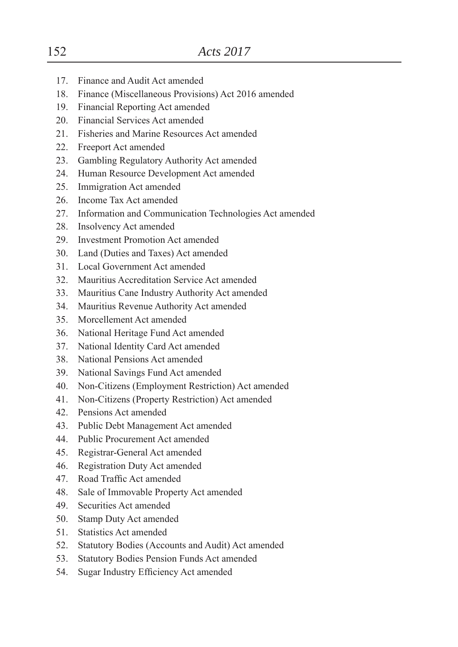- 17. Finance and Audit Act amended
- 18. Finance (Miscellaneous Provisions) Act 2016 amended
- 19. Financial Reporting Act amended
- 20. Financial Services Act amended
- 21. Fisheries and Marine Resources Act amended
- 22. Freeport Act amended
- 23. Gambling Regulatory Authority Act amended
- 24. Human Resource Development Act amended
- 25. Immigration Act amended
- 26. Income Tax Act amended
- 27. Information and Communication Technologies Act amended
- 28. Insolvency Act amended
- 29. Investment Promotion Act amended
- 30. Land (Duties and Taxes) Act amended
- 31. Local Government Act amended
- 32. Mauritius Accreditation Service Act amended
- 33. Mauritius Cane Industry Authority Act amended
- 34. Mauritius Revenue Authority Act amended
- 35. Morcellement Act amended
- 36. National Heritage Fund Act amended
- 37. National Identity Card Act amended
- 38. National Pensions Act amended
- 39. National Savings Fund Act amended
- 40. Non-Citizens (Employment Restriction) Act amended
- 41. Non-Citizens (Property Restriction) Act amended
- 42. Pensions Act amended
- 43. Public Debt Management Act amended
- 44. Public Procurement Act amended
- 45. Registrar-General Act amended
- 46. Registration Duty Act amended
- 47. Road Traffic Act amended
- 48. Sale of Immovable Property Act amended
- 49. Securities Act amended
- 50. Stamp Duty Act amended
- 51. Statistics Act amended
- 52. Statutory Bodies (Accounts and Audit) Act amended
- 53. Statutory Bodies Pension Funds Act amended
- 54. Sugar Industry Efficiency Act amended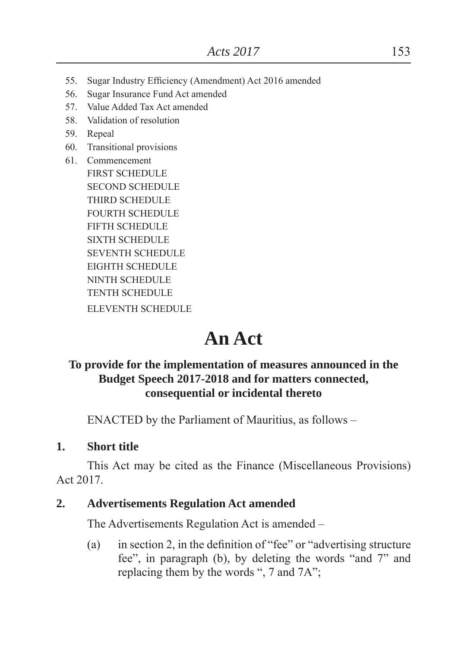- 55. Sugar Industry Efficiency (Amendment) Act 2016 amended
- 56. Sugar Insurance Fund Act amended
- 57. Value Added Tax Act amended
- 58. Validation of resolution
- 59. Repeal
- 60. Transitional provisions
- 61. Commencement FIRST SCHEDULE SECOND SCHEDULE THIRD SCHEDULE FOURTH SCHEDULE FIFTH SCHEDULE SIXTH SCHEDULE SEVENTH SCHEDULE EIGHTH SCHEDULE NINTH SCHEDULE TENTH SCHEDULE ELEVENTH SCHEDULE

# **An Act**

## **To provide for the implementation of measures announced in the Budget Speech 2017-2018 and for matters connected, consequential or incidental thereto**

ENACTED by the Parliament of Mauritius, as follows –

#### **1. Short title**

This Act may be cited as the Finance (Miscellaneous Provisions) Act 2017.

#### **2. Advertisements Regulation Act amended**

The Advertisements Regulation Act is amended –

(a) in section 2, in the definition of "fee" or "advertising structure" fee", in paragraph (b), by deleting the words "and  $7$ " and replacing them by the words ", 7 and  $7A$ ";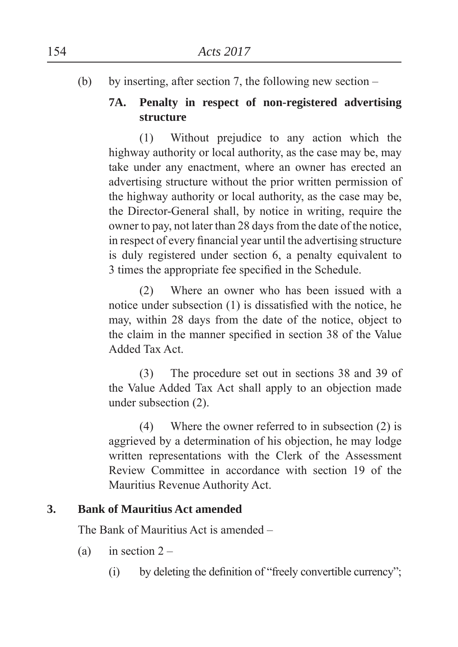(b) by inserting, after section 7, the following new section –

# **7A. Penalty in respect of non-registered advertising structure**

(1) Without prejudice to any action which the highway authority or local authority, as the case may be, may take under any enactment, where an owner has erected an advertising structure without the prior written permission of the highway authority or local authority, as the case may be, the Director-General shall, by notice in writing, require the owner to pay, not later than 28 days from the date of the notice, in respect of every financial year until the advertising structure is duly registered under section 6, a penalty equivalent to 3 times the appropriate fee specified in the Schedule.

(2) Where an owner who has been issued with a notice under subsection  $(1)$  is dissatisfied with the notice, he may, within 28 days from the date of the notice, object to the claim in the manner specified in section 38 of the Value Added Tax Act.

(3) The procedure set out in sections 38 and 39 of the Value Added Tax Act shall apply to an objection made under subsection (2).

(4) Where the owner referred to in subsection (2) is aggrieved by a determination of his objection, he may lodge written representations with the Clerk of the Assessment Review Committee in accordance with section 19 of the Mauritius Revenue Authority Act.

## **3. Bank of Mauritius Act amended**

The Bank of Mauritius Act is amended –

- (a) in section  $2 -$ 
	- $(i)$  by deleting the definition of "freely convertible currency";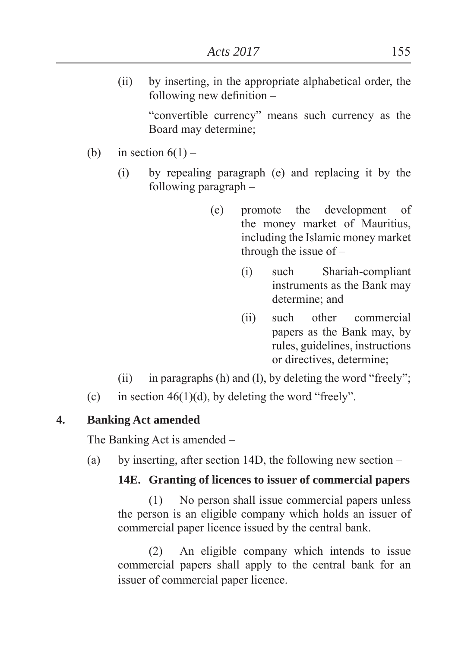(ii) by inserting, in the appropriate alphabetical order, the following new definition  $-$ 

> "convertible currency" means such currency as the Board may determine

- (b) in section  $6(1)$ 
	- (i) by repealing paragraph (e) and replacing it by the following paragraph –
		- (e) promote the development of the money market of Mauritius, including the Islamic money market through the issue of –
			- (i) such Shariah-compliant instruments as the Bank may determine: and
			- (ii) such other commercial papers as the Bank may, by rules, guidelines, instructions or directives, determine
	- (ii) in paragraphs (h) and (l), by deleting the word "freely";
- (c) in section 46(1)(d), by deleting the word "freely".

## **4. Banking Act amended**

The Banking Act is amended –

(a) by inserting, after section 14D, the following new section –

## **14E. Granting of licences to issuer of commercial papers**

(1) No person shall issue commercial papers unless the person is an eligible company which holds an issuer of commercial paper licence issued by the central bank.

(2) An eligible company which intends to issue commercial papers shall apply to the central bank for an issuer of commercial paper licence.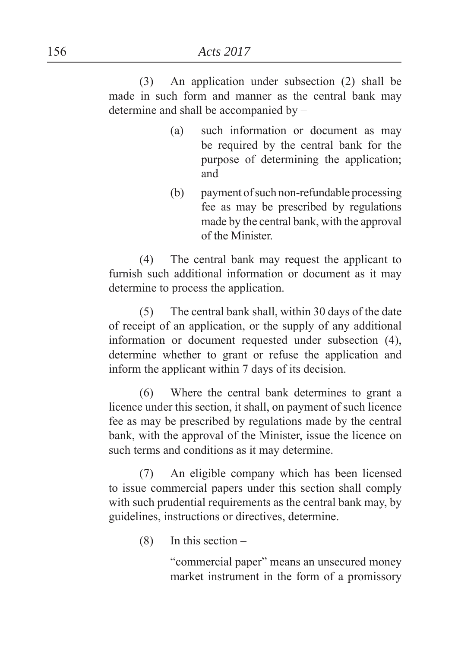(3) An application under subsection (2) shall be made in such form and manner as the central bank may determine and shall be accompanied by –

- (a) such information or document as may be required by the central bank for the purpose of determining the application and
- (b) payment of such non-refundable processing fee as may be prescribed by regulations made by the central bank, with the approval of the Minister.

(4) The central bank may request the applicant to furnish such additional information or document as it may determine to process the application.

(5) The central bank shall, within 30 days of the date of receipt of an application, or the supply of any additional information or document requested under subsection (4), determine whether to grant or refuse the application and inform the applicant within 7 days of its decision.

(6) Where the central bank determines to grant a licence under this section, it shall, on payment of such licence fee as may be prescribed by regulations made by the central bank, with the approval of the Minister, issue the licence on such terms and conditions as it may determine.

(7) An eligible company which has been licensed to issue commercial papers under this section shall comply with such prudential requirements as the central bank may, by guidelines, instructions or directives, determine.

 $(8)$  In this section –

"commercial paper" means an unsecured money market instrument in the form of a promissory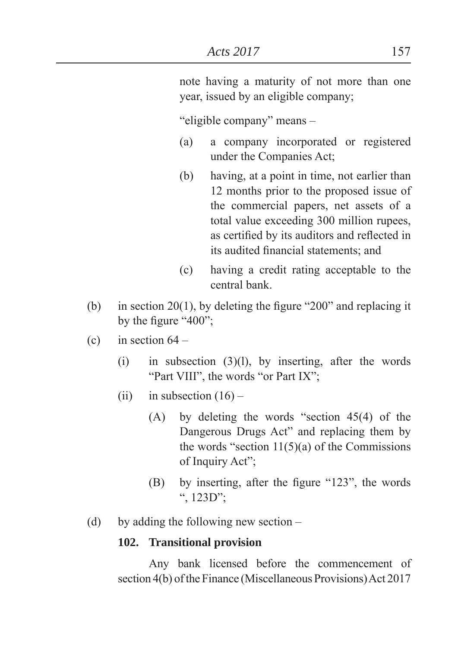note having a maturity of not more than one year, issued by an eligible company

"eligible company" means -

- (a) a company incorporated or registered under the Companies Act
- (b) having, at a point in time, not earlier than 12 months prior to the proposed issue of the commercial papers, net assets of a total value exceeding 300 million rupees, as certified by its auditors and reflected in its audited financial statements; and
- (c) having a credit rating acceptable to the central bank.
- (b) in section 20(1), by deleting the figure "200" and replacing it by the figure  $400$ <sup>"</sup>.
- (c) in section  $64 -$ 
	- $(i)$  in subsection  $(3)(1)$ , by inserting, after the words "Part VIII", the words "or Part IX";
	- (ii) in subsection  $(16)$ 
		- $(A)$  by deleting the words "section 45(4) of the Dangerous Drugs Act" and replacing them by the words "section  $11(5)(a)$  of the Commissions of Inquiry Act";
		- $(B)$  by inserting, after the figure "123", the words  $\cdot$ , 123D $\cdot$ .
- (d) by adding the following new section –

#### **102. Transitional provision**

Any bank licensed before the commencement of section 4(b) of the Finance (Miscellaneous Provisions) Act 2017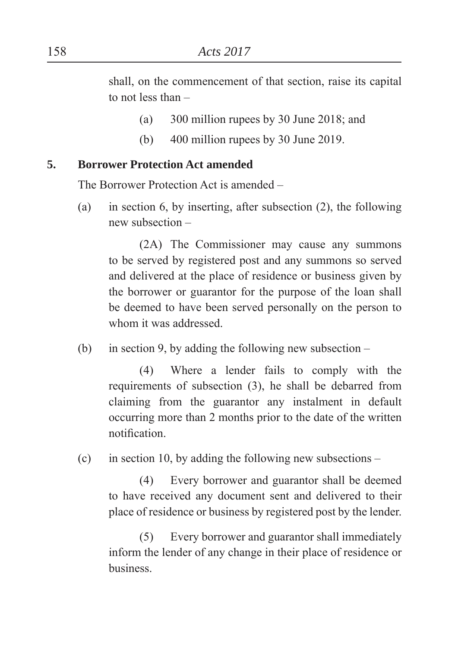shall, on the commencement of that section, raise its capital to not less than –

- (a)  $300$  million rupees by 30 June 2018; and
- (b) 400 million rupees by 30 June 2019.

#### **5. Borrower Protection Act amended**

The Borrower Protection Act is amended –

(a) in section 6, by inserting, after subsection (2), the following new subsection –

(2A) The Commissioner may cause any summons to be served by registered post and any summons so served and delivered at the place of residence or business given by the borrower or guarantor for the purpose of the loan shall be deemed to have been served personally on the person to whom it was addressed.

(b) in section 9, by adding the following new subsection –

(4) Where a lender fails to comply with the requirements of subsection (3), he shall be debarred from claiming from the guarantor any instalment in default occurring more than 2 months prior to the date of the written notification

(c) in section 10, by adding the following new subsections  $-$ 

(4) Every borrower and guarantor shall be deemed to have received any document sent and delivered to their place of residence or business by registered post by the lender.

(5) Every borrower and guarantor shall immediately inform the lender of any change in their place of residence or business.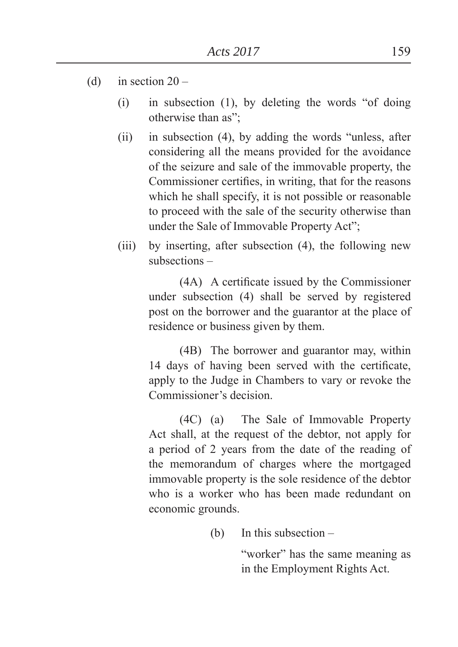- (d) in section  $20 -$ 
	- $(i)$  in subsection  $(1)$ , by deleting the words "of doing otherwise than as":
	- $(ii)$  in subsection (4), by adding the words "unless, after considering all the means provided for the avoidance of the seizure and sale of the immovable property, the Commissioner certifies, in writing, that for the reasons which he shall specify, it is not possible or reasonable to proceed with the sale of the security otherwise than under the Sale of Immovable Property Act";
	- (iii) by inserting, after subsection (4), the following new subsections –

(4A) A certificate issued by the Commissioner under subsection (4) shall be served by registered post on the borrower and the guarantor at the place of residence or business given by them.

(4B) The borrower and guarantor may, within 14 days of having been served with the certificate, apply to the Judge in Chambers to vary or revoke the Commissioner's decision.

(4C) (a) The Sale of Immovable Property Act shall, at the request of the debtor, not apply for a period of 2 years from the date of the reading of the memorandum of charges where the mortgaged immovable property is the sole residence of the debtor who is a worker who has been made redundant on economic grounds.

(b) In this subsection –

"worker" has the same meaning as in the Employment Rights Act.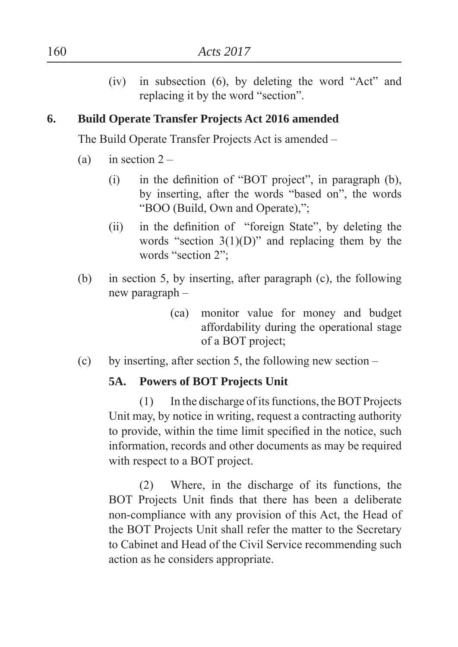$(iv)$  in subsection  $(6)$ , by deleting the word "Act" and replacing it by the word "section".

## **6. Build Operate Transfer Projects Act 2016 amended**

The Build Operate Transfer Projects Act is amended –

- (a) in section  $2 -$ 
	- (i) in the definition of "BOT project", in paragraph  $(b)$ , by inserting, after the words "based on", the words "BOO (Build, Own and Operate),";
	- $(ii)$  in the definition of "foreign State", by deleting the words "section  $3(1)(D)$ " and replacing them by the words "section 2";
- (b) in section 5, by inserting, after paragraph (c), the following new paragraph –
	- (ca) monitor value for money and budget affordability during the operational stage of a BOT project
- (c) by inserting, after section 5, the following new section –

## **5A. Powers of BOT Projects Unit**

(1) In the discharge of its functions, the BOT Projects Unit may, by notice in writing, request a contracting authority to provide, within the time limit specified in the notice, such information, records and other documents as may be required with respect to a BOT project.

(2) Where, in the discharge of its functions, the BOT Projects Unit finds that there has been a deliberate non-compliance with any provision of this Act, the Head of the BOT Projects Unit shall refer the matter to the Secretary to Cabinet and Head of the Civil Service recommending such action as he considers appropriate.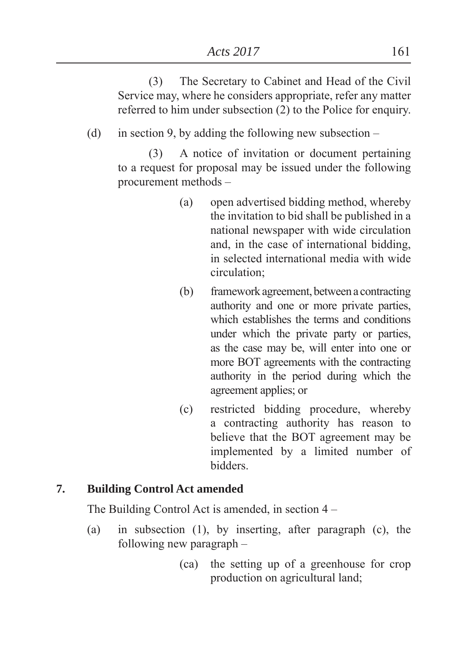(3) The Secretary to Cabinet and Head of the Civil Service may, where he considers appropriate, refer any matter referred to him under subsection (2) to the Police for enquiry.

(d) in section 9, by adding the following new subsection –

(3) A notice of invitation or document pertaining to a request for proposal may be issued under the following procurement methods –

- (a) open advertised bidding method, whereby the invitation to bid shall be published in a national newspaper with wide circulation and, in the case of international bidding, in selected international media with wide circulation
- (b) framework agreement, between a contracting authority and one or more private parties, which establishes the terms and conditions under which the private party or parties, as the case may be, will enter into one or more BOT agreements with the contracting authority in the period during which the agreement applies; or
- (c) restricted bidding procedure, whereby a contracting authority has reason to believe that the BOT agreement may be implemented by a limited number of bidders.

## **7. Building Control Act amended**

The Building Control Act is amended, in section 4 –

- (a) in subsection (1), by inserting, after paragraph (c), the following new paragraph –
	- (ca) the setting up of a greenhouse for crop production on agricultural land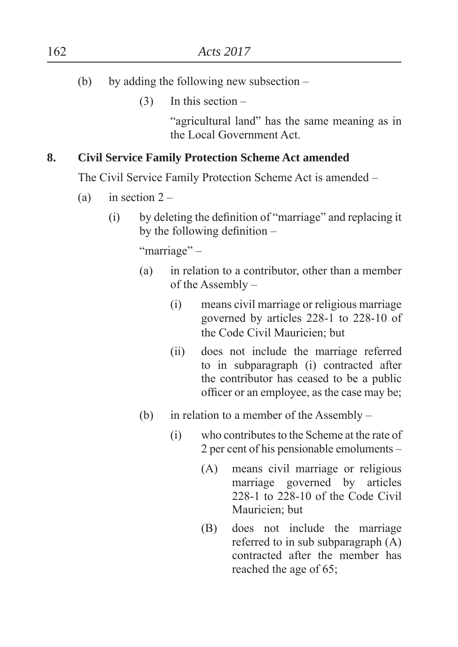- (b) by adding the following new subsection
	- $(3)$  In this section –

"agricultural land" has the same meaning as in the Local Government Act.

## **8. Civil Service Family Protection Scheme Act amended**

The Civil Service Family Protection Scheme Act is amended –

- (a) in section  $2 -$ 
	- $(i)$  by deleting the definition of "marriage" and replacing it by the following definition  $-$

"marriage" –

- (a) in relation to a contributor, other than a member of the Assembly –
	- (i) means civil marriage or religious marriage governed by articles 228-1 to 228-10 of the Code Civil Mauricien: but
	- (ii) does not include the marriage referred to in subparagraph (i) contracted after the contributor has ceased to be a public officer or an employee, as the case may be;
- (b) in relation to a member of the Assembly
	- (i) who contributes to the Scheme at the rate of 2 per cent of his pensionable emoluments –
		- (A) means civil marriage or religious marriage governed by articles 228-1 to 228-10 of the Code Civil Mauricien: but
		- (B) does not include the marriage referred to in sub subparagraph (A) contracted after the member has reached the age of 65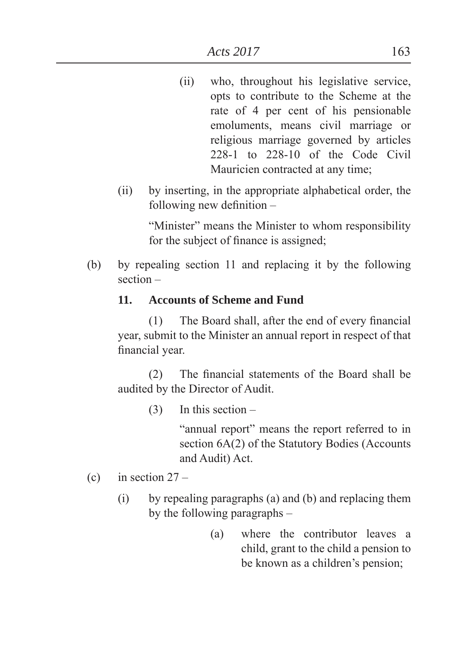- (ii) who, throughout his legislative service, opts to contribute to the Scheme at the rate of 4 per cent of his pensionable emoluments, means civil marriage or religious marriage governed by articles 228-1 to 228-10 of the Code Civil Mauricien contracted at any time;
- (ii) by inserting, in the appropriate alphabetical order, the following new definition  $-$

"Minister" means the Minister to whom responsibility for the subject of finance is assigned;

(b) by repealing section 11 and replacing it by the following section –

## **11. Accounts of Scheme and Fund**

 $(1)$  The Board shall, after the end of every financial year, submit to the Minister an annual report in respect of that financial year.

 $(2)$  The financial statements of the Board shall be audited by the Director of Audit.

(3) In this section –

"annual report" means the report referred to in section 6A(2) of the Statutory Bodies (Accounts and Audit) Act.

- (c) in section  $27 -$ 
	- (i) by repealing paragraphs (a) and (b) and replacing them by the following paragraphs –
		- (a) where the contributor leaves a child, grant to the child a pension to be known as a children's pension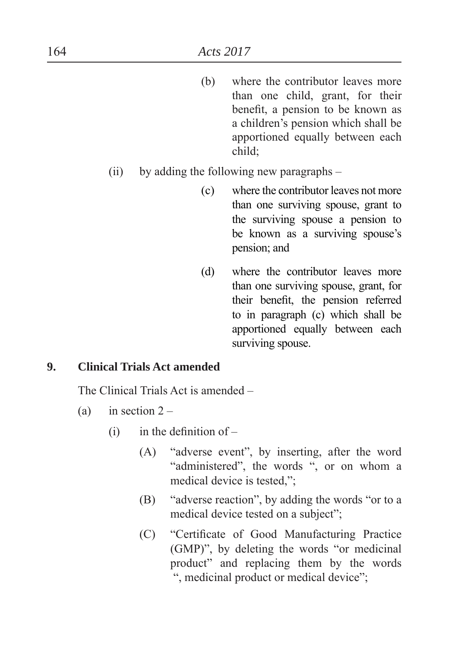(b) where the contributor leaves more than one child, grant, for their benefit, a pension to be known as a children's pension which shall be apportioned equally between each child

## (ii) by adding the following new paragraphs –

- (c) where the contributor leaves not more than one surviving spouse, grant to the surviving spouse a pension to be known as a surviving spouse's pension; and
- (d) where the contributor leaves more than one surviving spouse, grant, for their benefit, the pension referred to in paragraph (c) which shall be apportioned equally between each surviving spouse.

#### **9. Clinical Trials Act amended**

The Clinical Trials Act is amended –

- (a) in section  $2 -$ 
	- $(i)$  in the definition of
		- (A) "adverse event", by inserting, after the word "administered", the words ", or on whom a medical device is tested,":
		- $(B)$  "adverse reaction", by adding the words "or to a medical device tested on a subject":
		- (C) "Certificate of Good Manufacturing Practice  $(GMP)$ <sup>"</sup>, by deleting the words "or medicinal" product" and replacing them by the words ", medicinal product or medical device";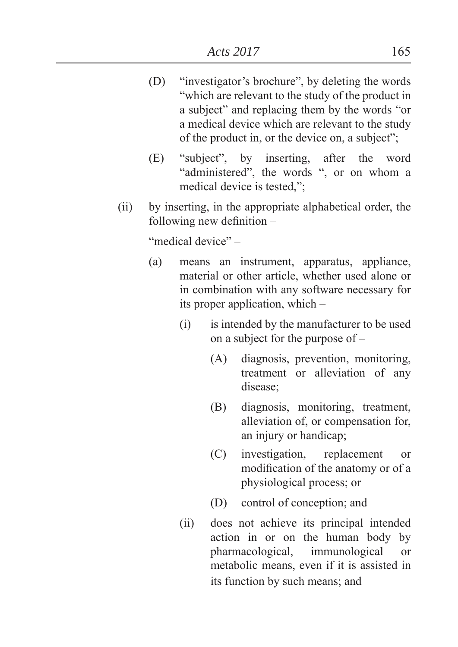- (D) "investigator's brochure", by deleting the words "which are relevant to the study of the product in a subject" and replacing them by the words "or a medical device which are relevant to the study of the product in, or the device on, a subject";
- (E) "subject", by inserting, after the word "administered", the words ", or on whom a medical device is tested,";
- (ii) by inserting, in the appropriate alphabetical order, the following new definition  $-$

"medical device" –

- (a) means an instrument, apparatus, appliance, material or other article, whether used alone or in combination with any software necessary for its proper application, which –
	- (i) is intended by the manufacturer to be used on a subject for the purpose of –
		- (A) diagnosis, prevention, monitoring, treatment or alleviation of any disease:
		- (B) diagnosis, monitoring, treatment, alleviation of, or compensation for, an injury or handicap
		- (C) investigation, replacement or modification of the anatomy or of a physiological process; or
		- (D) control of conception; and
	- (ii) does not achieve its principal intended action in or on the human body by pharmacological, immunological or metabolic means, even if it is assisted in its function by such means; and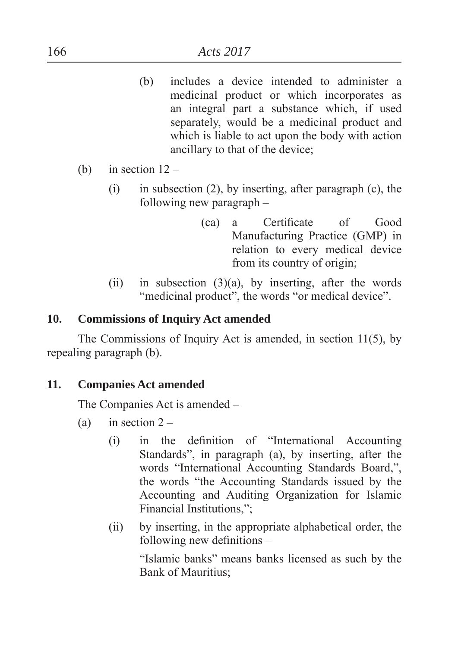- (b) includes a device intended to administer a medicinal product or which incorporates as an integral part a substance which, if used separately, would be a medicinal product and which is liable to act upon the body with action ancillary to that of the device
- (b) in section  $12 -$ 
	- (i) in subsection (2), by inserting, after paragraph (c), the following new paragraph –
		- (ca) a Certificate of Good Manufacturing Practice (GMP) in relation to every medical device from its country of origin
	- (ii) in subsection  $(3)(a)$ , by inserting, after the words "medicinal product", the words "or medical device".

#### **10. Commissions of Inquiry Act amended**

The Commissions of Inquiry Act is amended, in section 11(5), by repealing paragraph (b).

## **11. Companies Act amended**

The Companies Act is amended –

- (a) in section  $2 -$ 
	- $(i)$  in the definition of "International Accounting" Standards", in paragraph (a), by inserting, after the words "International Accounting Standards Board,", the words "the Accounting Standards issued by the Accounting and Auditing Organization for Islamic Financial Institutions,";
	- (ii) by inserting, in the appropriate alphabetical order, the following new definitions  $-$

"Islamic banks" means banks licensed as such by the Bank of Mauritius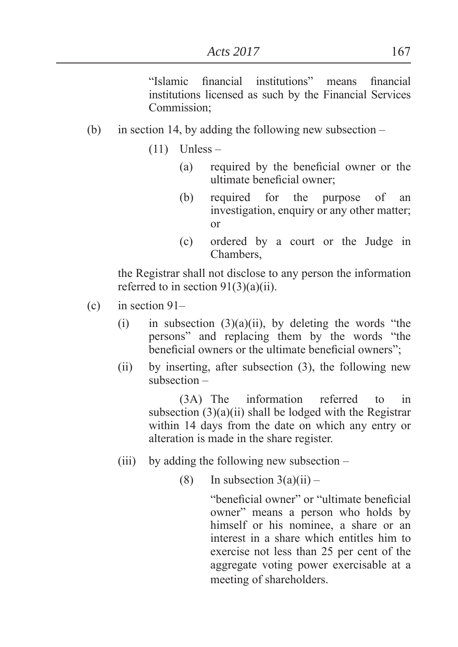"Islamic financial institutions" means financial institutions licensed as such by the Financial Services Commission;

- (b) in section 14, by adding the following new subsection
	- $(11)$  Unless
		- $(a)$  required by the beneficial owner or the ultimate beneficial owner:
		- (b) required for the purpose of an investigation, enquiry or any other matter; or
		- (c) ordered by a court or the Judge in Chambers,

 the Registrar shall not disclose to any person the information referred to in section  $91(3)(a)(ii)$ .

- (c) in section 91–
	- (i) in subsection  $(3)(a)(ii)$ , by deleting the words "the persons" and replacing them by the words "the beneficial owners or the ultimate beneficial owners":
	- (ii) by inserting, after subsection (3), the following new subsection –

(3A) The information referred to in subsection (3)(a)(ii) shall be lodged with the Registrar within 14 days from the date on which any entry or alteration is made in the share register.

- (iii) by adding the following new subsection  $-$ 
	- (8) In subsection  $3(a)(ii)$  –

"beneficial owner" or "ultimate beneficial owner" means a person who holds by himself or his nominee, a share or an interest in a share which entitles him to exercise not less than 25 per cent of the aggregate voting power exercisable at a meeting of shareholders.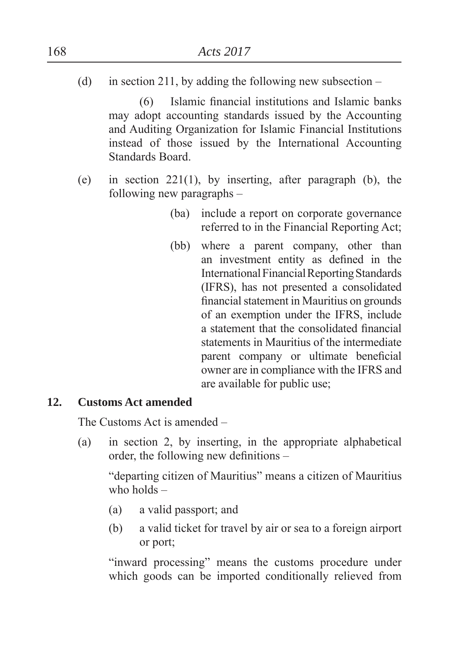(d) in section 211, by adding the following new subsection –

 $(6)$  Islamic financial institutions and Islamic banks may adopt accounting standards issued by the Accounting and Auditing Organization for Islamic Financial Institutions instead of those issued by the International Accounting Standards Board.

- (e) in section 221(1), by inserting, after paragraph (b), the following new paragraphs –
	- (ba) include a report on corporate governance referred to in the Financial Reporting Act
	- (bb) where a parent company, other than an investment entity as defined in the International Financial Reporting Standards (IFRS), has not presented a consolidated financial statement in Mauritius on grounds of an exemption under the IFRS, include a statement that the consolidated financial statements in Mauritius of the intermediate parent company or ultimate beneficial owner are in compliance with the IFRS and are available for public use

#### **12. Customs Act amended**

The Customs Act is amended –

(a) in section 2, by inserting, in the appropriate alphabetical order, the following new definitions  $-$ 

"departing citizen of Mauritius" means a citizen of Mauritius who holds –

- $(a)$  a valid passport; and
- (b) a valid ticket for travel by air or sea to a foreign airport or port

"inward processing" means the customs procedure under which goods can be imported conditionally relieved from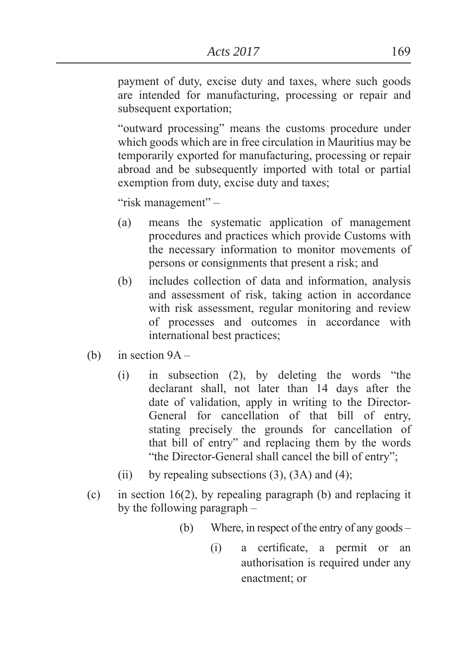payment of duty, excise duty and taxes, where such goods are intended for manufacturing, processing or repair and subsequent exportation;

"outward processing" means the customs procedure under which goods which are in free circulation in Mauritius may be temporarily exported for manufacturing, processing or repair abroad and be subsequently imported with total or partial exemption from duty, excise duty and taxes;

"risk management" –

- (a) means the systematic application of management procedures and practices which provide Customs with the necessary information to monitor movements of persons or consignments that present a risk; and
- (b) includes collection of data and information, analysis and assessment of risk, taking action in accordance with risk assessment, regular monitoring and review of processes and outcomes in accordance with international best practices
- (b) in section  $9A -$ 
	- $(i)$  in subsection  $(2)$ , by deleting the words "the declarant shall, not later than 14 days after the date of validation, apply in writing to the Director-General for cancellation of that bill of entry, stating precisely the grounds for cancellation of that bill of entry´ and replacing them by the words "the Director-General shall cancel the bill of entry";
	- (ii) by repealing subsections  $(3)$ ,  $(3A)$  and  $(4)$ ;
- (c) in section 16(2), by repealing paragraph (b) and replacing it by the following paragraph –
	- (b) Where, in respect of the entry of any goods
		- (i) a certificate, a permit or an authorisation is required under any enactment; or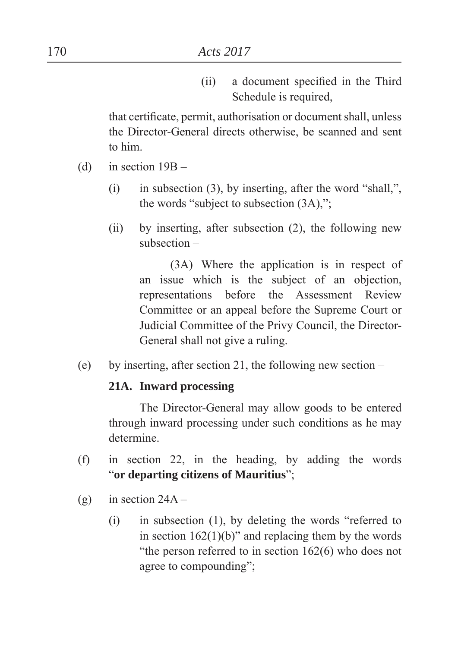(ii) a document specified in the Third Schedule is required,

that certificate, permit, authorisation or document shall, unless the Director-General directs otherwise, be scanned and sent to him.

- (d) in section 19B
	- (i) in subsection (3), by inserting, after the word "shall,", the words "subject to subsection  $(3A)$ ,";
	- (ii) by inserting, after subsection (2), the following new subsection –

(3A) Where the application is in respect of an issue which is the subject of an objection, representations before the Assessment Review Committee or an appeal before the Supreme Court or Judicial Committee of the Privy Council, the Director-General shall not give a ruling.

(e) by inserting, after section 21, the following new section  $-$ 

#### **21A. Inward processing**

 The Director-General may allow goods to be entered through inward processing under such conditions as he may determine.

- (f) in section 22, in the heading, by adding the words ³**or departing citizens of Mauritius**´
- (g) in section  $24A -$ 
	- $(i)$  in subsection  $(1)$ , by deleting the words "referred to in section  $162(1)(b)$ <sup>"</sup> and replacing them by the words "the person referred to in section  $162(6)$  who does not agree to compounding";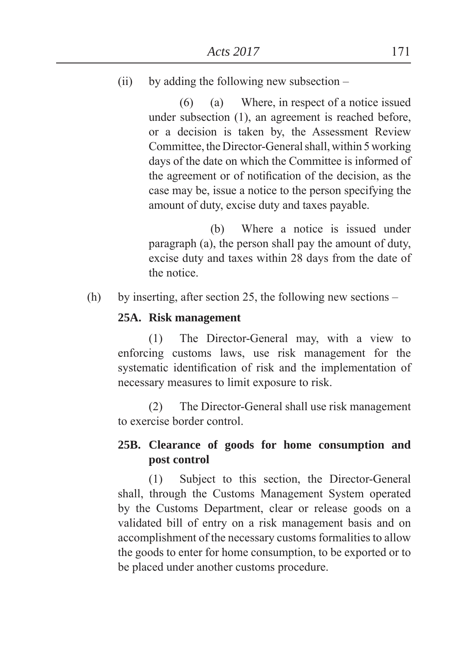(ii) by adding the following new subsection  $-$ 

(6) (a) Where, in respect of a notice issued under subsection (1), an agreement is reached before, or a decision is taken by, the Assessment Review Committee, the Director-General shall, within 5 working days of the date on which the Committee is informed of the agreement or of notification of the decision, as the case may be, issue a notice to the person specifying the amount of duty, excise duty and taxes payable.

 (b) Where a notice is issued under paragraph (a), the person shall pay the amount of duty, excise duty and taxes within 28 days from the date of the notice.

(h) by inserting, after section 25, the following new sections –

#### **25A. Risk management**

(1) The Director-General may, with a view to enforcing customs laws, use risk management for the systematic identification of risk and the implementation of necessary measures to limit exposure to risk.

(2) The Director-General shall use risk management to exercise border control.

## **25B. Clearance of goods for home consumption and post control**

(1) Subject to this section, the Director-General shall, through the Customs Management System operated by the Customs Department, clear or release goods on a validated bill of entry on a risk management basis and on accomplishment of the necessary customs formalities to allow the goods to enter for home consumption, to be exported or to be placed under another customs procedure.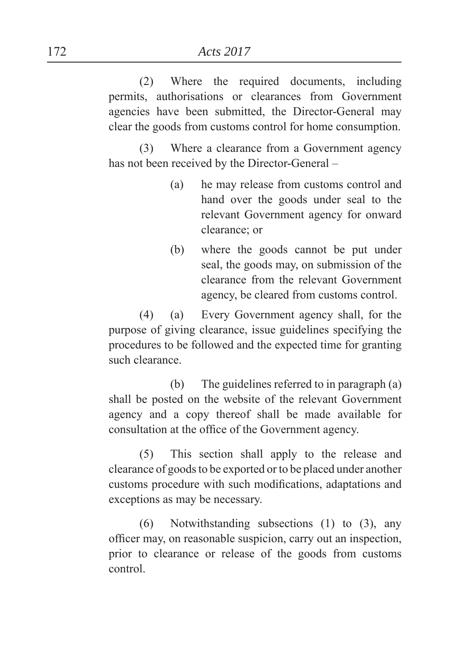(2) Where the required documents, including permits, authorisations or clearances from Government agencies have been submitted, the Director-General may clear the goods from customs control for home consumption.

(3) Where a clearance from a Government agency has not been received by the Director-General –

- (a) he may release from customs control and hand over the goods under seal to the relevant Government agency for onward clearance: or
- (b) where the goods cannot be put under seal, the goods may, on submission of the clearance from the relevant Government agency, be cleared from customs control.

(4) (a) Every Government agency shall, for the purpose of giving clearance, issue guidelines specifying the procedures to be followed and the expected time for granting such clearance.

 (b) The guidelines referred to in paragraph (a) shall be posted on the website of the relevant Government agency and a copy thereof shall be made available for consultation at the office of the Government agency.

(5) This section shall apply to the release and clearance of goods to be exported or to be placed under another customs procedure with such modifications, adaptations and exceptions as may be necessary.

(6) Notwithstanding subsections (1) to (3), any officer may, on reasonable suspicion, carry out an inspection, prior to clearance or release of the goods from customs control.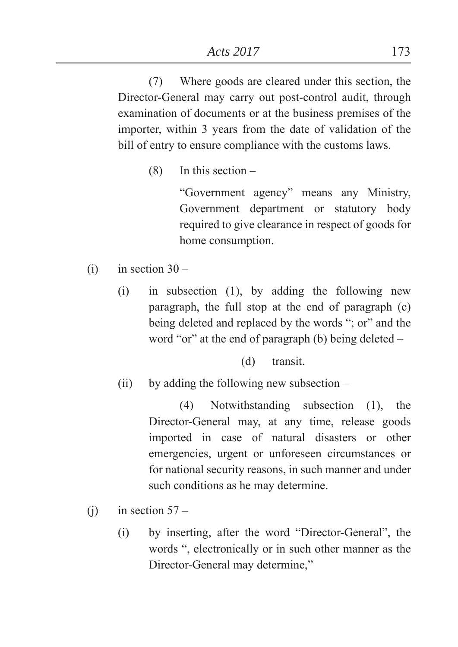(7) Where goods are cleared under this section, the Director-General may carry out post-control audit, through examination of documents or at the business premises of the importer, within 3 years from the date of validation of the bill of entry to ensure compliance with the customs laws.

(8) In this section –

³Government agency´ means any Ministry, Government department or statutory body required to give clearance in respect of goods for home consumption.

- $(i)$  in section 30
	- (i) in subsection (1), by adding the following new paragraph, the full stop at the end of paragraph (c) being deleted and replaced by the words "; or" and the word "or" at the end of paragraph (b) being deleted  $-$

(d) transit.

(ii) by adding the following new subsection –

(4) Notwithstanding subsection (1), the Director-General may, at any time, release goods imported in case of natural disasters or other emergencies, urgent or unforeseen circumstances or for national security reasons, in such manner and under such conditions as he may determine.

- (i) in section  $57 -$ 
	- $(i)$  by inserting, after the word "Director-General", the words ", electronically or in such other manner as the Director-General may determine,"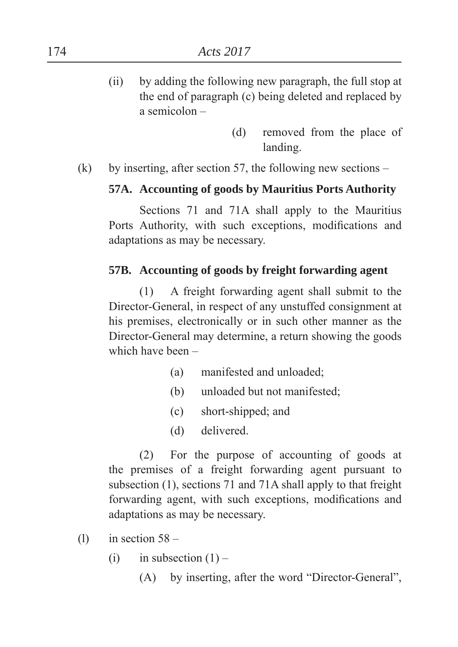- (ii) by adding the following new paragraph, the full stop at the end of paragraph (c) being deleted and replaced by a semicolon –
	- (d) removed from the place of landing.

(k) by inserting, after section 57, the following new sections –

## **57A. Accounting of goods by Mauritius Ports Authority**

 Sections 71 and 71A shall apply to the Mauritius Ports Authority, with such exceptions, modifications and adaptations as may be necessary.

## **57B. Accounting of goods by freight forwarding agent**

 (1) A freight forwarding agent shall submit to the Director-General, in respect of any unstuffed consignment at his premises, electronically or in such other manner as the Director-General may determine, a return showing the goods which have been –

- (a) manifested and unloaded
- (b) unloaded but not manifested
- $(c)$  short-shipped; and
- (d) delivered.

 (2) For the purpose of accounting of goods at the premises of a freight forwarding agent pursuant to subsection (1), sections 71 and 71A shall apply to that freight forwarding agent, with such exceptions, modifications and adaptations as may be necessary.

- (1) in section  $58 -$ 
	- (i) in subsection  $(1)$ 
		- $(A)$  by inserting, after the word "Director-General",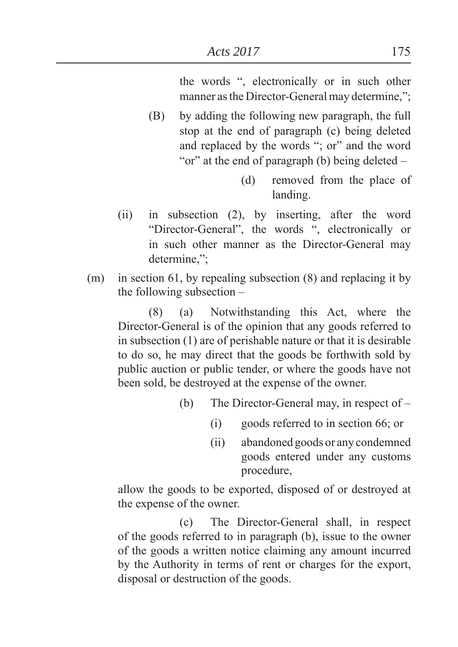the words ", electronically or in such other manner as the Director-General may determine,":

- (B) by adding the following new paragraph, the full stop at the end of paragraph (c) being deleted and replaced by the words "; or" and the word "or" at the end of paragraph (b) being deleted  $-$ 
	- (d) removed from the place of landing.
- (ii) in subsection (2), by inserting, after the word "Director-General", the words ", electronically or in such other manner as the Director-General may determine,":
- (m) in section 61, by repealing subsection (8) and replacing it by the following subsection –

(8) (a) Notwithstanding this Act, where the Director-General is of the opinion that any goods referred to in subsection (1) are of perishable nature or that it is desirable to do so, he may direct that the goods be forthwith sold by public auction or public tender, or where the goods have not been sold, be destroyed at the expense of the owner.

- (b) The Director-General may, in respect of
	- $(i)$  goods referred to in section 66; or
	- (ii) abandoned goods or any condemned goods entered under any customs procedure,

allow the goods to be exported, disposed of or destroyed at the expense of the owner.

 (c) The Director-General shall, in respect of the goods referred to in paragraph (b), issue to the owner of the goods a written notice claiming any amount incurred by the Authority in terms of rent or charges for the export, disposal or destruction of the goods.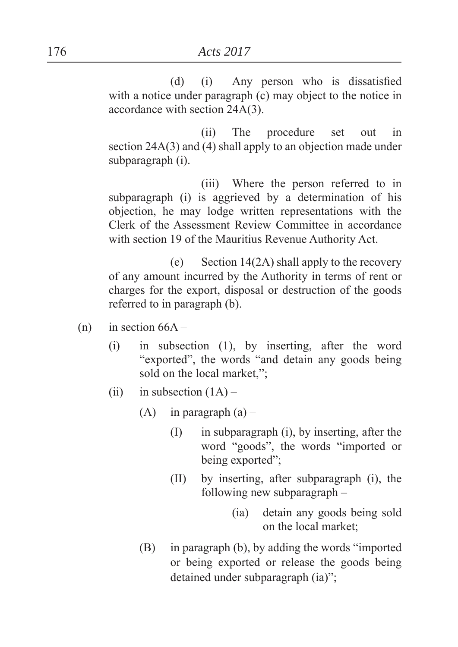$(d)$  (i) Any person who is dissatisfied with a notice under paragraph (c) may object to the notice in accordance with section 24A(3).

 (ii) The procedure set out in section 24A(3) and (4) shall apply to an objection made under subparagraph (i).

 (iii) Where the person referred to in subparagraph (i) is aggrieved by a determination of his objection, he may lodge written representations with the Clerk of the Assessment Review Committee in accordance with section 19 of the Mauritius Revenue Authority Act.

(e) Section  $14(2A)$  shall apply to the recovery of any amount incurred by the Authority in terms of rent or charges for the export, disposal or destruction of the goods referred to in paragraph (b).

- $(n)$  in section  $66A -$ 
	- (i) in subsection (1), by inserting, after the word "exported", the words "and detain any goods being sold on the local market,":
	- (ii) in subsection  $(1A)$ 
		- (A) in paragraph  $(a)$ 
			- (I) in subparagraph (i), by inserting, after the word "goods", the words "imported or being exported";
			- (II) by inserting, after subparagraph (i), the following new subparagraph –
				- (ia) detain any goods being sold on the local market
		- $(B)$  in paragraph  $(b)$ , by adding the words "imported" or being exported or release the goods being detained under subparagraph (ia)";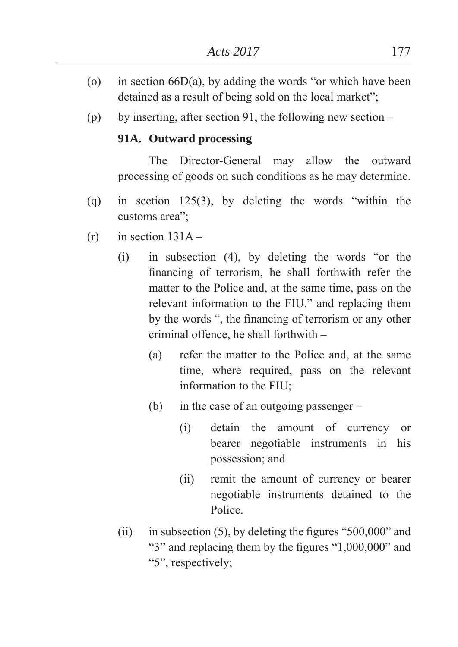- (o) in section  $66D(a)$ , by adding the words "or which have been detained as a result of being sold on the local market";
- (p) by inserting, after section 91, the following new section –

#### **91A. Outward processing**

The Director-General may allow the outward processing of goods on such conditions as he may determine.

- (q) in section  $125(3)$ , by deleting the words "within the customs area<sup>"</sup>:
- $(r)$  in section  $131A -$ 
	- $(i)$  in subsection  $(4)$ , by deleting the words "or the financing of terrorism, he shall forthwith refer the matter to the Police and, at the same time, pass on the relevant information to the FIU." and replacing them by the words ", the financing of terrorism or any other criminal offence, he shall forthwith –
		- (a) refer the matter to the Police and, at the same time, where required, pass on the relevant information to the FIU
		- (b) in the case of an outgoing passenger
			- (i) detain the amount of currency or bearer negotiable instruments in his possession; and
			- (ii) remit the amount of currency or bearer negotiable instruments detained to the Police.
	- (ii) in subsection  $(5)$ , by deleting the figures "500,000" and " $3$ " and replacing them by the figures " $1,000,000$ " and "5", respectively;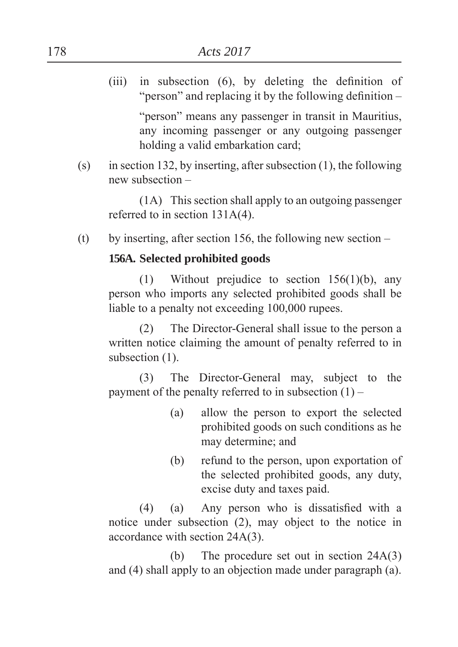(iii) in subsection  $(6)$ , by deleting the definition of "person" and replacing it by the following definition  $-$ 

> "person" means any passenger in transit in Mauritius, any incoming passenger or any outgoing passenger holding a valid embarkation card

(s) in section 132, by inserting, after subsection  $(1)$ , the following new subsection –

(1A) This section shall apply to an outgoing passenger referred to in section 131A(4).

(t) by inserting, after section 156, the following new section  $-$ 

## **156A. Selected prohibited goods**

(1) Without prejudice to section 156(1)(b), any person who imports any selected prohibited goods shall be liable to a penalty not exceeding 100,000 rupees.

(2) The Director-General shall issue to the person a written notice claiming the amount of penalty referred to in subsection  $(1)$ .

(3) The Director-General may, subject to the payment of the penalty referred to in subsection  $(1)$  –

- (a) allow the person to export the selected prohibited goods on such conditions as he may determine; and
- (b) refund to the person, upon exportation of the selected prohibited goods, any duty, excise duty and taxes paid.

 $(4)$  (a) Any person who is dissatisfied with a notice under subsection (2), may object to the notice in accordance with section 24A(3).

 (b) The procedure set out in section 24A(3) and (4) shall apply to an objection made under paragraph (a).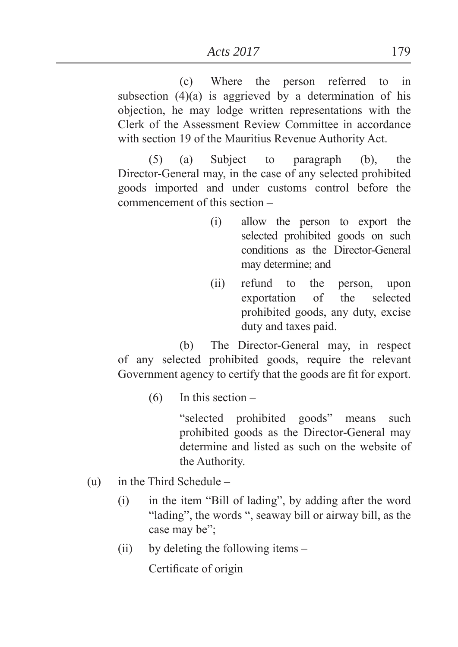(c) Where the person referred to in subsection (4)(a) is aggrieved by a determination of his objection, he may lodge written representations with the Clerk of the Assessment Review Committee in accordance with section 19 of the Mauritius Revenue Authority Act.

(5) (a) Subject to paragraph (b), the Director-General may, in the case of any selected prohibited goods imported and under customs control before the commencement of this section –

- (i) allow the person to export the selected prohibited goods on such conditions as the Director-General may determine; and
- (ii) refund to the person, upon exportation of the selected prohibited goods, any duty, excise duty and taxes paid.

 (b) The Director-General may, in respect of any selected prohibited goods, require the relevant Government agency to certify that the goods are fit for export.

 $(6)$  In this section –

"selected prohibited goods" means such prohibited goods as the Director-General may determine and listed as such on the website of the Authority.

- (u) in the Third Schedule
	- $(i)$  in the item "Bill of lading", by adding after the word "lading", the words ", seaway bill or airway bill, as the case may be":
	- (ii) by deleting the following items –

Certificate of origin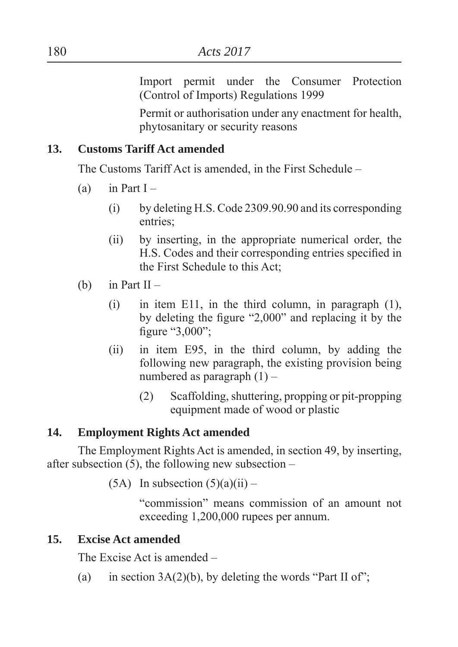Import permit under the Consumer Protection (Control of Imports) Regulations 1999

Permit or authorisation under any enactment for health, phytosanitary or security reasons

#### **13. Customs Tariff Act amended**

The Customs Tariff Act is amended, in the First Schedule –

- (a) in Part  $I -$ 
	- (i) by deleting H.S. Code 2309.90.90 and its corresponding entries:
	- (ii) by inserting, in the appropriate numerical order, the H.S. Codes and their corresponding entries specified in the First Schedule to this Act
- (b) in Part  $II -$ 
	- (i) in item E11, in the third column, in paragraph (1), by deleting the figure  $"2,000"$  and replacing it by the figure  $"3,000"$ ;
	- (ii) in item E95, in the third column, by adding the following new paragraph, the existing provision being numbered as paragraph  $(1)$  –
		- (2) Scaffolding, shuttering, propping or pit-propping equipment made of wood or plastic

## **14. Employment Rights Act amended**

The Employment Rights Act is amended, in section 49, by inserting, after subsection  $(5)$ , the following new subsection –

 $(5A)$  In subsection  $(5)(a)(ii)$  –

"commission" means commission of an amount not exceeding 1,200,000 rupees per annum.

## **15. Excise Act amended**

The Excise Act is amended –

(a) in section  $3A(2)(b)$ , by deleting the words "Part II of";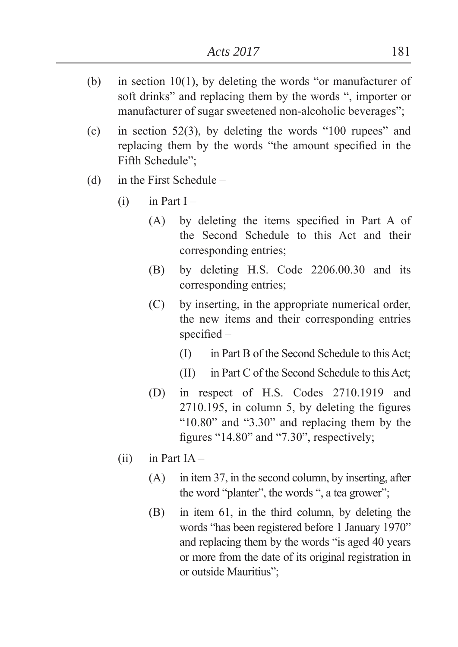- (b) in section 10(1), by deleting the words "or manufacturer of soft drinks" and replacing them by the words ", importer or manufacturer of sugar sweetened non-alcoholic beverages":
- (c) in section 52(3), by deleting the words  $\degree$ 100 rupees<sup> $\degree$ </sup> and replacing them by the words "the amount specified in the Fifth Schedule":
- (d) in the First Schedule
	- $(i)$  in Part I
		- $(A)$  by deleting the items specified in Part A of the Second Schedule to this Act and their corresponding entries
		- (B) by deleting H.S. Code 2206.00.30 and its corresponding entries
		- (C) by inserting, in the appropriate numerical order, the new items and their corresponding entries  $specified -$ 
			- (I) in Part B of the Second Schedule to this Act
			- (II) in Part C of the Second Schedule to this Act
		- (D) in respect of H.S. Codes 2710.1919 and  $2710.195$ , in column 5, by deleting the figures " $10.80$ " and " $3.30$ " and replacing them by the figures " $14.80$ " and " $7.30$ ", respectively;
	- $(ii)$  in Part IA
		- (A) in item 37, in the second column, by inserting, after the word "planter", the words ", a tea grower";
		- (B) in item 61, in the third column, by deleting the words "has been registered before 1 January 1970" and replacing them by the words "is aged 40 years" or more from the date of its original registration in or outside Mauritius";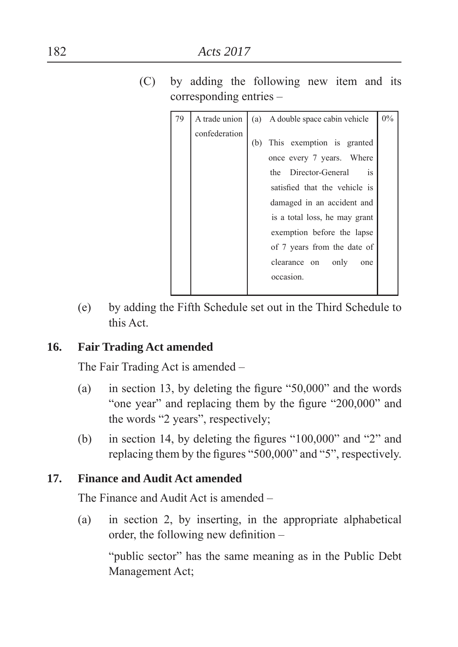(C) by adding the following new item and its corresponding entries –

| 79 | A trade union |     | (a) A double space cabin vehicle | $0\%$ |
|----|---------------|-----|----------------------------------|-------|
|    | confederation |     |                                  |       |
|    |               | (b) | This exemption is granted        |       |
|    |               |     | once every 7 years. Where        |       |
|    |               |     | the Director-General<br>is.      |       |
|    |               |     | satisfied that the vehicle is    |       |
|    |               |     | damaged in an accident and       |       |
|    |               |     | is a total loss, he may grant    |       |
|    |               |     | exemption before the lapse       |       |
|    |               |     | of 7 years from the date of      |       |
|    |               |     | clearance on<br>only<br>one      |       |
|    |               |     | occasion.                        |       |
|    |               |     |                                  |       |

(e) by adding the Fifth Schedule set out in the Third Schedule to this Act.

## **16. Fair Trading Act amended**

The Fair Trading Act is amended –

- (a) in section 13, by deleting the figure  $\degree$ 50,000 $\degree$  and the words "one year" and replacing them by the figure  $"200,000"$  and the words "2 years", respectively;
- (b) in section 14, by deleting the figures  $\degree 100,000'$  and  $\degree 2$ <sup>"</sup> and replacing them by the figures " $500,000$ " and " $5$ ", respectively.

## **17. Finance and Audit Act amended**

The Finance and Audit Act is amended –

(a) in section 2, by inserting, in the appropriate alphabetical order, the following new definition  $-$ 

"public sector" has the same meaning as in the Public Debt Management Act;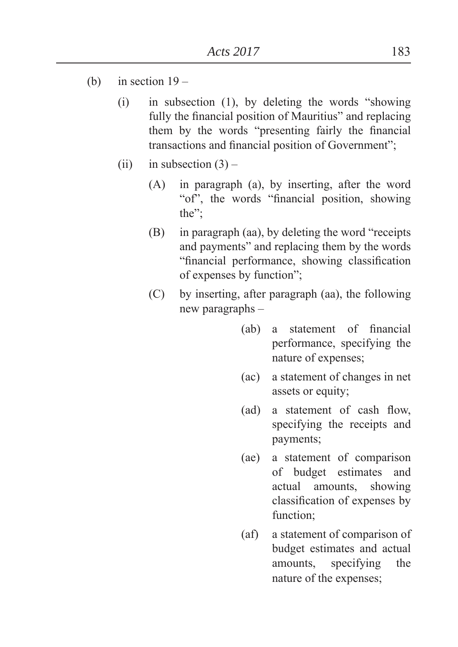- (b) in section  $19 -$ 
	- $(i)$  in subsection  $(1)$ , by deleting the words "showing" fully the financial position of Mauritius" and replacing them by the words "presenting fairly the financial transactions and financial position of Government";
	- (ii) in subsection  $(3)$ 
		- (A) in paragraph (a), by inserting, after the word "of", the words "financial position, showing" the":
		- $(B)$  in paragraph (aa), by deleting the word "receipts" and payments" and replacing them by the words "financial performance, showing classification of expenses by function";
		- (C) by inserting, after paragraph (aa), the following new paragraphs –
			- (ab) a statement of financial performance, specifying the nature of expenses
			- (ac) a statement of changes in net assets or equity
			- $(ad)$  a statement of cash flow, specifying the receipts and payments;
			- (ae) a statement of comparison of budget estimates and actual amounts, showing classification of expenses by function:
			- (af) a statement of comparison of budget estimates and actual amounts, specifying the nature of the expenses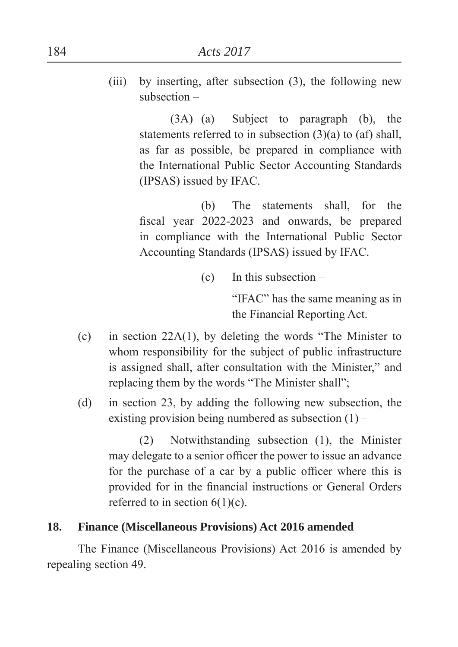(iii) by inserting, after subsection (3), the following new subsection –

> (3A) (a) Subject to paragraph (b), the statements referred to in subsection (3)(a) to (af) shall, as far as possible, be prepared in compliance with the International Public Sector Accounting Standards (IPSAS) issued by IFAC.

> (b) The statements shall for the fiscal year 2022-2023 and onwards, be prepared in compliance with the International Public Sector Accounting Standards (IPSAS) issued by IFAC.

> > (c) In this subsection –

"IFAC" has the same meaning as in the Financial Reporting Act.

- (c) in section  $22A(1)$ , by deleting the words "The Minister to whom responsibility for the subject of public infrastructure is assigned shall, after consultation with the Minister," and replacing them by the words "The Minister shall":
- (d) in section 23, by adding the following new subsection, the existing provision being numbered as subsection  $(1)$  –

(2) Notwithstanding subsection (1), the Minister may delegate to a senior officer the power to issue an advance for the purchase of a car by a public officer where this is provided for in the financial instructions or General Orders referred to in section  $6(1)(c)$ .

## **18. Finance (Miscellaneous Provisions) Act 2016 amended**

The Finance (Miscellaneous Provisions) Act 2016 is amended by repealing section 49.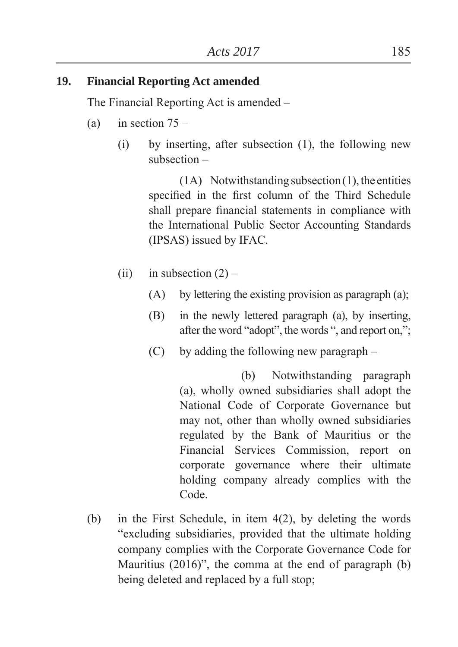#### **19. Financial Reporting Act amended**

The Financial Reporting Act is amended –

- (a) in section  $75 -$ 
	- (i) by inserting, after subsection (1), the following new subsection –

(1A) Notwithstanding subsection (1), the entities specified in the first column of the Third Schedule shall prepare financial statements in compliance with the International Public Sector Accounting Standards (IPSAS) issued by IFAC.

- (ii) in subsection  $(2)$ 
	- $(A)$  by lettering the existing provision as paragraph  $(a)$ ;
	- (B) in the newly lettered paragraph (a), by inserting, after the word "adopt", the words ", and report on,";
	- (C) by adding the following new paragraph –

 (b) Notwithstanding paragraph (a), wholly owned subsidiaries shall adopt the National Code of Corporate Governance but may not, other than wholly owned subsidiaries regulated by the Bank of Mauritius or the Financial Services Commission, report on corporate governance where their ultimate holding company already complies with the Code.

(b) in the First Schedule, in item 4(2), by deleting the words "excluding subsidiaries, provided that the ultimate holding company complies with the Corporate Governance Code for Mauritius  $(2016)$ ", the comma at the end of paragraph  $(b)$ being deleted and replaced by a full stop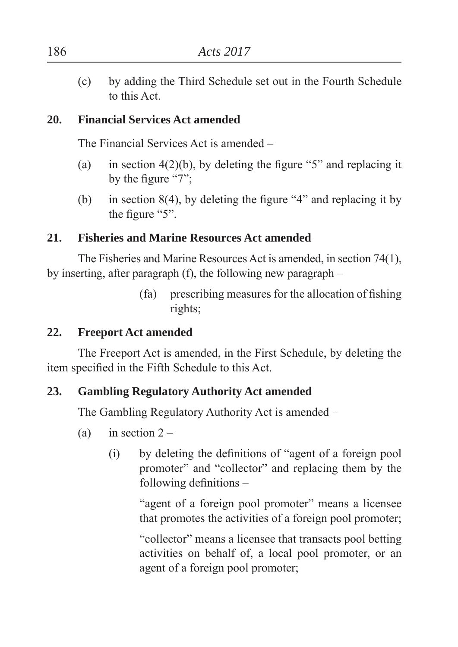(c) by adding the Third Schedule set out in the Fourth Schedule to this Act.

## **20. Financial Services Act amended**

The Financial Services Act is amended –

- (a) in section  $4(2)(b)$ , by deleting the figure "5" and replacing it by the figure  $47$ <sup>"</sup>.
- (b) in section  $8(4)$ , by deleting the figure "4" and replacing it by the figure  $\degree$ 5".

#### **21. Fisheries and Marine Resources Act amended**

The Fisheries and Marine Resources Act is amended, in section 74(1), by inserting, after paragraph (f), the following new paragraph –

> $(fa)$  prescribing measures for the allocation of fishing rights

#### **22. Freeport Act amended**

The Freeport Act is amended, in the First Schedule, by deleting the item specified in the Fifth Schedule to this Act.

#### **23. Gambling Regulatory Authority Act amended**

The Gambling Regulatory Authority Act is amended –

- (a) in section  $2 -$ 
	- $(i)$  by deleting the definitions of "agent of a foreign pool promoter" and "collector" and replacing them by the following definitions  $-$

"agent of a foreign pool promoter" means a licensee that promotes the activities of a foreign pool promoter

"collector" means a licensee that transacts pool betting activities on behalf of, a local pool promoter, or an agent of a foreign pool promoter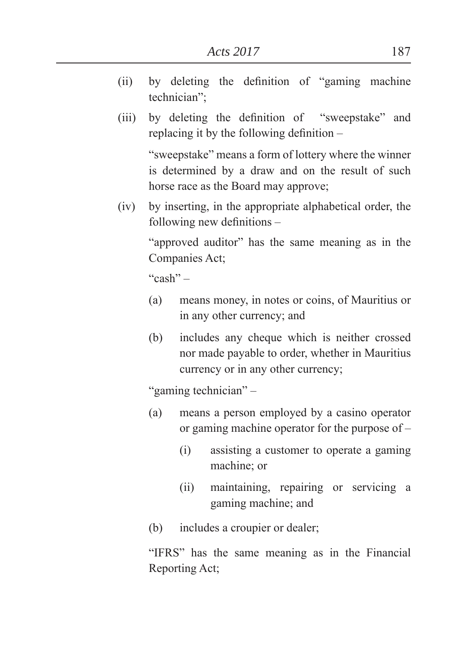- $(ii)$  by deleting the definition of "gaming machine" technician":
- (iii) by deleting the definition of "sweepstake" and replacing it by the following definition  $-$

"sweepstake" means a form of lottery where the winner is determined by a draw and on the result of such horse race as the Board may approve;

(iv) by inserting, in the appropriate alphabetical order, the following new definitions  $-$ 

> "approved auditor" has the same meaning as in the Companies Act

 $``cash" -$ 

- (a) means money, in notes or coins, of Mauritius or in any other currency; and
- (b) includes any cheque which is neither crossed nor made payable to order, whether in Mauritius currency or in any other currency;

"gaming technician" –

- (a) means a person employed by a casino operator or gaming machine operator for the purpose of –
	- (i) assisting a customer to operate a gaming machine; or
	- (ii) maintaining, repairing or servicing a gaming machine; and
- (b) includes a croupier or dealer

"IFRS" has the same meaning as in the Financial Reporting Act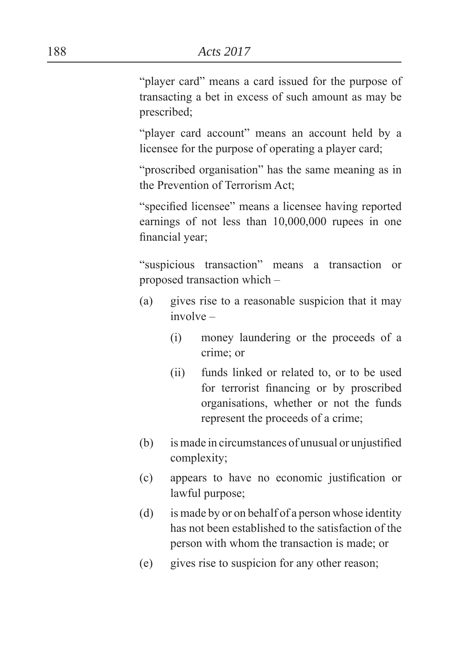"player card" means a card issued for the purpose of transacting a bet in excess of such amount as may be prescribed:

"player card account" means an account held by a licensee for the purpose of operating a player card;

"proscribed organisation" has the same meaning as in the Prevention of Terrorism Act

"specified licensee" means a licensee having reported earnings of not less than 10,000,000 rupees in one financial year;

³suspicious transaction´ means a transaction or proposed transaction which –

- (a) gives rise to a reasonable suspicion that it may involve –
	- (i) money laundering or the proceeds of a crime: or
	- (ii) funds linked or related to, or to be used for terrorist financing or by proscribed organisations, whether or not the funds represent the proceeds of a crime
- $(b)$  is made in circumstances of unusual or unjustified complexity:
- (c) appears to have no economic justification or lawful purpose
- (d) is made by or on behalf of a person whose identity has not been established to the satisfaction of the person with whom the transaction is made; or
- (e) gives rise to suspicion for any other reason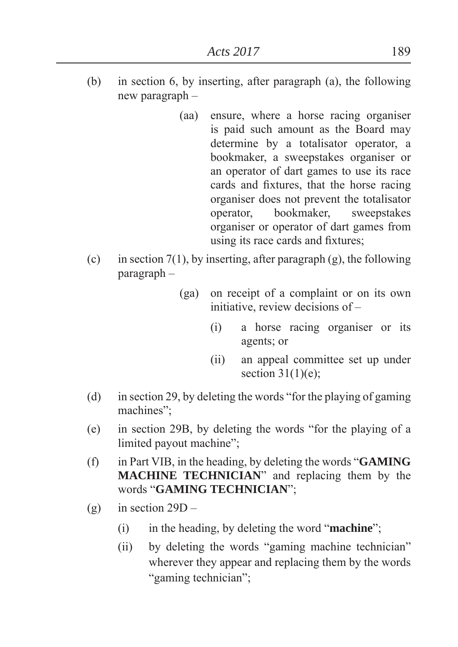- (b) in section 6, by inserting, after paragraph (a), the following new paragraph –
	- (aa) ensure, where a horse racing organiser is paid such amount as the Board may determine by a totalisator operator, a bookmaker, a sweepstakes organiser or an operator of dart games to use its race cards and fixtures, that the horse racing organiser does not prevent the totalisator operator, bookmaker, sweepstakes organiser or operator of dart games from using its race cards and fixtures;
- (c) in section 7(1), by inserting, after paragraph (g), the following paragraph –
	- (ga) on receipt of a complaint or on its own initiative, review decisions of –
		- (i) a horse racing organiser or its agents; or
		- (ii) an appeal committee set up under section  $31(1)(e)$ ;
- (d) in section 29, by deleting the words "for the playing of gaming machines":
- $(e)$  in section 29B, by deleting the words "for the playing of a limited payout machine":
- (f) in Part VIB, in the heading, by deleting the words "**GAMING MACHINE TECHNICIAN**<sup>"</sup> and replacing them by the words "GAMING TECHNICIAN";
- (g) in section  $29D -$ 
	- $(i)$  in the heading, by deleting the word "**machine**";
	- $(ii)$  by deleting the words "gaming machine technician" wherever they appear and replacing them by the words "gaming technician";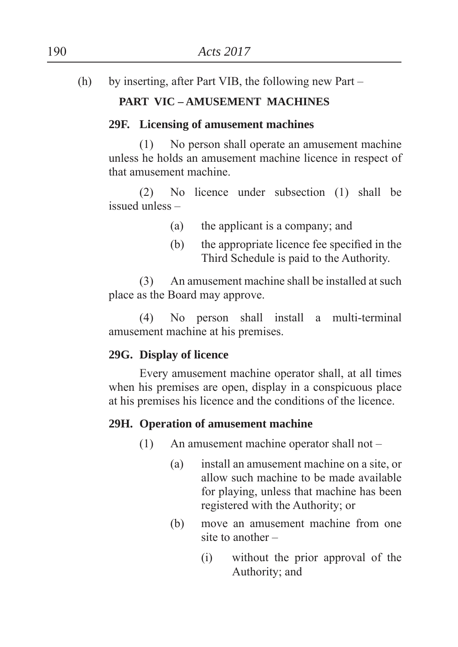(h) by inserting, after Part VIB, the following new Part –

# **PART VIC – AMUSEMENT MACHINES**

### **29F. Licensing of amusement machines**

(1) No person shall operate an amusement machine unless he holds an amusement machine licence in respect of that amusement machine.

(2) No licence under subsection (1) shall be issued unless –

- $(a)$  the applicant is a company; and
- $(b)$  the appropriate licence fee specified in the Third Schedule is paid to the Authority.

(3) An amusement machine shall be installed at such place as the Board may approve.

(4) No person shall install a multi-terminal amusement machine at his premises.

# **29G. Display of licence**

Every amusement machine operator shall, at all times when his premises are open, display in a conspicuous place at his premises his licence and the conditions of the licence.

### **29H. Operation of amusement machine**

- (1) An amusement machine operator shall not
	- (a) install an amusement machine on a site, or allow such machine to be made available for playing, unless that machine has been registered with the Authority; or
	- (b) move an amusement machine from one site to another –
		- (i) without the prior approval of the Authority; and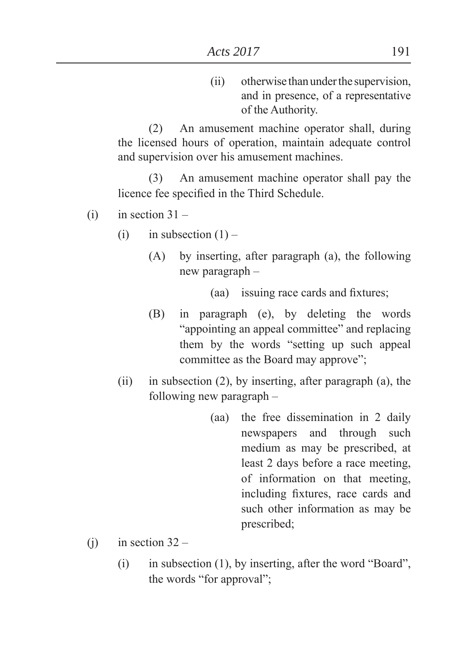(ii) otherwise than under the supervision, and in presence, of a representative of the Authority.

(2) An amusement machine operator shall, during the licensed hours of operation, maintain adequate control and supervision over his amusement machines.

(3) An amusement machine operator shall pay the licence fee specified in the Third Schedule.

- $(i)$  in section  $31 -$ 
	- (i) in subsection  $(1)$ 
		- (A) by inserting, after paragraph (a), the following new paragraph –

(aa) issuing race cards and fixtures;

- (B) in paragraph (e), by deleting the words "appointing an appeal committee" and replacing them by the words "setting up such appeal committee as the Board may approve".
- (ii) in subsection (2), by inserting, after paragraph (a), the following new paragraph –
	- (aa) the free dissemination in 2 daily newspapers and through such medium as may be prescribed, at least 2 days before a race meeting, of information on that meeting, including fixtures, race cards and such other information as may be prescribed;
- (i) in section  $32 -$ 
	- (i) in subsection  $(1)$ , by inserting, after the word "Board", the words "for approval";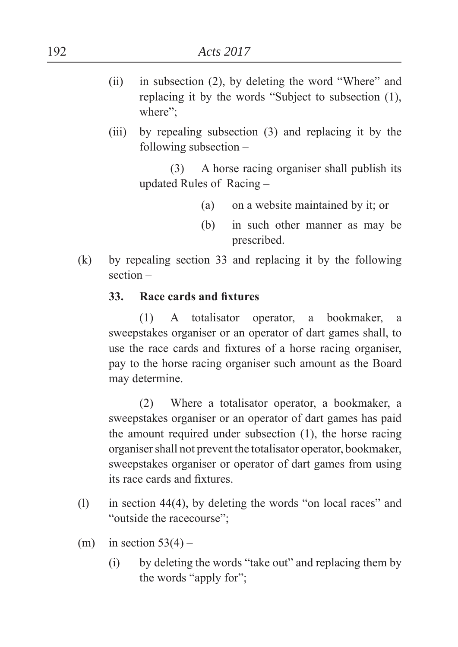- (ii) in subsection  $(2)$ , by deleting the word "Where" and replacing it by the words "Subject to subsection  $(1)$ , where":
- (iii) by repealing subsection (3) and replacing it by the following subsection –

(3) A horse racing organiser shall publish its updated Rules of Racing –

- (a) on a website maintained by it; or
- (b) in such other manner as may be prescribed.
- (k) by repealing section 33 and replacing it by the following section –

### **33.** Race cards and fixtures

(1) A totalisator operator, a bookmaker, a sweepstakes organiser or an operator of dart games shall, to use the race cards and fixtures of a horse racing organiser, pay to the horse racing organiser such amount as the Board may determine.

(2) Where a totalisator operator, a bookmaker, a sweepstakes organiser or an operator of dart games has paid the amount required under subsection (1), the horse racing organiser shall not prevent the totalisator operator, bookmaker, sweepstakes organiser or operator of dart games from using its race cards and fixtures.

- (1) in section 44(4), by deleting the words "on local races" and "outside the racecourse";
- (m) in section  $53(4)$ 
	- $(i)$  by deleting the words "take out" and replacing them by the words "apply for";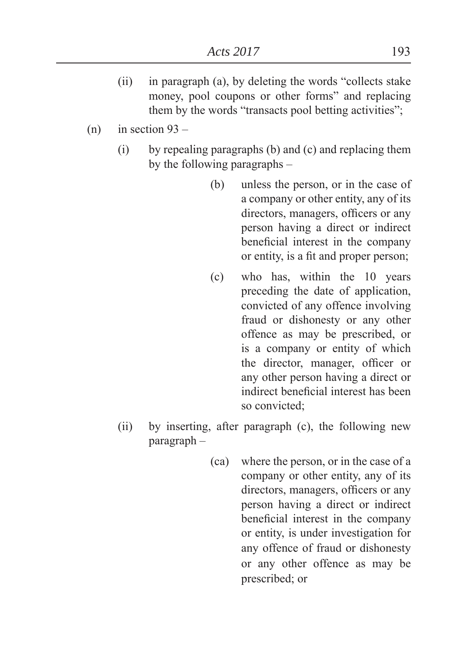- $(ii)$  in paragraph (a), by deleting the words "collects stake" money, pool coupons or other forms" and replacing them by the words "transacts pool betting activities";
- $(n)$  in section 93
	- (i) by repealing paragraphs (b) and (c) and replacing them by the following paragraphs –
		- (b) unless the person, or in the case of a company or other entity, any of its directors, managers, officers or any person having a direct or indirect beneficial interest in the company or entity, is a fit and proper person;
		- (c) who has, within the 10 years preceding the date of application, convicted of any offence involving fraud or dishonesty or any other offence as may be prescribed, or is a company or entity of which the director, manager, officer or any other person having a direct or indirect beneficial interest has been so convicted:
	- (ii) by inserting, after paragraph (c), the following new paragraph –
		- (ca) where the person, or in the case of a company or other entity, any of its directors, managers, officers or any person having a direct or indirect beneficial interest in the company or entity, is under investigation for any offence of fraud or dishonesty or any other offence as may be prescribed; or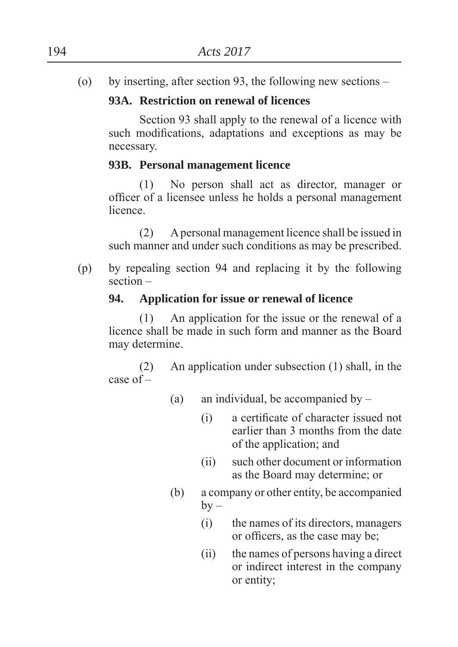(o) by inserting, after section 93, the following new sections –

# **93A. Restriction on renewal of licences**

Section 93 shall apply to the renewal of a licence with such modifications, adaptations and exceptions as may be necessary.

## **93B. Personal management licence**

(1) No person shall act as director, manager or officer of a licensee unless he holds a personal management **licence** 

(2) A personal management licence shall be issued in such manner and under such conditions as may be prescribed.

(p) by repealing section 94 and replacing it by the following section –

## **94. Application for issue or renewal of licence**

(1) An application for the issue or the renewal of a licence shall be made in such form and manner as the Board may determine.

(2) An application under subsection (1) shall, in the case of –

- (a) an individual, be accompanied by
	- (i) a certificate of character issued not earlier than 3 months from the date of the application; and
	- (ii) such other document or information as the Board may determine; or
- (b) a company or other entity, be accompanied  $by -$ 
	- (i) the names of its directors, managers or officers, as the case may be;
	- (ii) the names of persons having a direct or indirect interest in the company or entity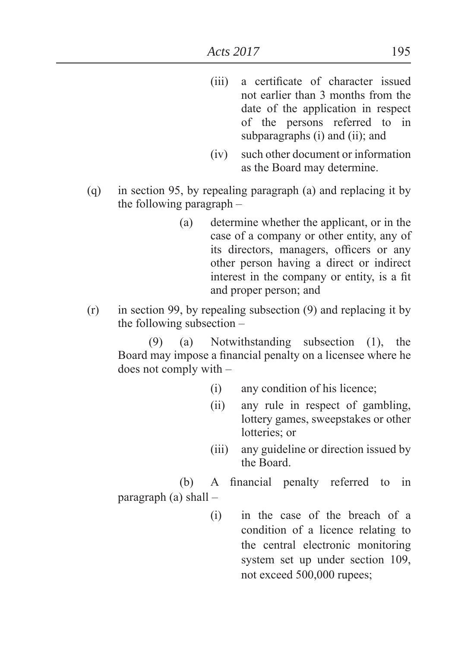- (iii) a certificate of character issued not earlier than 3 months from the date of the application in respect of the persons referred to in subparagraphs  $(i)$  and  $(ii)$ ; and
- (iv) such other document or information as the Board may determine.
- (q) in section 95, by repealing paragraph (a) and replacing it by the following paragraph –
	- (a) determine whether the applicant, or in the case of a company or other entity, any of its directors, managers, officers or any other person having a direct or indirect interest in the company or entity, is a fit and proper person; and
- (r) in section 99, by repealing subsection (9) and replacing it by the following subsection –

(9) (a) Notwithstanding subsection (1), the Board may impose a financial penalty on a licensee where he does not comply with –

- (i) any condition of his licence
- (ii) any rule in respect of gambling, lottery games, sweepstakes or other lotteries: or
- (iii) any guideline or direction issued by the Board.

(b) A financial penalty referred to in

paragraph (a) shall –

(i) in the case of the breach of a condition of a licence relating to the central electronic monitoring system set up under section 109, not exceed 500,000 rupees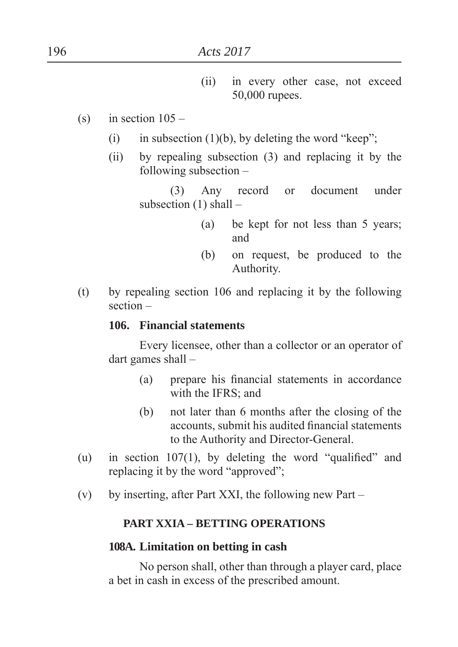- (ii) in every other case, not exceed 50,000 rupees.
- $(s)$  in section  $105 -$ 
	- (i) in subsection (1)(b), by deleting the word "keep";
	- (ii) by repealing subsection (3) and replacing it by the following subsection –

(3) Any record or document under subsection  $(1)$  shall –

- (a) be kept for not less than 5 years and
- (b) on request, be produced to the Authority.
- (t) by repealing section 106 and replacing it by the following section –

#### **106. Financial statements**

Every licensee, other than a collector or an operator of dart games shall –

- (a) prepare his financial statements in accordance with the IFRS; and
- (b) not later than 6 months after the closing of the accounts, submit his audited financial statements to the Authority and Director-General.
- (u) in section 107(1), by deleting the word "qualified" and replacing it by the word "approved";
- (v) by inserting, after Part XXI, the following new Part –

#### **PART XXIA – BETTING OPERATIONS**

#### **108A. Limitation on betting in cash**

No person shall, other than through a player card, place a bet in cash in excess of the prescribed amount.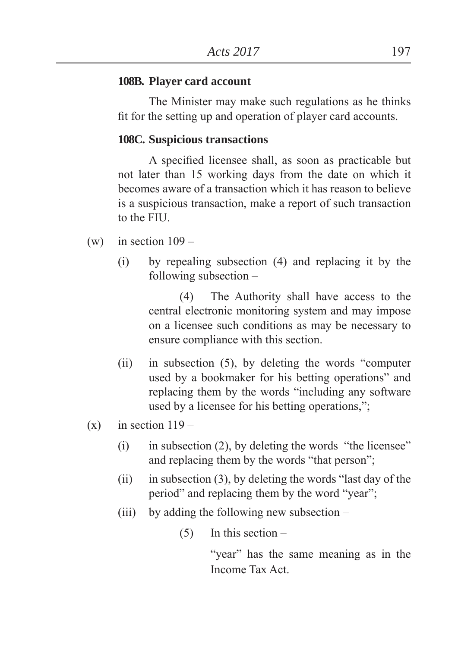#### **108B. Player card account**

The Minister may make such regulations as he thinks fit for the setting up and operation of player card accounts.

#### **108C. Suspicious transactions**

A specified licensee shall, as soon as practicable but not later than 15 working days from the date on which it becomes aware of a transaction which it has reason to believe is a suspicious transaction, make a report of such transaction to the FIU.

- (w) in section  $109 -$ 
	- (i) by repealing subsection (4) and replacing it by the following subsection –

(4) The Authority shall have access to the central electronic monitoring system and may impose on a licensee such conditions as may be necessary to ensure compliance with this section.

- $(ii)$  in subsection  $(5)$ , by deleting the words "computer" used by a bookmaker for his betting operations" and replacing them by the words "including any software" used by a licensee for his betting operations,";
- $(x)$  in section  $119 -$ 
	- $(i)$  in subsection  $(2)$ , by deleting the words "the licensee" and replacing them by the words "that person";
	- (ii) in subsection  $(3)$ , by deleting the words "last day of the period" and replacing them by the word "year";
	- (iii) by adding the following new subsection –

 $(5)$  In this section –

"year" has the same meaning as in the Income Tax Act.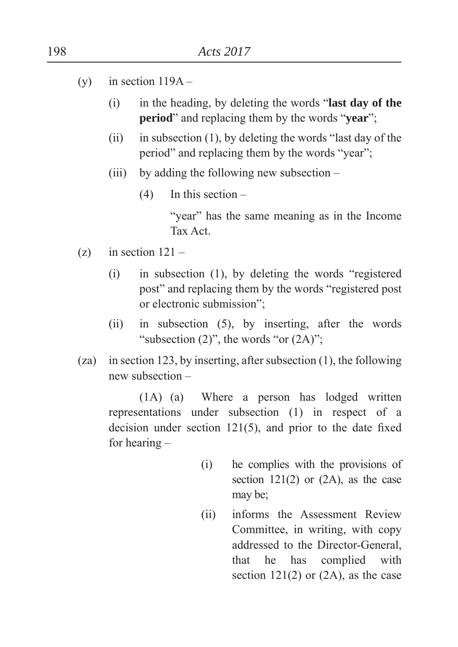- (y) in section  $119A -$ 
	- (i) in the heading, by deleting the words "last day of the **period**" and replacing them by the words "**year**";
	- (ii) in subsection  $(1)$ , by deleting the words "last day of the period" and replacing them by the words "year";
	- (iii) by adding the following new subsection
		- (4) In this section –

"year" has the same meaning as in the Income Tax Act.

- $(z)$  in section  $121 -$ 
	- $(i)$  in subsection  $(1)$ , by deleting the words "registered" post" and replacing them by the words "registered post" or electronic submission":
	- (ii) in subsection (5), by inserting, after the words "subsection  $(2)$ ", the words "or  $(2A)$ ";
- (za) in section 123, by inserting, after subsection (1), the following new subsection –

(1A) (a) Where a person has lodged written representations under subsection (1) in respect of a decision under section  $121(5)$ , and prior to the date fixed for hearing –

- (i) he complies with the provisions of section  $121(2)$  or  $(2A)$ , as the case may be:
- (ii) informs the Assessment Review Committee, in writing, with copy addressed to the Director-General, that he has complied with section  $121(2)$  or  $(2A)$ , as the case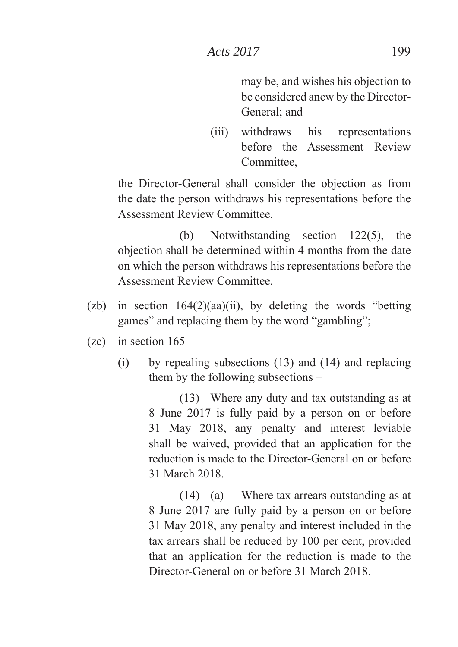may be, and wishes his objection to be considered anew by the Director-General; and

(iii) withdraws his representations before the Assessment Review **Committee** 

 the Director-General shall consider the objection as from the date the person withdraws his representations before the Assessment Review Committee.

 (b) Notwithstanding section 122(5), the objection shall be determined within 4 months from the date on which the person withdraws his representations before the Assessment Review Committee.

- (zb) in section  $164(2)(aa)(ii)$ , by deleting the words "betting games" and replacing them by the word "gambling";
- $(zc)$  in section  $165 -$ 
	- (i) by repealing subsections (13) and (14) and replacing them by the following subsections –

(13) Where any duty and tax outstanding as at 8 June 2017 is fully paid by a person on or before 31 May 2018, any penalty and interest leviable shall be waived, provided that an application for the reduction is made to the Director-General on or before 31 March 2018.

(14) (a) Where tax arrears outstanding as at 8 June 2017 are fully paid by a person on or before 31 May 2018, any penalty and interest included in the tax arrears shall be reduced by 100 per cent, provided that an application for the reduction is made to the Director-General on or before 31 March 2018.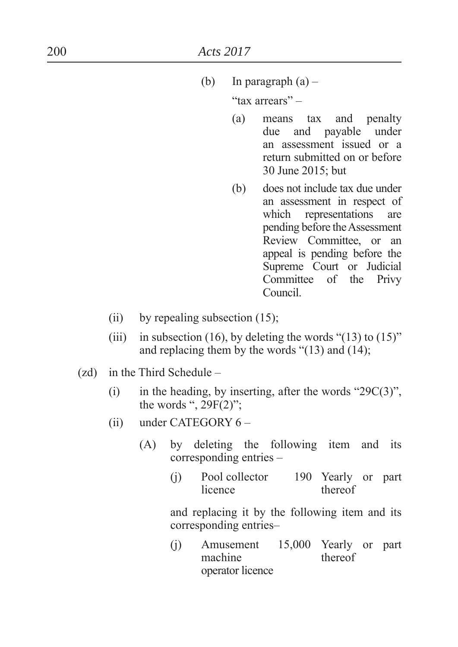(b) In paragraph  $(a)$  –

"tax arrears" $-$ 

- (a) means tax and penalty due and payable under an assessment issued or a return submitted on or before 30 June 2015; but
- (b) does not include tax due under an assessment in respect of which representations are pending before the Assessment Review Committee, or an appeal is pending before the Supreme Court or Judicial Committee of the Privy Council.
- (ii) by repealing subsection  $(15)$ ;
- (iii) in subsection (16), by deleting the words " $(13)$  to  $(15)$ " and replacing them by the words  $\degree$ (13) and (14);
- (zd) in the Third Schedule
	- (i) in the heading, by inserting, after the words " $29C(3)$ ", the words ",  $29F(2)$ ";
	- (ii) under CATEGORY 6
		- (A) by deleting the following item and its corresponding entries –
			- (j) Pool collector 190 Yearly or part licence thereof

 and replacing it by the following item and its corresponding entries–

(j) Amusement 15,000 Yearly or part machine operator licence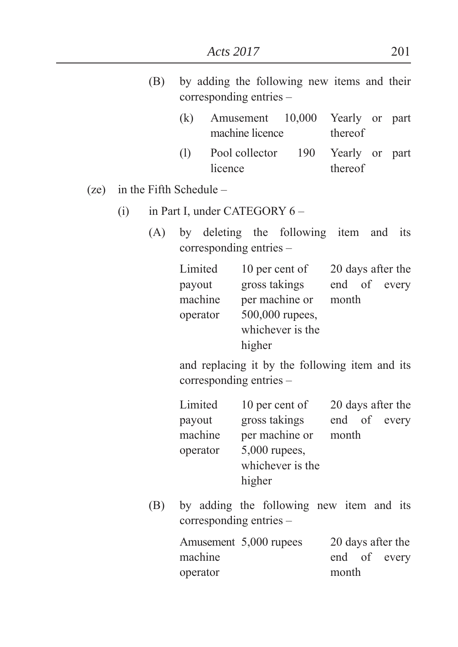|      |                         | (B)                           | by adding the following new items and their<br>corresponding entries –    |         |                                                                                                                                                                         |                                       |         |  |  |
|------|-------------------------|-------------------------------|---------------------------------------------------------------------------|---------|-------------------------------------------------------------------------------------------------------------------------------------------------------------------------|---------------------------------------|---------|--|--|
|      |                         |                               | (k)                                                                       |         | machine licence                                                                                                                                                         | Amusement 10,000 Yearly or part       | thereof |  |  |
|      |                         |                               |                                                                           | licence |                                                                                                                                                                         | (1) Pool collector 190 Yearly or part | thereof |  |  |
| (ze) | in the Fifth Schedule – |                               |                                                                           |         |                                                                                                                                                                         |                                       |         |  |  |
|      | (i)                     | in Part I, under CATEGORY 6 – |                                                                           |         |                                                                                                                                                                         |                                       |         |  |  |
|      |                         |                               | (A) by deleting the following item and its<br>corresponding entries –     |         |                                                                                                                                                                         |                                       |         |  |  |
|      |                         |                               |                                                                           |         | Limited 10 per cent of 20 days after the<br>payout gross takings end of every<br>machine per machine or month<br>operator 500,000 rupees,<br>whichever is the<br>higher |                                       |         |  |  |
|      |                         |                               | and replacing it by the following item and its<br>corresponding entries – |         |                                                                                                                                                                         |                                       |         |  |  |

|        | Limited  | 10 per cent of   | 20 days after the |  |              |  |
|--------|----------|------------------|-------------------|--|--------------|--|
| payout |          | gross takings    |                   |  | end of every |  |
|        | machine  | per machine or   | month             |  |              |  |
|        | operator | $5,000$ rupees,  |                   |  |              |  |
|        |          | whichever is the |                   |  |              |  |
|        |          | higher           |                   |  |              |  |

(B) by adding the following new item and its corresponding entries –

|          | Amusement 5,000 rupees | 20 days after the |  |              |  |
|----------|------------------------|-------------------|--|--------------|--|
| machine  |                        |                   |  | end of every |  |
| operator |                        | month             |  |              |  |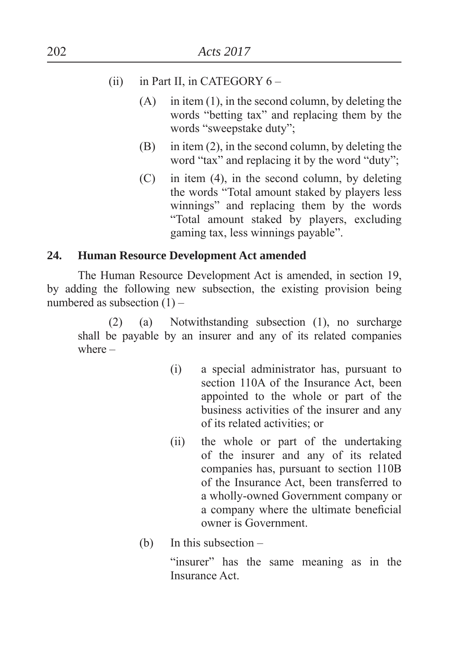- (ii) in Part II, in CATEGORY  $6 -$ 
	- $(A)$  in item  $(1)$ , in the second column, by deleting the words "betting tax" and replacing them by the words "sweepstake duty":
	- $(B)$  in item (2), in the second column, by deleting the word " $\text{tax"}$  and replacing it by the word " $\text{duty"}$ ;
	- (C) in item (4), in the second column, by deleting the words "Total amount staked by players less winnings" and replacing them by the words ³Total amount staked by players, excluding gaming tax, less winnings payable´.

## **24. Human Resource Development Act amended**

The Human Resource Development Act is amended, in section 19, by adding the following new subsection, the existing provision being numbered as subsection (1) –

(2) (a) Notwithstanding subsection (1), no surcharge shall be payable by an insurer and any of its related companies where –

- (i) a special administrator has, pursuant to section 110A of the Insurance Act, been appointed to the whole or part of the business activities of the insurer and any of its related activities; or
- (ii) the whole or part of the undertaking of the insurer and any of its related companies has, pursuant to section 110B of the Insurance Act, been transferred to a wholly-owned Government company or a company where the ultimate beneficial owner is Government.
- (b) In this subsection –

"insurer" has the same meaning as in the Insurance Act.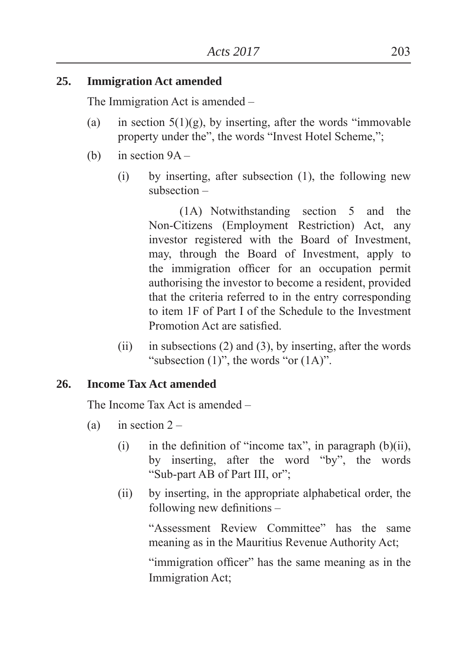# **25. Immigration Act amended**

The Immigration Act is amended –

- (a) in section  $5(1)(g)$ , by inserting, after the words "immovable" property under the", the words "Invest Hotel Scheme,";
- (b) in section  $9A -$ 
	- (i) by inserting, after subsection (1), the following new subsection –

(1A) Notwithstanding section 5 and the Non-Citizens (Employment Restriction) Act, any investor registered with the Board of Investment, may, through the Board of Investment, apply to the immigration officer for an occupation permit authorising the investor to become a resident, provided that the criteria referred to in the entry corresponding to item 1F of Part I of the Schedule to the Investment Promotion Act are satisfied.

(ii) in subsections  $(2)$  and  $(3)$ , by inserting, after the words "subsection  $(1)$ ", the words "or  $(1A)$ ".

# **26. Income Tax Act amended**

The Income Tax Act is amended –

- (a) in section  $2 -$ 
	- (i) in the definition of "income tax", in paragraph  $(b)(ii)$ , by inserting, after the word "by", the words "Sub-part AB of Part III, or";
	- (ii) by inserting, in the appropriate alphabetical order, the following new definitions  $-$

³Assessment Review Committee´ has the same meaning as in the Mauritius Revenue Authority Act

"immigration officer" has the same meaning as in the Immigration Act: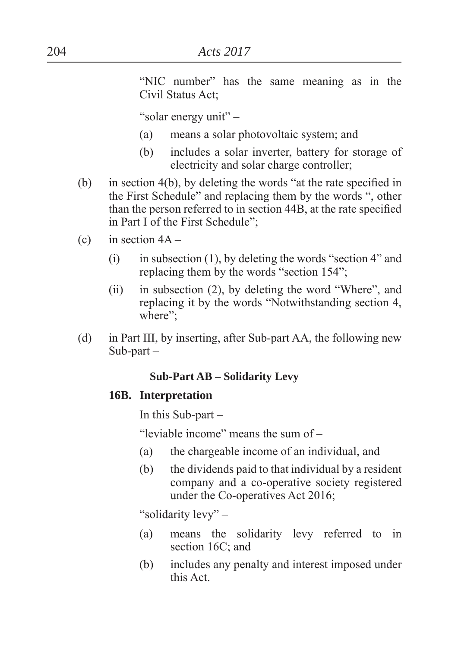"NIC number" has the same meaning as in the Civil Status Act;

"solar energy unit" –

- (a) means a solar photovoltaic system; and
- (b) includes a solar inverter, battery for storage of electricity and solar charge controller
- (b) in section 4(b), by deleting the words "at the rate specified in the First Schedule" and replacing them by the words ", other than the person referred to in section 44B, at the rate specified in Part I of the First Schedule":
- (c) in section  $4A -$ 
	- (i) in subsection (1), by deleting the words "section 4" and replacing them by the words "section  $154$ ".
	- (ii) in subsection  $(2)$ , by deleting the word "Where", and replacing it by the words "Notwithstanding section 4, where":
- (d) in Part III, by inserting, after Sub-part AA, the following new Sub-part –

#### **Sub-Part AB – Solidarity Levy**

#### **16B. Interpretation**

In this Sub-part –

"leviable income" means the sum of  $-$ 

- (a) the chargeable income of an individual, and
- (b) the dividends paid to that individual by a resident company and a co-operative society registered under the Co-operatives Act 2016

"solidarity levy" –

- (a) means the solidarity levy referred to in section 16C; and
- (b) includes any penalty and interest imposed under this Act.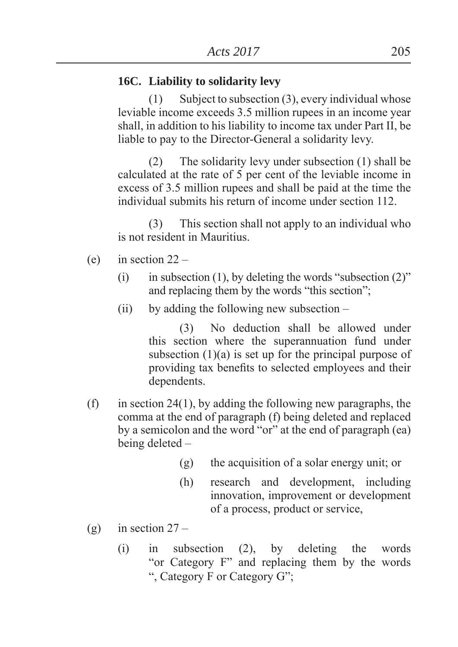#### **16C. Liability to solidarity levy**

(1) Subject to subsection (3), every individual whose leviable income exceeds 3.5 million rupees in an income year shall, in addition to his liability to income tax under Part II, be liable to pay to the Director-General a solidarity levy.

(2) The solidarity levy under subsection (1) shall be calculated at the rate of 5 per cent of the leviable income in excess of 3.5 million rupees and shall be paid at the time the individual submits his return of income under section 112.

(3) This section shall not apply to an individual who is not resident in Mauritius.

- (e) in section  $22 -$ 
	- (i) in subsection (1), by deleting the words "subsection  $(2)$ " and replacing them by the words "this section";
	- (ii) by adding the following new subsection –

(3) No deduction shall be allowed under this section where the superannuation fund under subsection  $(1)(a)$  is set up for the principal purpose of providing tax benefits to selected employees and their dependents.

- (f) in section 24(1), by adding the following new paragraphs, the comma at the end of paragraph (f) being deleted and replaced by a semicolon and the word "or" at the end of paragraph (ea) being deleted –
	- $(g)$  the acquisition of a solar energy unit; or
	- (h) research and development, including innovation, improvement or development of a process, product or service,
- (g) in section  $27 -$ 
	- (i) in subsection (2), by deleting the words "or Category F" and replacing them by the words ", Category F or Category G";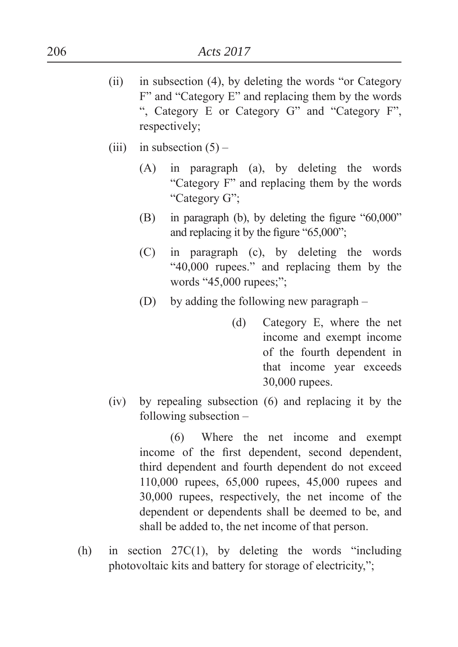- (ii) in subsection  $(4)$ , by deleting the words "or Category"  $F'$  and "Category  $E'$  and replacing them by the words ", Category E or Category G" and "Category F", respectively;
- (iii) in subsection  $(5)$ 
	- (A) in paragraph (a), by deleting the words "Category F" and replacing them by the words" "Category G":
	- (B) in paragraph (b), by deleting the figure  $"60,000"$ and replacing it by the figure  $"65,000"$ ;
	- (C) in paragraph (c), by deleting the words ³40,000 rupees.´ and replacing them by the words "45,000 rupees;":
	- (D) by adding the following new paragraph
		- (d) Category E, where the net income and exempt income of the fourth dependent in that income year exceeds 30,000 rupees.
- (iv) by repealing subsection (6) and replacing it by the following subsection –

(6) Where the net income and exempt income of the first dependent, second dependent, third dependent and fourth dependent do not exceed 110,000 rupees, 65,000 rupees, 45,000 rupees and 30,000 rupees, respectively, the net income of the dependent or dependents shall be deemed to be, and shall be added to, the net income of that person.

(h) in section  $27C(1)$ , by deleting the words "including" photovoltaic kits and battery for storage of electricity,":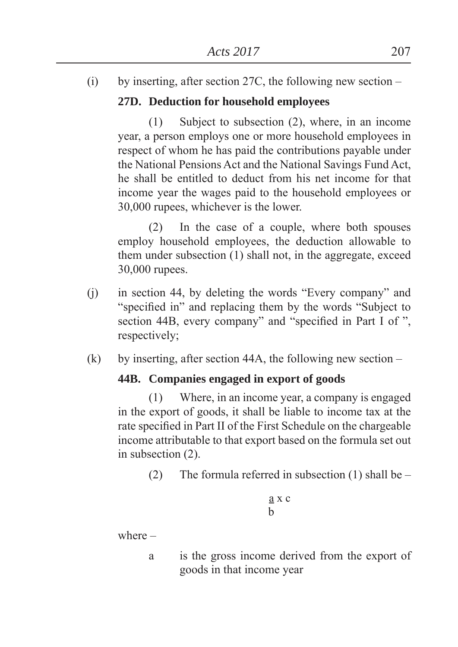(i) by inserting, after section 27C, the following new section –

# **27D. Deduction for household employees**

(1) Subject to subsection (2), where, in an income year, a person employs one or more household employees in respect of whom he has paid the contributions payable under the National Pensions Act and the National Savings Fund Act, he shall be entitled to deduct from his net income for that income year the wages paid to the household employees or 30,000 rupees, whichever is the lower.

(2) In the case of a couple, where both spouses employ household employees, the deduction allowable to them under subsection (1) shall not, in the aggregate, exceed 30,000 rupees.

- $(i)$  in section 44, by deleting the words "Every company" and "specified in" and replacing them by the words "Subject to" section 44B, every company" and "specified in Part I of ", respectively;
- (k) by inserting, after section 44A, the following new section  $-$

# **44B. Companies engaged in export of goods**

(1) Where, in an income year, a company is engaged in the export of goods, it shall be liable to income tax at the rate specified in Part II of the First Schedule on the chargeable income attributable to that export based on the formula set out in subsection (2).

(2) The formula referred in subsection (1) shall be  $-$ 

$$
\frac{a}{b} \times c
$$

where –

a is the gross income derived from the export of goods in that income year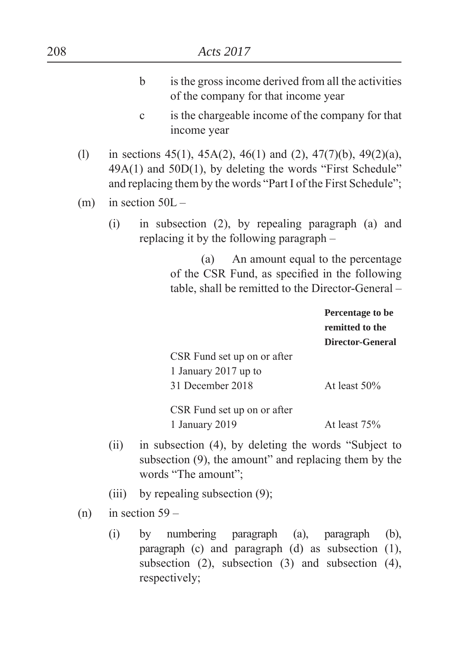| 208 |                                                                                                                                              |                                                                                                                                                  |                    |                                                                                                                                                                                                    | Acts 2017                           |  |                                                                |            |  |
|-----|----------------------------------------------------------------------------------------------------------------------------------------------|--------------------------------------------------------------------------------------------------------------------------------------------------|--------------------|----------------------------------------------------------------------------------------------------------------------------------------------------------------------------------------------------|-------------------------------------|--|----------------------------------------------------------------|------------|--|
|     |                                                                                                                                              |                                                                                                                                                  | $\mathbf b$        |                                                                                                                                                                                                    | of the company for that income year |  | is the gross income derived from all the activities            |            |  |
|     |                                                                                                                                              |                                                                                                                                                  | $\mathbf c$        | income year                                                                                                                                                                                        |                                     |  | is the chargeable income of the company for that               |            |  |
|     | (1)                                                                                                                                          |                                                                                                                                                  |                    | in sections 45(1), 45A(2), 46(1) and (2), 47(7)(b), 49(2)(a),<br>$49A(1)$ and $50D(1)$ , by deleting the words "First Schedule"<br>and replacing them by the words "Part I of the First Schedule"; |                                     |  |                                                                |            |  |
|     | (m)                                                                                                                                          |                                                                                                                                                  | in section $50L -$ |                                                                                                                                                                                                    |                                     |  |                                                                |            |  |
|     |                                                                                                                                              | (i)                                                                                                                                              |                    | in subsection (2), by repealing paragraph (a) and<br>replacing it by the following paragraph –                                                                                                     |                                     |  |                                                                |            |  |
|     |                                                                                                                                              | An amount equal to the percentage<br>(a)<br>of the CSR Fund, as specified in the following<br>table, shall be remitted to the Director-General - |                    |                                                                                                                                                                                                    |                                     |  |                                                                |            |  |
|     |                                                                                                                                              |                                                                                                                                                  |                    |                                                                                                                                                                                                    |                                     |  | Percentage to be<br>remitted to the<br><b>Director-General</b> |            |  |
|     |                                                                                                                                              |                                                                                                                                                  |                    | 1 January 2017 up to<br>31 December 2018                                                                                                                                                           | CSR Fund set up on or after         |  | At least 50%                                                   |            |  |
|     |                                                                                                                                              |                                                                                                                                                  |                    | 1 January 2019                                                                                                                                                                                     | CSR Fund set up on or after         |  | At least 75%                                                   |            |  |
|     | in subsection (4), by deleting the words "Subject to<br>(ii)<br>subsection (9), the amount" and replacing them by the<br>words "The amount"; |                                                                                                                                                  |                    |                                                                                                                                                                                                    |                                     |  |                                                                |            |  |
|     |                                                                                                                                              | (iii)                                                                                                                                            |                    | by repealing subsection (9);                                                                                                                                                                       |                                     |  |                                                                |            |  |
|     | in section $59-$<br>(n)                                                                                                                      |                                                                                                                                                  |                    |                                                                                                                                                                                                    |                                     |  |                                                                |            |  |
|     |                                                                                                                                              |                                                                                                                                                  |                    | $(i)$ by numbering personal $(e)$ personal                                                                                                                                                         |                                     |  |                                                                | $\sqrt{h}$ |  |

(i) by numbering paragraph (a), paragraph (b), paragraph (c) and paragraph (d) as subsection (1), subsection  $(2)$ , subsection  $(3)$  and subsection  $(4)$ , respectively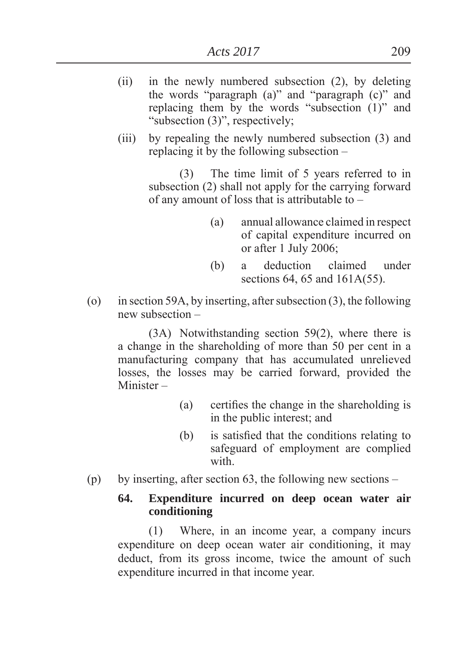- (ii) in the newly numbered subsection (2), by deleting the words "paragraph  $(a)$ " and "paragraph  $(c)$ " and replacing them by the words "subsection  $(1)$ " and "subsection  $(3)$ ", respectively;
- (iii) by repealing the newly numbered subsection (3) and replacing it by the following subsection –

(3) The time limit of 5 years referred to in subsection (2) shall not apply for the carrying forward of any amount of loss that is attributable to –

- (a) annual allowance claimed in respect of capital expenditure incurred on or after 1 July 2006
- (b) a deduction claimed under sections 64, 65 and 161A(55).
- (o) in section 59A, by inserting, after subsection (3), the following new subsection –

(3A) Notwithstanding section 59(2), where there is a change in the shareholding of more than 50 per cent in a manufacturing company that has accumulated unrelieved losses, the losses may be carried forward, provided the Minister –

- $(a)$  certifies the change in the shareholding is in the public interest; and
- $(b)$  is satisfied that the conditions relating to safeguard of employment are complied with
- (p) by inserting, after section 63, the following new sections –

### **64. Expenditure incurred on deep ocean water air conditioning**

(1) Where, in an income year, a company incurs expenditure on deep ocean water air conditioning, it may deduct, from its gross income, twice the amount of such expenditure incurred in that income year.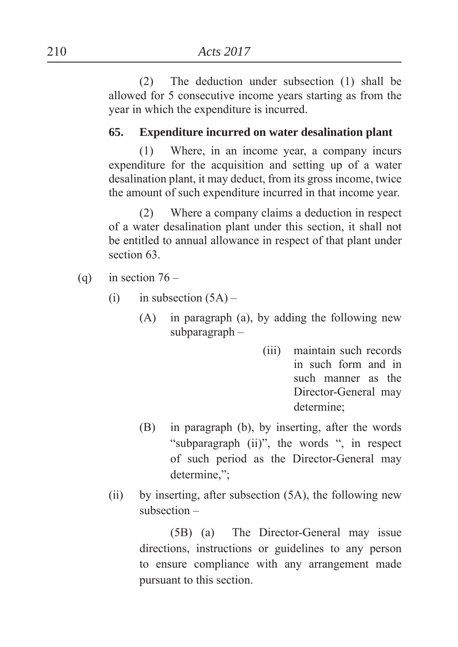(2) The deduction under subsection (1) shall be allowed for 5 consecutive income years starting as from the year in which the expenditure is incurred.

### **65. Expenditure incurred on water desalination plant**

(1) Where, in an income year, a company incurs expenditure for the acquisition and setting up of a water desalination plant, it may deduct, from its gross income, twice the amount of such expenditure incurred in that income year.

(2) Where a company claims a deduction in respect of a water desalination plant under this section, it shall not be entitled to annual allowance in respect of that plant under section 63.

- (q) in section  $76 -$ 
	- (i) in subsection  $(5A)$ 
		- (A) in paragraph (a), by adding the following new subparagraph –
			- (iii) maintain such records in such form and in such manner as the Director-General may determine
		- (B) in paragraph (b), by inserting, after the words "subparagraph (ii)", the words ", in respect of such period as the Director-General may determine,":
	- (ii) by inserting, after subsection (5A), the following new subsection –

(5B) (a) The Director-General may issue directions, instructions or guidelines to any person to ensure compliance with any arrangement made pursuant to this section.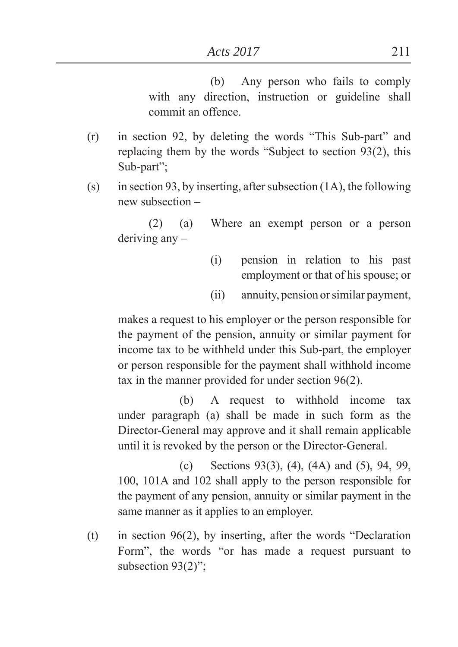(b) Any person who fails to comply with any direction, instruction or guideline shall commit an offence.

- $(r)$  in section 92, by deleting the words "This Sub-part" and replacing them by the words "Subject to section  $93(2)$ , this Sub-part":
- (s) in section 93, by inserting, after subsection  $(1A)$ , the following new subsection –

(2) (a) Where an exempt person or a person deriving any –

- (i) pension in relation to his past employment or that of his spouse; or
- (ii) annuity, pension or similar payment,

makes a request to his employer or the person responsible for the payment of the pension, annuity or similar payment for income tax to be withheld under this Sub-part, the employer or person responsible for the payment shall withhold income tax in the manner provided for under section 96(2).

 (b) A request to withhold income tax under paragraph (a) shall be made in such form as the Director-General may approve and it shall remain applicable until it is revoked by the person or the Director-General.

 (c) Sections 93(3), (4), (4A) and (5), 94, 99, 100, 101A and 102 shall apply to the person responsible for the payment of any pension, annuity or similar payment in the same manner as it applies to an employer.

(t) in section  $96(2)$ , by inserting, after the words "Declaration" Form", the words "or has made a request pursuant to subsection  $93(2)$ <sup>"</sup>.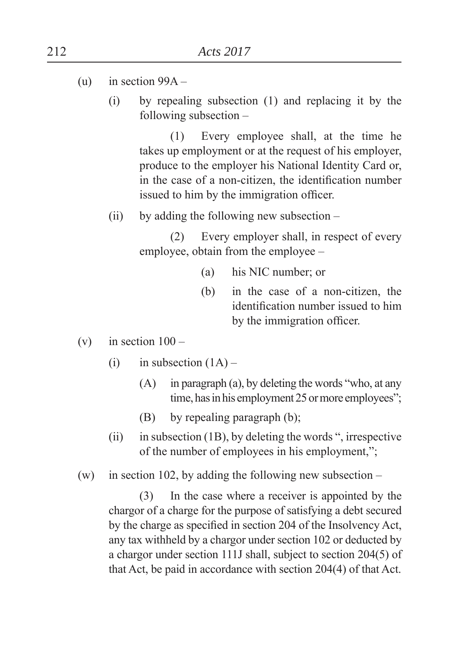- (u) in section  $99A -$ 
	- (i) by repealing subsection (1) and replacing it by the following subsection –

(1) Every employee shall, at the time he takes up employment or at the request of his employer, produce to the employer his National Identity Card or, in the case of a non-citizen, the identification number issued to him by the immigration officer.

(ii) by adding the following new subsection –

(2) Every employer shall, in respect of every employee, obtain from the employee –

- $(a)$  his NIC number; or
- (b) in the case of a non-citizen, the identification number issued to him by the immigration officer.
- (v) in section  $100 -$ 
	- (i) in subsection  $(1A)$ 
		- $(A)$  in paragraph  $(a)$ , by deleting the words "who, at any time, has in his employment 25 or more employees";
		- (B) by repealing paragraph (b);
	- (ii) in subsection (1B), by deleting the words  $\degree$ , irrespective of the number of employees in his employment,";
- (w) in section 102, by adding the following new subsection –

(3) In the case where a receiver is appointed by the chargor of a charge for the purpose of satisfying a debt secured by the charge as specified in section 204 of the Insolvency Act, any tax withheld by a chargor under section 102 or deducted by a chargor under section 111J shall, subject to section 204(5) of that Act, be paid in accordance with section 204(4) of that Act.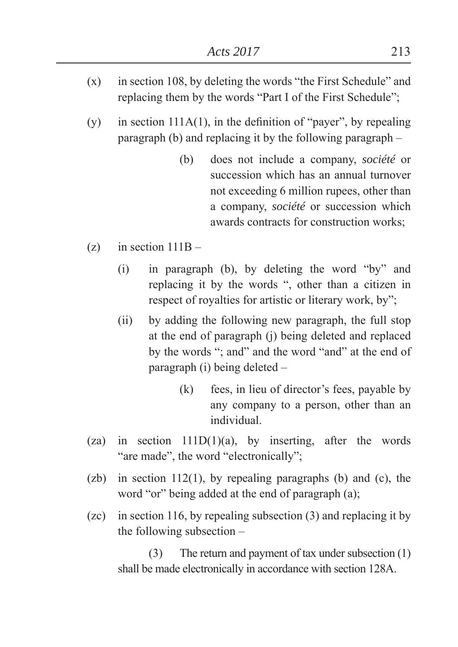- $(x)$  in section 108, by deleting the words "the First Schedule" and replacing them by the words "Part I of the First Schedule";
- (y) in section  $111A(1)$ , in the definition of "payer", by repealing paragraph (b) and replacing it by the following paragraph –
	- (b) does not include a company, *société* or succession which has an annual turnover not exceeding 6 million rupees, other than a company, *société* or succession which awards contracts for construction works
- $(z)$  in section  $111B -$ 
	- $(i)$  in paragraph  $(b)$ , by deleting the word "by" and replacing it by the words ", other than a citizen in respect of royalties for artistic or literary work, by";
	- (ii) by adding the following new paragraph, the full stop at the end of paragraph (j) being deleted and replaced by the words "; and" and the word "and" at the end of paragraph (i) being deleted –
		- (k) fees, in lieu of director's fees, payable by any company to a person, other than an individual.
- (za) in section  $111D(1)(a)$ , by inserting, after the words "are made", the word "electronically";
- $(zb)$  in section 112(1), by repealing paragraphs (b) and (c), the word "or" being added at the end of paragraph  $(a)$ ;
- (zc) in section 116, by repealing subsection (3) and replacing it by the following subsection –

(3) The return and payment of tax under subsection (1) shall be made electronically in accordance with section 128A.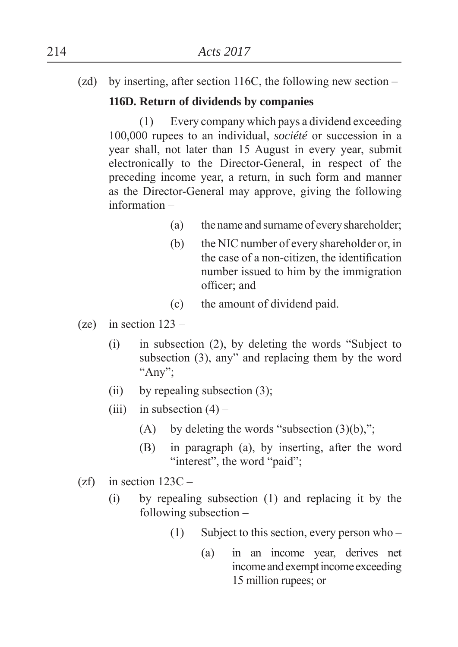(zd) by inserting, after section 116C, the following new section –

## **116D. Return of dividends by companies**

(1) Every company which pays a dividend exceeding 100,000 rupees to an individual, *société* or succession in a year shall, not later than 15 August in every year, submit electronically to the Director-General, in respect of the preceding income year, a return, in such form and manner as the Director-General may approve, giving the following information –

- (a) the name and surname of every shareholder
- (b) the NIC number of every shareholder or, in the case of a non-citizen, the identification number issued to him by the immigration officer; and
- (c) the amount of dividend paid.
- (ze) in section  $123 -$ 
	- $(i)$  in subsection  $(2)$ , by deleting the words "Subject to subsection  $(3)$ , any" and replacing them by the word "Any";
	- (ii) by repealing subsection  $(3)$ ;
	- (iii) in subsection  $(4)$ 
		- (A) by deleting the words "subsection  $(3)(b)$ ,";
		- (B) in paragraph (a), by inserting, after the word "interest", the word "paid";
- $(zf)$  in section  $123C -$ 
	- (i) by repealing subsection (1) and replacing it by the following subsection –
		- (1) Subject to this section, every person who
			- (a) in an income year, derives net income and exempt income exceeding 15 million rupees; or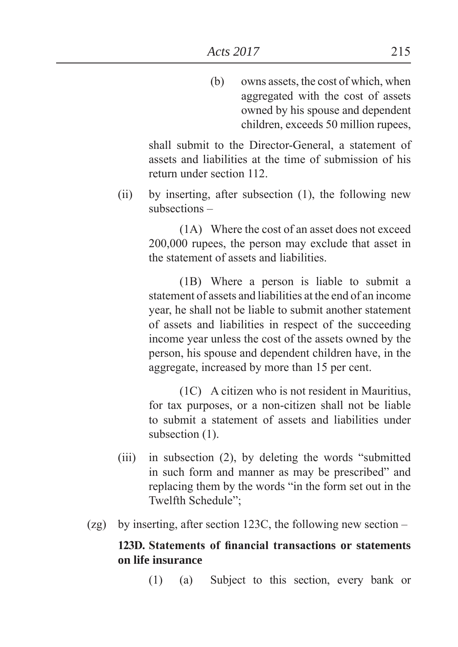(b) owns assets, the cost of which, when aggregated with the cost of assets owned by his spouse and dependent children, exceeds 50 million rupees,

 shall submit to the Director-General, a statement of assets and liabilities at the time of submission of his return under section 112.

(ii) by inserting, after subsection (1), the following new subsections –

> (1A) Where the cost of an asset does not exceed 200,000 rupees, the person may exclude that asset in the statement of assets and liabilities.

> (1B) Where a person is liable to submit a statement of assets and liabilities at the end of an income year, he shall not be liable to submit another statement of assets and liabilities in respect of the succeeding income year unless the cost of the assets owned by the person, his spouse and dependent children have, in the aggregate, increased by more than 15 per cent.

> (1C) A citizen who is not resident in Mauritius, for tax purposes, or a non-citizen shall not be liable to submit a statement of assets and liabilities under subsection  $(1)$ .

- (iii) in subsection  $(2)$ , by deleting the words "submitted in such form and manner as may be prescribed" and replacing them by the words "in the form set out in the Twelfth Schedule":
- (zg) by inserting, after section 123C, the following new section –

### 123D. Statements of financial transactions or statements **on life insurance**

(1) (a) Subject to this section, every bank or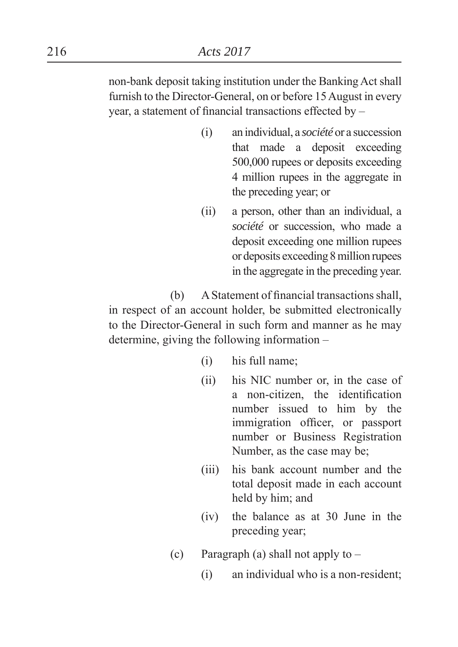non-bank deposit taking institution under the Banking Act shall furnish to the Director-General, on or before 15 August in every year, a statement of financial transactions effected by  $-$ 

- (i) an individual, a *société* or a succession that made a deposit exceeding 500,000 rupees or deposits exceeding 4 million rupees in the aggregate in the preceding year; or
- (ii) a person, other than an individual, a *société* or succession, who made a deposit exceeding one million rupees or deposits exceeding 8 million rupees in the aggregate in the preceding year.

 $(b)$  A Statement of financial transactions shall, in respect of an account holder, be submitted electronically to the Director-General in such form and manner as he may determine, giving the following information –

- (i) his full name
- (ii) his NIC number or, in the case of a non-citizen, the identification number issued to him by the immigration officer, or passport number or Business Registration Number, as the case may be
- (iii) his bank account number and the total deposit made in each account held by him; and
- (iv) the balance as at 30 June in the preceding year
- (c) Paragraph (a) shall not apply to  $-$ 
	- (i) an individual who is a non-resident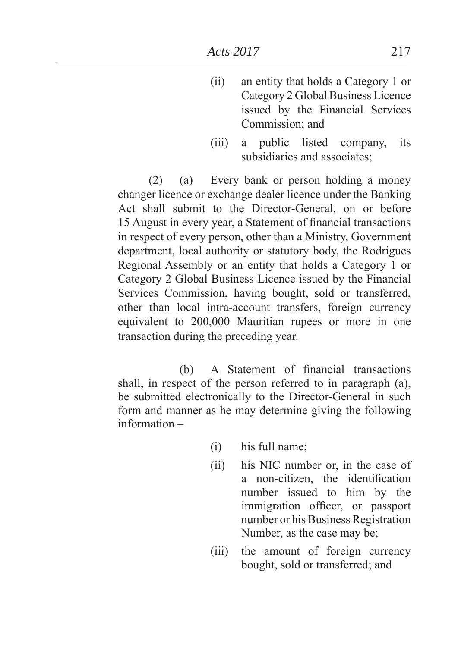- (ii) an entity that holds a Category 1 or Category 2 Global Business Licence issued by the Financial Services Commission: and
- (iii) a public listed company, its subsidiaries and associates

(2) (a) Every bank or person holding a money changer licence or exchange dealer licence under the Banking Act shall submit to the Director-General, on or before 15 August in every year, a Statement of financial transactions in respect of every person, other than a Ministry, Government department, local authority or statutory body, the Rodrigues Regional Assembly or an entity that holds a Category 1 or Category 2 Global Business Licence issued by the Financial Services Commission, having bought, sold or transferred, other than local intra-account transfers, foreign currency equivalent to 200,000 Mauritian rupees or more in one transaction during the preceding year.

(b) A Statement of financial transactions shall, in respect of the person referred to in paragraph (a), be submitted electronically to the Director-General in such form and manner as he may determine giving the following information –

- (i) his full name
- (ii) his NIC number or, in the case of a non-citizen, the identification number issued to him by the immigration officer, or passport number or his Business Registration Number, as the case may be
- (iii) the amount of foreign currency bought, sold or transferred; and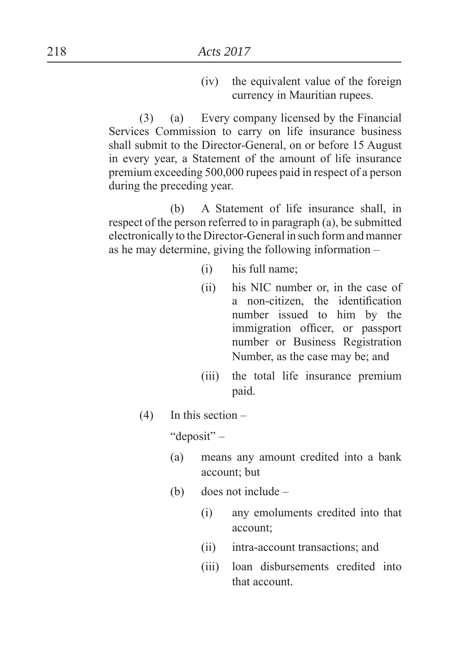(iv) the equivalent value of the foreign currency in Mauritian rupees.

(3) (a) Every company licensed by the Financial Services Commission to carry on life insurance business shall submit to the Director-General, on or before 15 August in every year, a Statement of the amount of life insurance premium exceeding 500,000 rupees paid in respect of a person during the preceding year.

 (b) A Statement of life insurance shall, in respect of the person referred to in paragraph (a), be submitted electronically to the Director-General in such form and manner as he may determine, giving the following information –

- (i) his full name
- (ii) his NIC number or, in the case of a non-citizen, the identification number issued to him by the immigration officer, or passport number or Business Registration Number, as the case may be; and
- (iii) the total life insurance premium paid.
- $(4)$  In this section –

"deposit" –

- (a) means any amount credited into a bank account: but
- (b) does not include
	- (i) any emoluments credited into that account
	- (ii) intra-account transactions; and
	- (iii) loan disbursements credited into that account.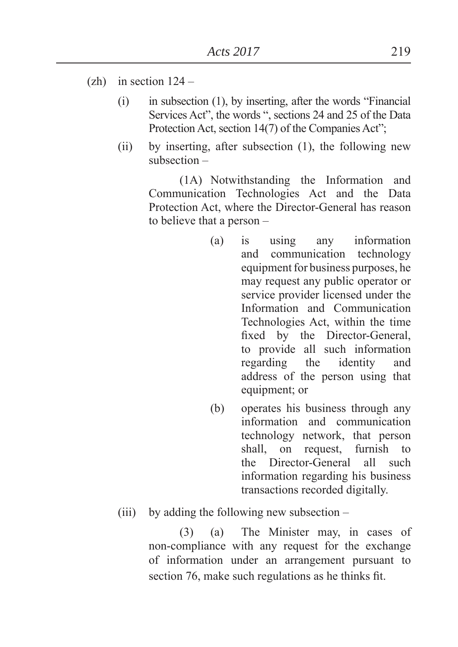- $(zh)$  in section  $124 -$ 
	- $(i)$  in subsection  $(1)$ , by inserting, after the words "Financial" Services Act", the words ", sections 24 and 25 of the Data Protection Act, section 14(7) of the Companies Act":
	- (ii) by inserting, after subsection (1), the following new subsection –

(1A) Notwithstanding the Information and Communication Technologies Act and the Data Protection Act, where the Director-General has reason to believe that a person –

- (a) is using any information and communication technology equipment for business purposes, he may request any public operator or service provider licensed under the Information and Communication Technologies Act, within the time fixed by the Director-General, to provide all such information regarding the identity and address of the person using that equipment; or
- (b) operates his business through any information and communication technology network, that person shall, on request, furnish to the Director-General all such information regarding his business transactions recorded digitally.
- (iii) by adding the following new subsection –

(3) (a) The Minister may, in cases of non-compliance with any request for the exchange of information under an arrangement pursuant to section 76, make such regulations as he thinks fit.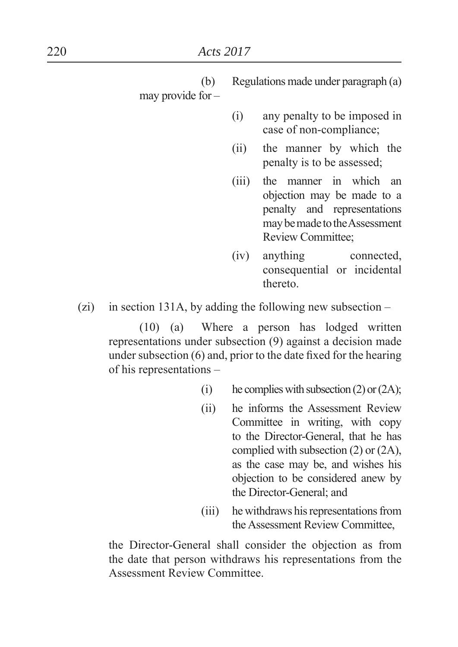(b) Regulations made under paragraph (a) may provide for –

- (i) any penalty to be imposed in case of non-compliance
- (ii) the manner by which the penalty is to be assessed
- (iii) the manner in which an objection may be made to a penalty and representations may be made to the Assessment Review Committee
- (iv) anything connected, consequential or incidental thereto.
- (zi) in section 131A, by adding the following new subsection  $-$

(10) (a) Where a person has lodged written representations under subsection (9) against a decision made under subsection  $(6)$  and, prior to the date fixed for the hearing of his representations –

- (i) he complies with subsection  $(2)$  or  $(2A)$ ;
- (ii) he informs the Assessment Review Committee in writing, with copy to the Director-General, that he has complied with subsection (2) or (2A), as the case may be, and wishes his objection to be considered anew by the Director-General; and
- (iii) he withdraws his representations from the Assessment Review Committee,

 the Director-General shall consider the objection as from the date that person withdraws his representations from the Assessment Review Committee.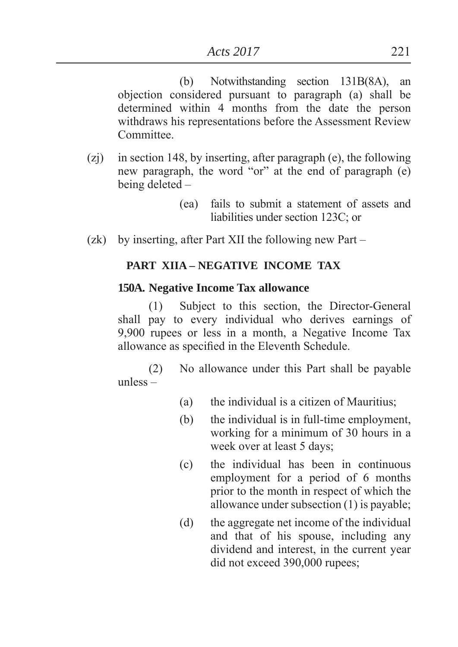(b) Notwithstanding section 131B(8A), an objection considered pursuant to paragraph (a) shall be determined within 4 months from the date the person withdraws his representations before the Assessment Review **Committee** 

- (zj) in section 148, by inserting, after paragraph (e), the following new paragraph, the word "or" at the end of paragraph (e) being deleted –
	- (ea) fails to submit a statement of assets and liabilities under section 123C; or
- (zk) by inserting, after Part XII the following new Part –

### **PART XIIA – NEGATIVE INCOME TAX**

#### **150A. Negative Income Tax allowance**

(1) Subject to this section, the Director-General shall pay to every individual who derives earnings of 9,900 rupees or less in a month, a Negative Income Tax allowance as specified in the Eleventh Schedule.

(2) No allowance under this Part shall be payable unless –

- (a) the individual is a citizen of Mauritius
- (b) the individual is in full-time employment, working for a minimum of 30 hours in a week over at least 5 days
- (c) the individual has been in continuous employment for a period of 6 months prior to the month in respect of which the allowance under subsection (1) is payable
- (d) the aggregate net income of the individual and that of his spouse, including any dividend and interest, in the current year did not exceed 390,000 rupees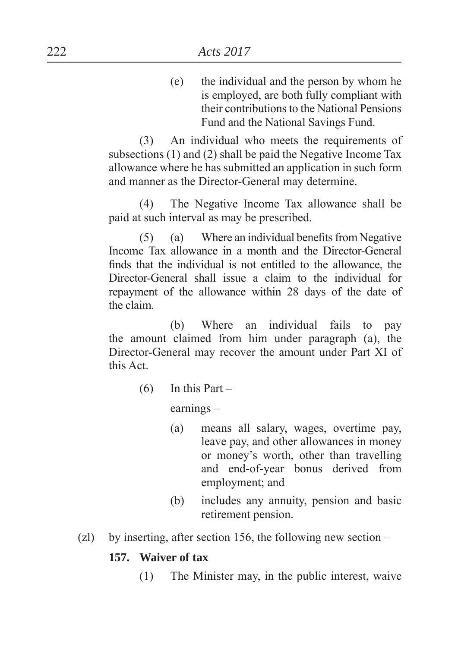(e) the individual and the person by whom he is employed, are both fully compliant with their contributions to the National Pensions Fund and the National Savings Fund.

(3) An individual who meets the requirements of subsections (1) and (2) shall be paid the Negative Income Tax allowance where he has submitted an application in such form and manner as the Director-General may determine.

(4) The Negative Income Tax allowance shall be paid at such interval as may be prescribed.

 $(5)$  (a) Where an individual benefits from Negative Income Tax allowance in a month and the Director-General finds that the individual is not entitled to the allowance, the Director-General shall issue a claim to the individual for repayment of the allowance within 28 days of the date of the claim.

 (b) Where an individual fails to pay the amount claimed from him under paragraph (a), the Director-General may recover the amount under Part XI of this Act.

 $(6)$  In this Part –

earnings –

- (a) means all salary, wages, overtime pay, leave pay, and other allowances in money or money's worth, other than travelling and end-of-year bonus derived from employment; and
- (b) includes any annuity, pension and basic retirement pension.
- (zl) by inserting, after section 156, the following new section –

#### **157. Waiver of tax**

(1) The Minister may, in the public interest, waive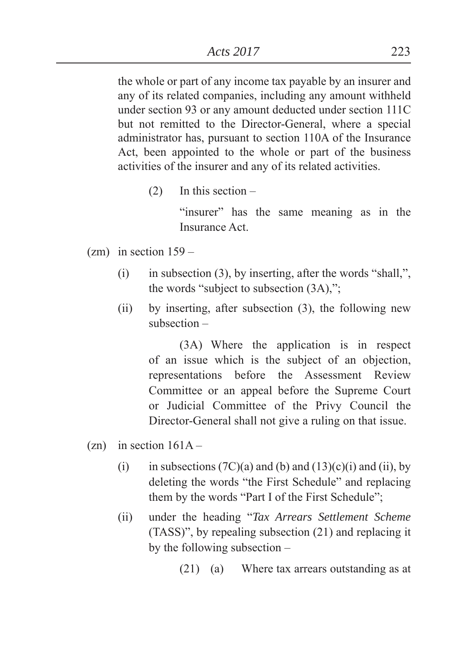the whole or part of any income tax payable by an insurer and any of its related companies, including any amount withheld under section 93 or any amount deducted under section 111C but not remitted to the Director-General, where a special administrator has, pursuant to section 110A of the Insurance Act, been appointed to the whole or part of the business activities of the insurer and any of its related activities.

(2) In this section –

"insurer" has the same meaning as in the Insurance Act.

- $(zm)$  in section  $159 -$ 
	- (i) in subsection (3), by inserting, after the words "shall,", the words "subject to subsection  $(3A)$ ,":
	- (ii) by inserting, after subsection (3), the following new subsection –

(3A) Where the application is in respect of an issue which is the subject of an objection, representations before the Assessment Review Committee or an appeal before the Supreme Court or Judicial Committee of the Privy Council the Director-General shall not give a ruling on that issue.

- $(zn)$  in section  $161A -$ 
	- (i) in subsections  $(7C)(a)$  and  $(b)$  and  $(13)(c)(i)$  and  $(ii)$ , by deleting the words "the First Schedule" and replacing them by the words "Part I of the First Schedule";
	- (ii) under the heading ³*Tax Arrears Settlement Scheme* (TASS)´, by repealing subsection (21) and replacing it by the following subsection –

(21) (a) Where tax arrears outstanding as at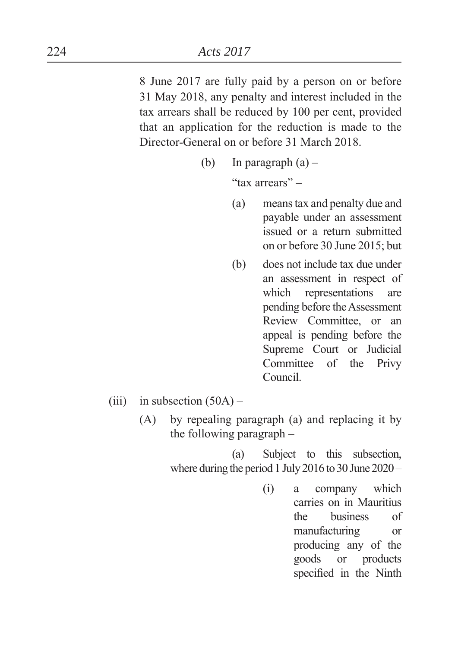8 June 2017 are fully paid by a person on or before 31 May 2018, any penalty and interest included in the tax arrears shall be reduced by 100 per cent, provided that an application for the reduction is made to the Director-General on or before 31 March 2018.

(b) In paragraph  $(a)$  –

"tax arrears" –

- (a) means tax and penalty due and payable under an assessment issued or a return submitted on or before 30 June 2015; but
- (b) does not include tax due under an assessment in respect of which representations are pending before the Assessment Review Committee, or an appeal is pending before the Supreme Court or Judicial Committee of the Privy Council.
- (iii) in subsection  $(50A)$ 
	- (A) by repealing paragraph (a) and replacing it by the following paragraph –

 (a) Subject to this subsection, where during the period 1 July 2016 to 30 June 2020 –

> (i) a company which carries on in Mauritius the business of manufacturing or producing any of the goods or products specified in the Ninth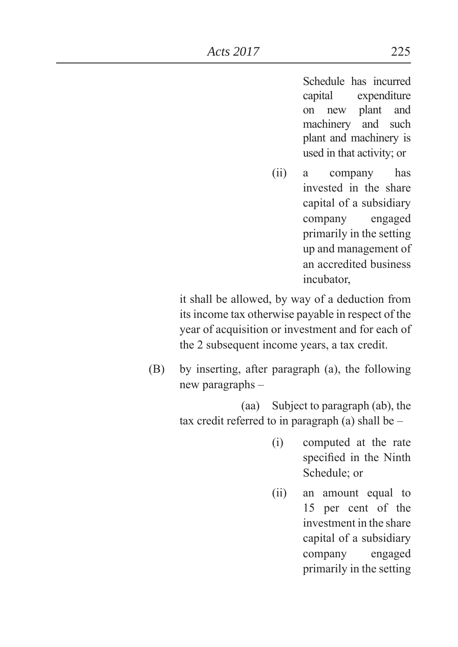Schedule has incurred capital expenditure on new plant and machinery and such plant and machinery is used in that activity; or

(ii) a company has invested in the share capital of a subsidiary company engaged primarily in the setting up and management of an accredited business incubator,

 it shall be allowed, by way of a deduction from its income tax otherwise payable in respect of the year of acquisition or investment and for each of the 2 subsequent income years, a tax credit.

(B) by inserting, after paragraph (a), the following new paragraphs –

> (aa) Subject to paragraph (ab), the tax credit referred to in paragraph (a) shall be –

- (i) computed at the rate specified in the Ninth Schedule; or
- (ii) an amount equal to 15 per cent of the investment in the share capital of a subsidiary company engaged primarily in the setting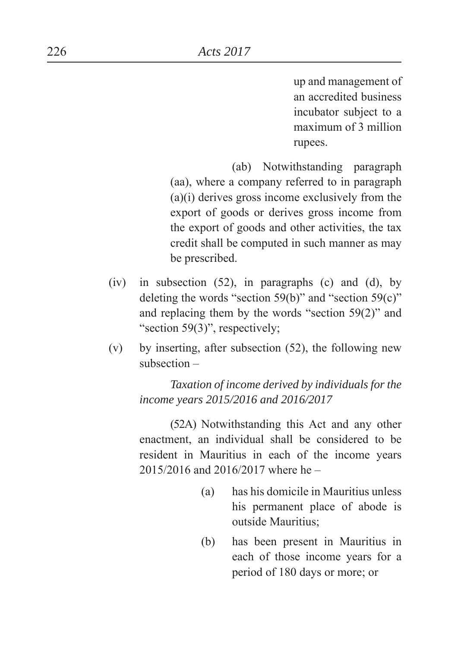up and management of an accredited business incubator subject to a maximum of 3 million rupees.

 (ab) Notwithstanding paragraph (aa), where a company referred to in paragraph (a)(i) derives gross income exclusively from the export of goods or derives gross income from the export of goods and other activities, the tax credit shall be computed in such manner as may be prescribed.

- $(iv)$  in subsection  $(52)$ , in paragraphs  $(c)$  and  $(d)$ , by deleting the words "section 59(b)" and "section 59(c)" and replacing them by the words "section  $59(2)$ " and "section  $59(3)$ ", respectively;
- (v) by inserting, after subsection (52), the following new subsection –

*Taxation of income derived by individuals for the income years 2015/2016 and 2016/2017*

(52A) Notwithstanding this Act and any other enactment, an individual shall be considered to be resident in Mauritius in each of the income years 2015/2016 and 2016/2017 where he –

- (a) has his domicile in Mauritius unless his permanent place of abode is outside Mauritius;
- (b) has been present in Mauritius in each of those income years for a period of 180 days or more; or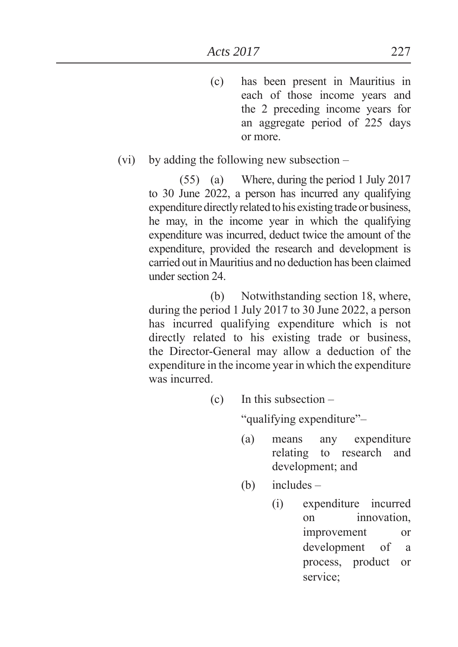(c) has been present in Mauritius in each of those income years and the 2 preceding income years for an aggregate period of 225 days or more.

### (vi) by adding the following new subsection –

(55) (a) Where, during the period 1 July 2017 to 30 June 2022, a person has incurred any qualifying expenditure directly related to his existing trade or business, he may, in the income year in which the qualifying expenditure was incurred, deduct twice the amount of the expenditure, provided the research and development is carried out in Mauritius and no deduction has been claimed under section 24.

 (b) Notwithstanding section 18, where, during the period 1 July 2017 to 30 June 2022, a person has incurred qualifying expenditure which is not directly related to his existing trade or business, the Director-General may allow a deduction of the expenditure in the income year in which the expenditure was incurred.

(c) In this subsection –

"qualifying expenditure"-

- (a) means any expenditure relating to research and development; and
- (b) includes
	- (i) expenditure incurred on innovation, improvement or development of a process, product or service: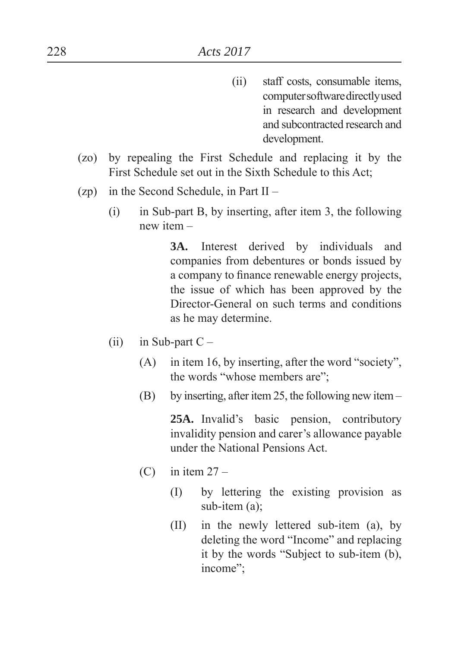- (ii) staff costs, consumable items, computer software directly used in research and development and subcontracted research and development.
- (zo) by repealing the First Schedule and replacing it by the First Schedule set out in the Sixth Schedule to this Act
- (zp) in the Second Schedule, in Part II
	- (i) in Sub-part B, by inserting, after item 3, the following new item –

**3A.** Interest derived by individuals and companies from debentures or bonds issued by a company to finance renewable energy projects, the issue of which has been approved by the Director-General on such terms and conditions as he may determine.

- (ii) in Sub-part  $C -$ 
	- $(A)$  in item 16, by inserting, after the word "society", the words "whose members are":
	- (B) by inserting, after item 25, the following new item –

**25A.** Invalid's basic pension, contributory invalidity pension and carer's allowance payable under the National Pensions Act.

- $(C)$  in item  $27 -$ 
	- (I) by lettering the existing provision as sub-item (a);
	- (II) in the newly lettered sub-item (a), by deleting the word "Income" and replacing it by the words "Subject to sub-item  $(b)$ , income";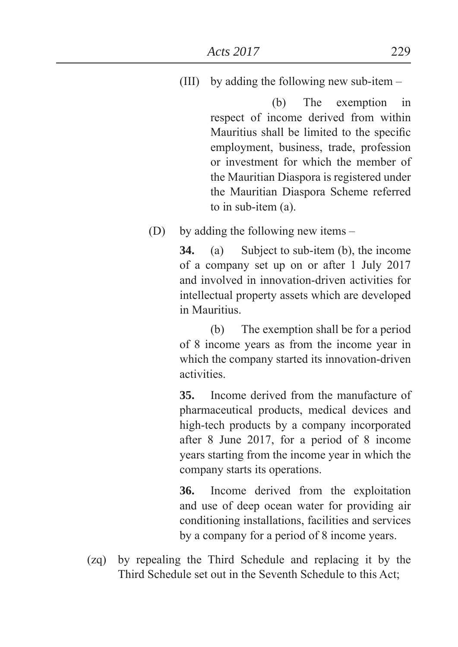(III) by adding the following new sub-item –

 (b) The exemption in respect of income derived from within Mauritius shall be limited to the specific employment, business, trade, profession or investment for which the member of the Mauritian Diaspora is registered under the Mauritian Diaspora Scheme referred to in sub-item (a).

(D) by adding the following new items –

**34.** (a) Subject to sub-item (b), the income of a company set up on or after 1 July 2017 and involved in innovation-driven activities for intellectual property assets which are developed in Mauritius.

 (b) The exemption shall be for a period of 8 income years as from the income year in which the company started its innovation-driven activities.

**35.** Income derived from the manufacture of pharmaceutical products, medical devices and high-tech products by a company incorporated after 8 June 2017, for a period of 8 income years starting from the income year in which the company starts its operations.

**36.** Income derived from the exploitation and use of deep ocean water for providing air conditioning installations, facilities and services by a company for a period of 8 income years.

(zq) by repealing the Third Schedule and replacing it by the Third Schedule set out in the Seventh Schedule to this Act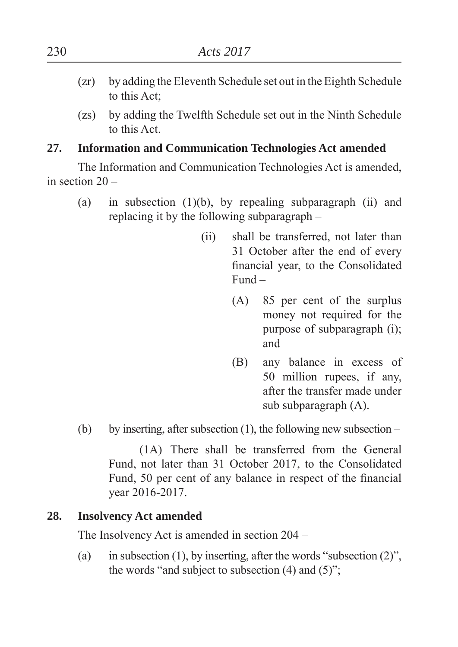- (zr) by adding the Eleventh Schedule set out in the Eighth Schedule to this Act
- (zs) by adding the Twelfth Schedule set out in the Ninth Schedule to this Act.

### **27. Information and Communication Technologies Act amended**

The Information and Communication Technologies Act is amended, in section 20 –

- (a) in subsection  $(1)(b)$ , by repealing subparagraph  $(ii)$  and replacing it by the following subparagraph –
	- (ii) shall be transferred, not later than 31 October after the end of every financial year, to the Consolidated Fund –
		- (A) 85 per cent of the surplus money not required for the purpose of subparagraph (i) and
		- (B) any balance in excess of 50 million rupees, if any, after the transfer made under sub subparagraph (A).
- (b) by inserting, after subsection  $(1)$ , the following new subsection –

(1A) There shall be transferred from the General Fund, not later than 31 October 2017, to the Consolidated Fund, 50 per cent of any balance in respect of the financial year 2016-2017.

## **28. Insolvency Act amended**

The Insolvency Act is amended in section 204 –

(a) in subsection (1), by inserting, after the words "subsection  $(2)$ ", the words "and subject to subsection  $(4)$  and  $(5)$ ";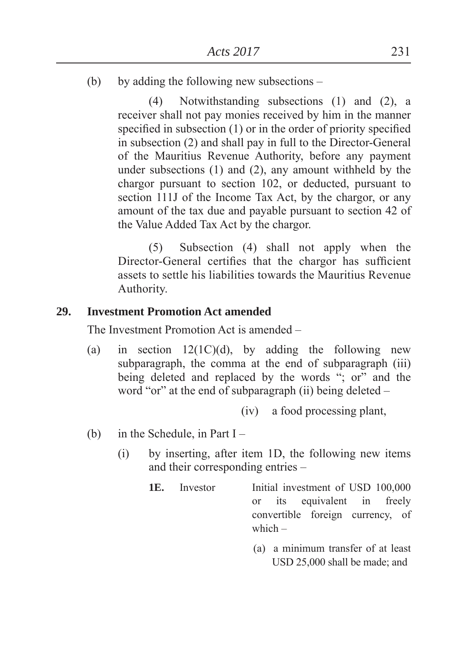(b) by adding the following new subsections –

(4) Notwithstanding subsections (1) and (2), a receiver shall not pay monies received by him in the manner specified in subsection  $(1)$  or in the order of priority specified in subsection (2) and shall pay in full to the Director-General of the Mauritius Revenue Authority, before any payment under subsections (1) and (2), any amount withheld by the chargor pursuant to section 102, or deducted, pursuant to section 111J of the Income Tax Act, by the chargor, or any amount of the tax due and payable pursuant to section 42 of the Value Added Tax Act by the chargor.

(5) Subsection (4) shall not apply when the Director-General certifies that the chargor has sufficient assets to settle his liabilities towards the Mauritius Revenue Authority.

#### **29. Investment Promotion Act amended**

The Investment Promotion Act is amended –

(a) in section  $12(1C)(d)$ , by adding the following new subparagraph, the comma at the end of subparagraph (iii) being deleted and replaced by the words "; or" and the word "or" at the end of subparagraph (ii) being deleted  $-$ 

(iv) a food processing plant,

- (b) in the Schedule, in Part I
	- (i) by inserting, after item 1D, the following new items and their corresponding entries –
		- **1E.** Investor Initial investment of USD 100,000 or its equivalent in freely convertible foreign currency, of which –
			- (a) a minimum transfer of at least  $USD 25,000$  shall be made; and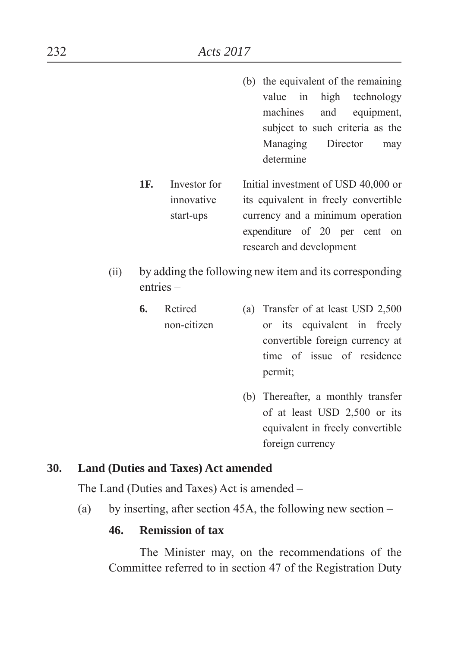- (b) the equivalent of the remaining value in high technology machines and equipment, subject to such criteria as the Managing Director may determine
- **1F.** Investor for Initial investment of USD 40,000 or innovative its equivalent in freely convertible start-ups currency and a minimum operation expenditure of 20 per cent on research and development
- (ii) by adding the following new item and its corresponding entries –
	- **6.** Retired (a) Transfer of at least USD 2,500 non-citizen or its equivalent in freely convertible foreign currency at time of issue of residence permit:
		- (b) Thereafter, a monthly transfer of at least USD 2,500 or its equivalent in freely convertible foreign currency

#### **30. Land (Duties and Taxes) Act amended**

The Land (Duties and Taxes) Act is amended –

(a) by inserting, after section 45A, the following new section –

### **46. Remission of tax**

The Minister may, on the recommendations of the Committee referred to in section 47 of the Registration Duty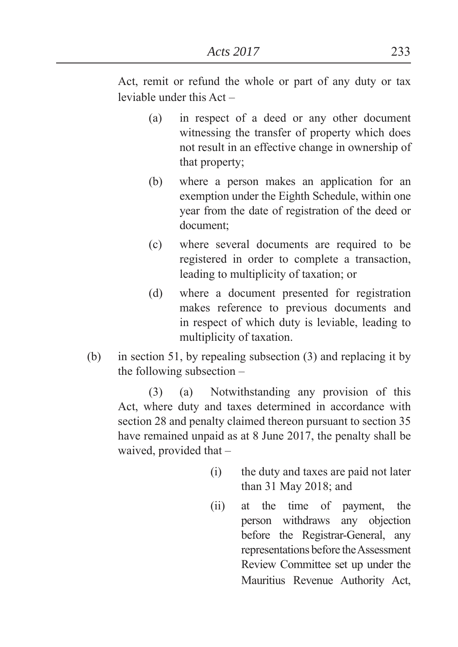Act, remit or refund the whole or part of any duty or tax leviable under this Act –

- (a) in respect of a deed or any other document witnessing the transfer of property which does not result in an effective change in ownership of that property
- (b) where a person makes an application for an exemption under the Eighth Schedule, within one year from the date of registration of the deed or document
- (c) where several documents are required to be registered in order to complete a transaction, leading to multiplicity of taxation; or
- (d) where a document presented for registration makes reference to previous documents and in respect of which duty is leviable, leading to multiplicity of taxation.
- (b) in section 51, by repealing subsection (3) and replacing it by the following subsection –

(3) (a) Notwithstanding any provision of this Act, where duty and taxes determined in accordance with section 28 and penalty claimed thereon pursuant to section 35 have remained unpaid as at 8 June 2017, the penalty shall be waived, provided that –

- (i) the duty and taxes are paid not later than  $31$  May  $2018$ ; and
- (ii) at the time of payment, the person withdraws any objection before the Registrar-General, any representations before the Assessment Review Committee set up under the Mauritius Revenue Authority Act,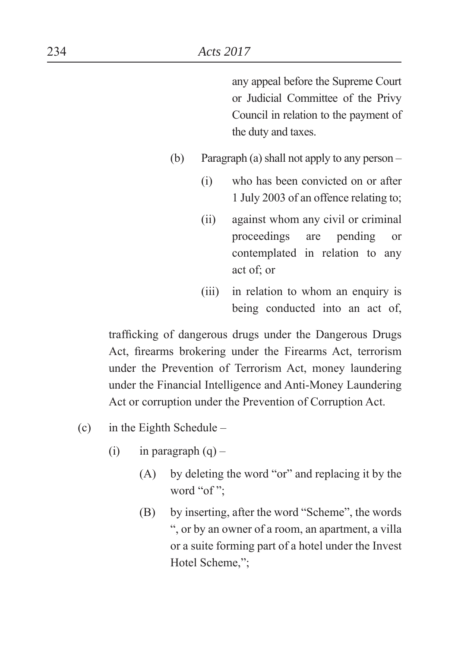any appeal before the Supreme Court or Judicial Committee of the Privy Council in relation to the payment of the duty and taxes.

- (b) Paragraph (a) shall not apply to any person
	- (i) who has been convicted on or after 1 July 2003 of an offence relating to
	- (ii) against whom any civil or criminal proceedings are pending or contemplated in relation to any act of; or
	- (iii) in relation to whom an enquiry is being conducted into an act of,

trafficking of dangerous drugs under the Dangerous Drugs Act, firearms brokering under the Firearms Act, terrorism under the Prevention of Terrorism Act, money laundering under the Financial Intelligence and Anti-Money Laundering Act or corruption under the Prevention of Corruption Act.

- (c) in the Eighth Schedule
	- (i) in paragraph  $(q)$ 
		- $(A)$  by deleting the word "or" and replacing it by the word "of":
		- $(B)$  by inserting, after the word "Scheme", the words ³, or by an owner of a room, an apartment, a villa or a suite forming part of a hotel under the Invest Hotel Scheme,":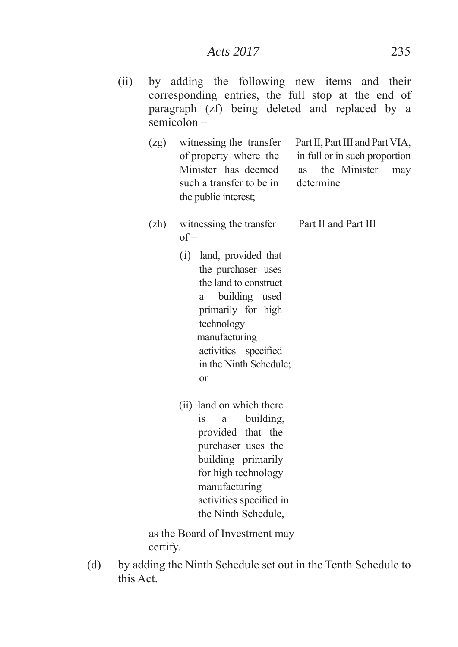| (ii) | by adding the following new items and their<br>corresponding entries, the full stop at the end of<br>paragraph (zf) being deleted and replaced by a<br>$semicolon -$ |                                                                                                                                                                                                                                                                                   |
|------|----------------------------------------------------------------------------------------------------------------------------------------------------------------------|-----------------------------------------------------------------------------------------------------------------------------------------------------------------------------------------------------------------------------------------------------------------------------------|
|      | (2g)                                                                                                                                                                 | witnessing the transfer<br>Part II, Part III and Part VIA,<br>of property where the<br>in full or in such proportion<br>Minister has deemed<br>the Minister<br><b>as</b><br>may<br>such a transfer to be in<br>determine<br>the public interest;                                  |
|      | (zh)                                                                                                                                                                 | Part II and Part III<br>witnessing the transfer<br>$of -$<br>(i) land, provided that<br>the purchaser uses<br>the land to construct<br>building used<br>a<br>primarily for high<br>technology<br>manufacturing<br>activities specified<br>in the Ninth Schedule;<br><sub>or</sub> |
|      |                                                                                                                                                                      | (ii) land on which there<br>building,<br>1S<br>$\mathbf{a}$<br>provided that the<br>purchaser uses the<br>building primarily<br>for high technology<br>manufacturing<br>activities specified in                                                                                   |

as the Board of Investment may certify.

(d) by adding the Ninth Schedule set out in the Tenth Schedule to this Act.

the Ninth Schedule,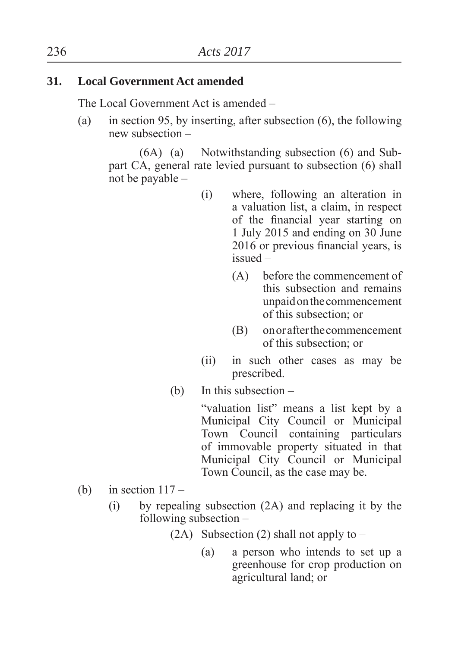### **31. Local Government Act amended**

The Local Government Act is amended –

(a) in section 95, by inserting, after subsection (6), the following new subsection –

(6A) (a) Notwithstanding subsection (6) and Subpart CA, general rate levied pursuant to subsection (6) shall not be payable –

- (i) where, following an alteration in a valuation list, a claim, in respect of the financial year starting on 1 July 2015 and ending on 30 June 2016 or previous financial years, is issued –
	- (A) before the commencement of this subsection and remains unpaid on the commencement of this subsection; or
	- (B) on or after the commencement of this subsection; or
- (ii) in such other cases as may be prescribed.
- (b) In this subsection –

"valuation list" means a list kept by a Municipal City Council or Municipal Town Council containing particulars of immovable property situated in that Municipal City Council or Municipal Town Council, as the case may be.

- (b) in section  $117 -$ 
	- (i) by repealing subsection (2A) and replacing it by the following subsection –
		- (2A) Subsection (2) shall not apply to  $-$ 
			- (a) a person who intends to set up a greenhouse for crop production on agricultural land; or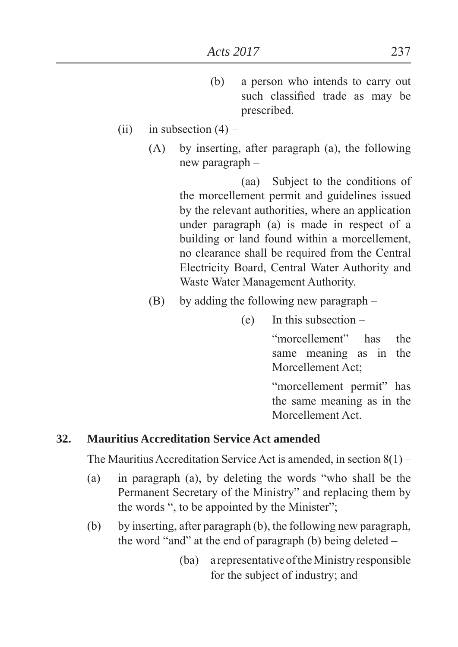- (b) a person who intends to carry out such classified trade as may be prescribed.
- (ii) in subsection  $(4)$ 
	- (A) by inserting, after paragraph (a), the following new paragraph –

 (aa) Subject to the conditions of the morcellement permit and guidelines issued by the relevant authorities, where an application under paragraph (a) is made in respect of a building or land found within a morcellement, no clearance shall be required from the Central Electricity Board, Central Water Authority and Waste Water Management Authority.

- (B) by adding the following new paragraph
	- (e) In this subsection –

"morcellement" has the same meaning as in the Morcellement Act:

"morcellement permit" has the same meaning as in the Morcellement Act.

## **32. Mauritius Accreditation Service Act amended**

The Mauritius Accreditation Service Act is amended, in section 8(1) –

- (a) in paragraph (a), by deleting the words "who shall be the Permanent Secretary of the Ministry" and replacing them by the words ", to be appointed by the Minister";
- (b) by inserting, after paragraph (b), the following new paragraph, the word "and" at the end of paragraph (b) being deleted  $-$ 
	- (ba) a representative of the Ministry responsible for the subject of industry; and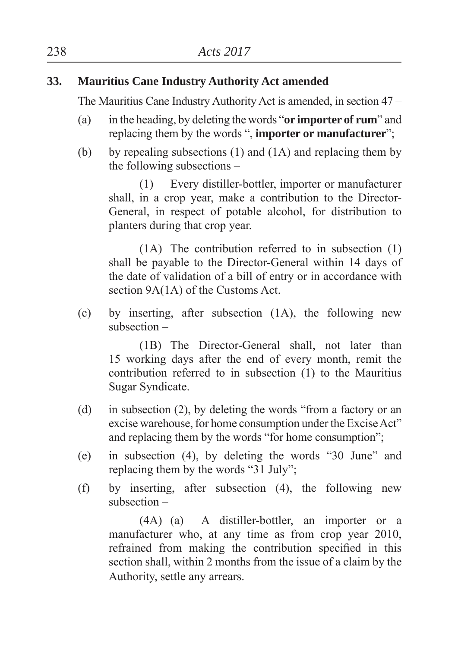## **33. Mauritius Cane Industry Authority Act amended**

The Mauritius Cane Industry Authority Act is amended, in section 47 –

- (a) in the heading, by deleting the words "**or importer of rum**" and replacing them by the words ", **importer or manufacturer**";
- (b) by repealing subsections  $(1)$  and  $(1A)$  and replacing them by the following subsections –

(1) Every distiller-bottler, importer or manufacturer shall, in a crop year, make a contribution to the Director-General, in respect of potable alcohol, for distribution to planters during that crop year.

(1A) The contribution referred to in subsection (1) shall be payable to the Director-General within 14 days of the date of validation of a bill of entry or in accordance with section 9A(1A) of the Customs Act.

(c) by inserting, after subsection (1A), the following new subsection –

(1B) The Director-General shall, not later than 15 working days after the end of every month, remit the contribution referred to in subsection (1) to the Mauritius Sugar Syndicate.

- (d) in subsection  $(2)$ , by deleting the words "from a factory or an excise warehouse, for home consumption under the Excise Act" and replacing them by the words "for home consumption";
- (e) in subsection  $(4)$ , by deleting the words "30 June" and replacing them by the words " $31 \text{ July}$ ".
- (f) by inserting, after subsection (4), the following new subsection –

(4A) (a) A distiller-bottler, an importer or a manufacturer who, at any time as from crop year 2010, refrained from making the contribution specified in this section shall, within 2 months from the issue of a claim by the Authority, settle any arrears.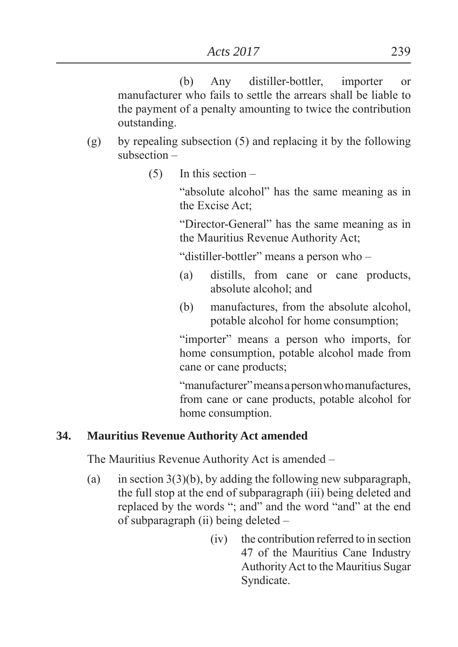(b) Any distiller-bottler, importer or manufacturer who fails to settle the arrears shall be liable to the payment of a penalty amounting to twice the contribution outstanding.

- (g) by repealing subsection (5) and replacing it by the following subsection –
	- $(5)$  In this section –

"absolute alcohol" has the same meaning as in the Excise Act

"Director-General" has the same meaning as in the Mauritius Revenue Authority Act

"distiller-bottler" means a person who –

- (a) distills, from cane or cane products, absolute alcohol; and
- (b) manufactures, from the absolute alcohol, potable alcohol for home consumption

"importer" means a person who imports, for home consumption, potable alcohol made from cane or cane products

"manufacturer" means a person who manufactures, from cane or cane products, potable alcohol for home consumption.

## **34. Mauritius Revenue Authority Act amended**

The Mauritius Revenue Authority Act is amended –

- (a) in section  $3(3)(b)$ , by adding the following new subparagraph, the full stop at the end of subparagraph (iii) being deleted and replaced by the words "; and" and the word "and" at the end of subparagraph (ii) being deleted –
	- (iv) the contribution referred to in section 47 of the Mauritius Cane Industry Authority Act to the Mauritius Sugar Syndicate.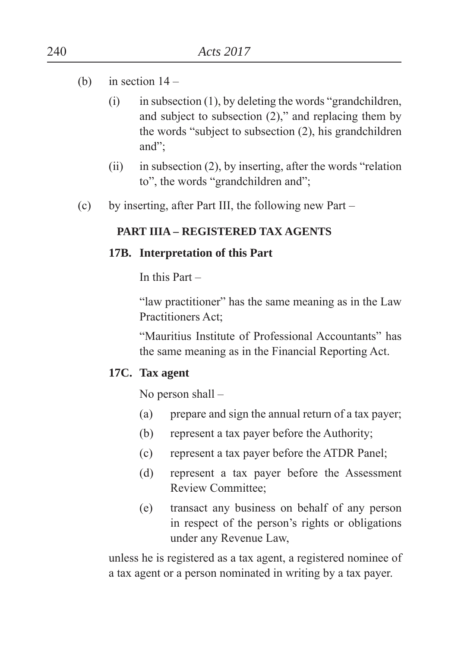- (b) in section  $14 -$ 
	- $(i)$  in subsection  $(1)$ , by deleting the words "grandchildren, and subject to subsection  $(2)$ ," and replacing them by the words "subject to subsection  $(2)$ , his grandchildren and":
	- (ii) in subsection  $(2)$ , by inserting, after the words "relation" to", the words "grandchildren and";
- (c) by inserting, after Part III, the following new Part –

## **PART IIIA – REGISTERED TAX AGENTS**

### **17B. Interpretation of this Part**

In this Part –

"law practitioner" has the same meaning as in the Law Practitioners Act

"Mauritius Institute of Professional Accountants" has the same meaning as in the Financial Reporting Act.

## **17C. Tax agent**

No person shall –

- (a) prepare and sign the annual return of a tax payer
- (b) represent a tax payer before the Authority
- (c) represent a tax payer before the ATDR Panel
- (d) represent a tax payer before the Assessment Review Committee
- (e) transact any business on behalf of any person in respect of the person's rights or obligations under any Revenue Law,

 unless he is registered as a tax agent, a registered nominee of a tax agent or a person nominated in writing by a tax payer.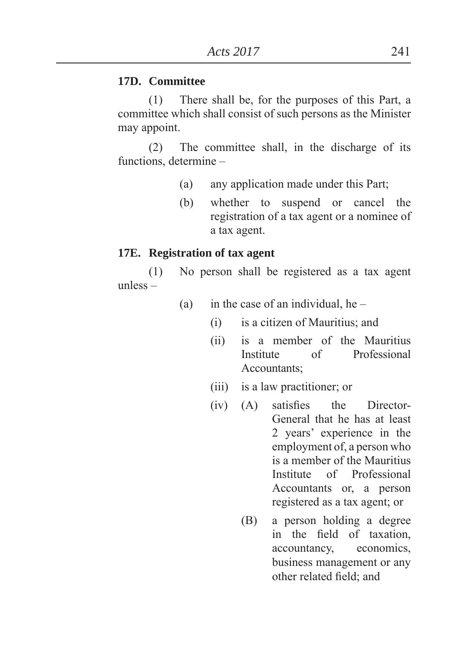#### **17D. Committee**

(1) There shall be, for the purposes of this Part, a committee which shall consist of such persons as the Minister may appoint.

(2) The committee shall, in the discharge of its functions, determine –

- (a) any application made under this Part
- (b) whether to suspend or cancel the registration of a tax agent or a nominee of a tax agent.

#### **17E. Registration of tax agent**

 (1) No person shall be registered as a tax agent unless –

- (a) in the case of an individual, he
	- $(i)$  is a citizen of Mauritius; and
	- (ii) is a member of the Mauritius Institute of Professional Accountants:
	- $(iii)$  is a law practitioner; or
	- $(iv)$   $(A)$  satisfies the Director-General that he has at least 2 years' experience in the employment of, a person who is a member of the Mauritius Institute of Professional Accountants or, a person registered as a tax agent; or
		- (B) a person holding a degree in the field of taxation, accountancy, economics, business management or any other related field: and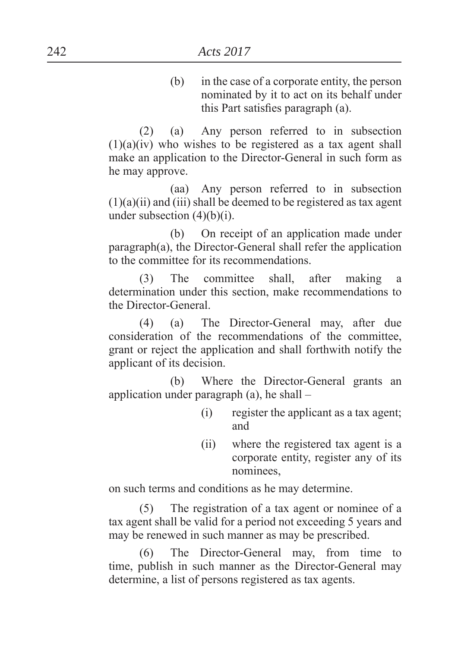(b) in the case of a corporate entity, the person nominated by it to act on its behalf under this Part satisfies paragraph  $(a)$ .

 (2) (a) Any person referred to in subsection  $(1)(a)(iv)$  who wishes to be registered as a tax agent shall make an application to the Director-General in such form as he may approve.

 (aa) Any person referred to in subsection  $(1)(a)(ii)$  and  $(iii)$  shall be deemed to be registered as tax agent under subsection  $(4)(b)(i)$ .

 (b) On receipt of an application made under paragraph(a), the Director-General shall refer the application to the committee for its recommendations.

 (3) The committee shall, after making a determination under this section, make recommendations to the Director-General.

 (4) (a) The Director-General may, after due consideration of the recommendations of the committee, grant or reject the application and shall forthwith notify the applicant of its decision.

 (b) Where the Director-General grants an application under paragraph (a), he shall –

- (i) register the applicant as a tax agent and
- (ii) where the registered tax agent is a corporate entity, register any of its nominees,

on such terms and conditions as he may determine.

 (5) The registration of a tax agent or nominee of a tax agent shall be valid for a period not exceeding 5 years and may be renewed in such manner as may be prescribed.

 (6) The Director-General may, from time to time, publish in such manner as the Director-General may determine, a list of persons registered as tax agents.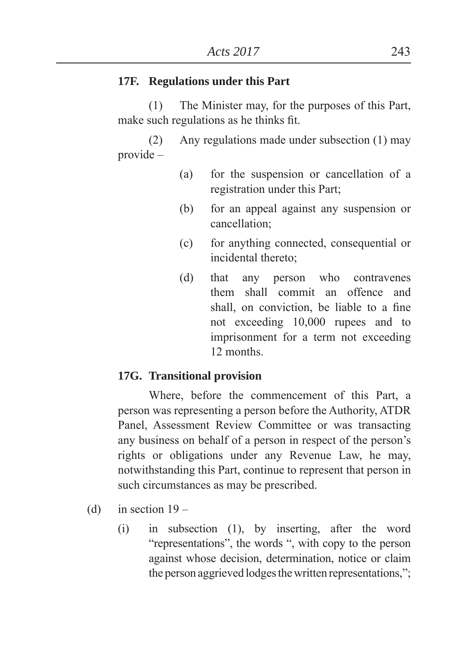#### **17F. Regulations under this Part**

 (1) The Minister may, for the purposes of this Part, make such regulations as he thinks fit.

 (2) Any regulations made under subsection (1) may provide –

- (a) for the suspension or cancellation of a registration under this Part
- (b) for an appeal against any suspension or cancellation
- (c) for anything connected, consequential or incidental thereto
- (d) that any person who contravenes them shall commit an offence and shall, on conviction, be liable to a fine not exceeding 10,000 rupees and to imprisonment for a term not exceeding 12 months.

#### **17G. Transitional provision**

 Where, before the commencement of this Part, a person was representing a person before the Authority, ATDR Panel, Assessment Review Committee or was transacting any business on behalf of a person in respect of the person's rights or obligations under any Revenue Law, he may, notwithstanding this Part, continue to represent that person in such circumstances as may be prescribed.

- (d) in section  $19 -$ 
	- (i) in subsection (1), by inserting, after the word "representations", the words ", with copy to the person against whose decision, determination, notice or claim the person aggrieved lodges the written representations,";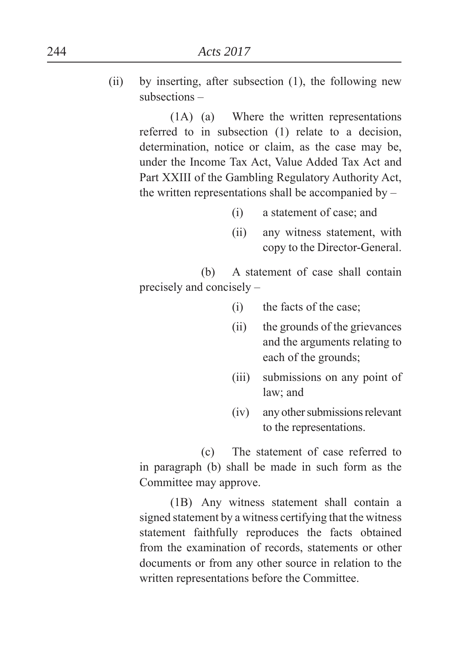(ii) by inserting, after subsection (1), the following new subsections –

> (1A) (a) Where the written representations referred to in subsection (1) relate to a decision, determination, notice or claim, as the case may be, under the Income Tax Act, Value Added Tax Act and Part XXIII of the Gambling Regulatory Authority Act, the written representations shall be accompanied by –

- (i) a statement of case; and
- (ii) any witness statement, with copy to the Director-General.

 (b) A statement of case shall contain precisely and concisely –

- (i) the facts of the case
- (ii) the grounds of the grievances and the arguments relating to each of the grounds
- (iii) submissions on any point of law; and
- (iv) any other submissions relevant to the representations.

 (c) The statement of case referred to in paragraph (b) shall be made in such form as the Committee may approve.

 (1B) Any witness statement shall contain a signed statement by a witness certifying that the witness statement faithfully reproduces the facts obtained from the examination of records, statements or other documents or from any other source in relation to the written representations before the Committee.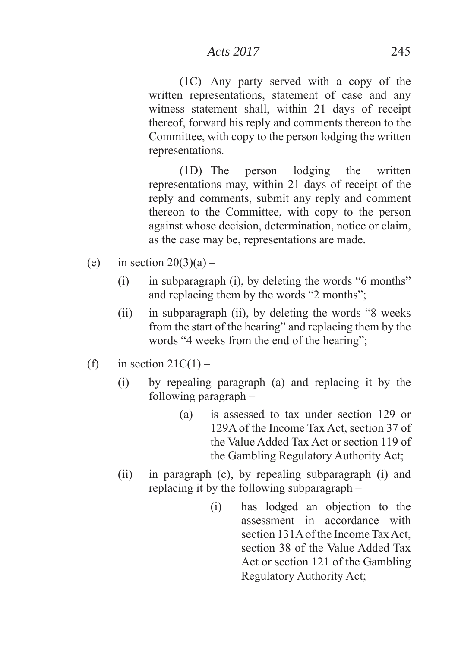(1C) Any party served with a copy of the written representations, statement of case and any witness statement shall, within 21 days of receipt thereof, forward his reply and comments thereon to the Committee, with copy to the person lodging the written representations.

 (1D) The person lodging the written representations may, within 21 days of receipt of the reply and comments, submit any reply and comment thereon to the Committee, with copy to the person against whose decision, determination, notice or claim, as the case may be, representations are made.

- (e) in section  $20(3)(a)$ 
	- $(i)$  in subparagraph  $(i)$ , by deleting the words "6 months" and replacing them by the words  $"2$  months";
	- $(ii)$  in subparagraph  $(ii)$ , by deleting the words "8 weeks" from the start of the hearing" and replacing them by the words "4 weeks from the end of the hearing";
- (f) in section  $21C(1)$ 
	- (i) by repealing paragraph (a) and replacing it by the following paragraph –
		- (a) is assessed to tax under section 129 or 129A of the Income Tax Act, section 37 of the Value Added Tax Act or section 119 of the Gambling Regulatory Authority Act
	- (ii) in paragraph (c), by repealing subparagraph (i) and replacing it by the following subparagraph –
		- (i) has lodged an objection to the assessment in accordance with section 131A of the Income Tax Act, section 38 of the Value Added Tax Act or section 121 of the Gambling Regulatory Authority Act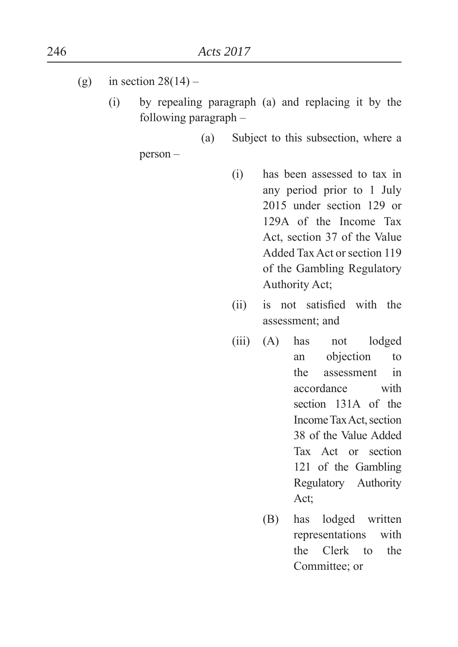- (g) in section  $28(14)$ 
	- (i) by repealing paragraph (a) and replacing it by the following paragraph –

(a) Subject to this subsection, where a

person –

- (i) has been assessed to tax in any period prior to 1 July 2015 under section 129 or 129A of the Income Tax Act, section 37 of the Value Added Tax Act or section 119 of the Gambling Regulatory Authority Act
- (ii) is not satisfied with the assessment; and
- (iii) (A) has not lodged an objection to the assessment in accordance with section 131A of the Income Tax Act, section 38 of the Value Added Tax Act or section 121 of the Gambling Regulatory Authority Act;
	- (B) has lodged written representations with the Clerk to the Committee; or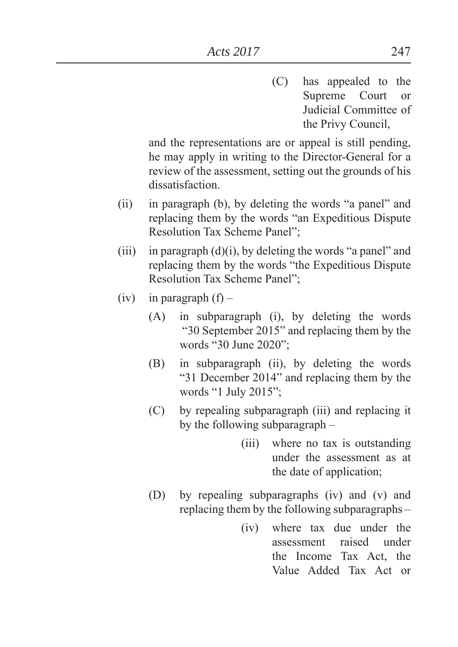(C) has appealed to the Supreme Court or Judicial Committee of the Privy Council,

and the representations are or appeal is still pending, he may apply in writing to the Director-General for a review of the assessment, setting out the grounds of his dissatisfaction.

- $(ii)$  in paragraph  $(b)$ , by deleting the words "a panel" and replacing them by the words "an Expeditious Dispute" Resolution Tax Scheme Panel":
- (iii) in paragraph  $(d)(i)$ , by deleting the words "a panel" and replacing them by the words "the Expeditious Dispute Resolution Tax Scheme Panel":
- $(iv)$  in paragraph  $(f)$ 
	- (A) in subparagraph (i), by deleting the words ³30 September 2015´ and replacing them by the words "30 June 2020";
	- (B) in subparagraph (ii), by deleting the words "31 December 2014" and replacing them by the words "1 July  $2015$ ";
	- (C) by repealing subparagraph (iii) and replacing it by the following subparagraph –
		- (iii) where no tax is outstanding under the assessment as at the date of application
	- (D) by repealing subparagraphs (iv) and (v) and replacing them by the following subparagraphs –
		- (iv) where tax due under the assessment raised under the Income Tax Act, the Value Added Tax Act or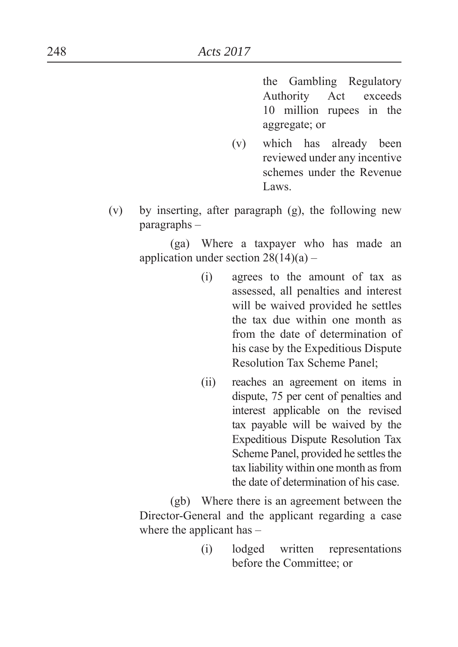the Gambling Regulatory Authority Act exceeds 10 million rupees in the aggregate; or

- (v) which has already been reviewed under any incentive schemes under the Revenue Laws.
- (v) by inserting, after paragraph (g), the following new paragraphs –

 (ga) Where a taxpayer who has made an application under section  $28(14)(a)$  –

- (i) agrees to the amount of tax as assessed, all penalties and interest will be waived provided he settles the tax due within one month as from the date of determination of his case by the Expeditious Dispute Resolution Tax Scheme Panel
- (ii) reaches an agreement on items in dispute, 75 per cent of penalties and interest applicable on the revised tax payable will be waived by the Expeditious Dispute Resolution Tax Scheme Panel, provided he settles the tax liability within one month as from the date of determination of his case.

 (gb) Where there is an agreement between the Director-General and the applicant regarding a case where the applicant has –

> (i) lodged written representations before the Committee; or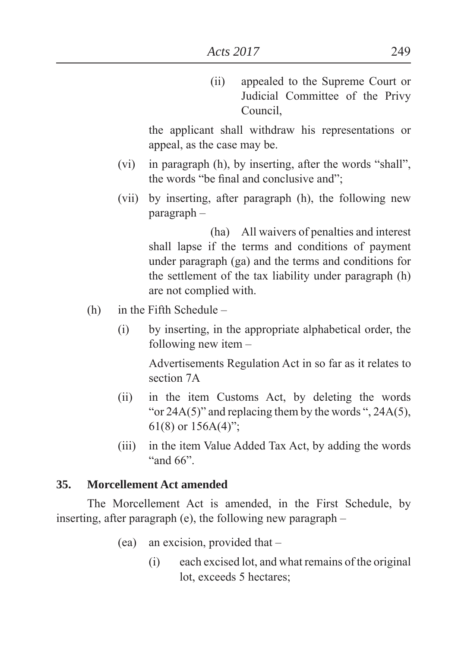(ii) appealed to the Supreme Court or Judicial Committee of the Privy Council,

 the applicant shall withdraw his representations or appeal, as the case may be.

- (vi) in paragraph  $(h)$ , by inserting, after the words "shall", the words "be final and conclusive and":
- (vii) by inserting, after paragraph (h), the following new paragraph –

 (ha) All waivers of penalties and interest shall lapse if the terms and conditions of payment under paragraph (ga) and the terms and conditions for the settlement of the tax liability under paragraph (h) are not complied with.

- (h) in the Fifth Schedule
	- (i) by inserting, in the appropriate alphabetical order, the following new item –

 Advertisements Regulation Act in so far as it relates to section 7A

- (ii) in the item Customs Act, by deleting the words "or  $24A(5)$ " and replacing them by the words ",  $24A(5)$ , 61(8) or  $156A(4)$ ".
- (iii) in the item Value Added Tax Act, by adding the words "and  $66$ ".

#### **35. Morcellement Act amended**

 The Morcellement Act is amended, in the First Schedule, by inserting, after paragraph (e), the following new paragraph –

- (ea) an excision, provided that
	- (i) each excised lot, and what remains of the original lot, exceeds 5 hectares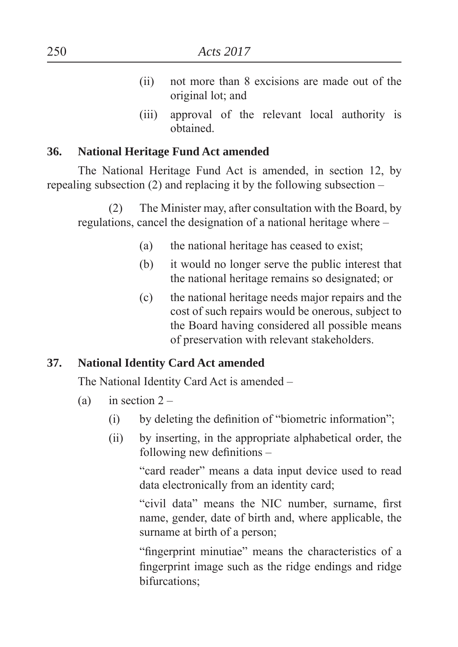- (ii) not more than 8 excisions are made out of the original lot; and
- (iii) approval of the relevant local authority is obtained.

### **36. National Heritage Fund Act amended**

 The National Heritage Fund Act is amended, in section 12, by repealing subsection (2) and replacing it by the following subsection –

(2) The Minister may, after consultation with the Board, by regulations, cancel the designation of a national heritage where –

- (a) the national heritage has ceased to exist
- (b) it would no longer serve the public interest that the national heritage remains so designated; or
- (c) the national heritage needs major repairs and the cost of such repairs would be onerous, subject to the Board having considered all possible means of preservation with relevant stakeholders.

## **37. National Identity Card Act amended**

The National Identity Card Act is amended –

- (a) in section  $2 -$ 
	- $(i)$  by deleting the definition of "biometric information";
	- (ii) by inserting, in the appropriate alphabetical order, the following new definitions  $-$

"card reader" means a data input device used to read data electronically from an identity card

"civil data" means the NIC number, surname, first name, gender, date of birth and, where applicable, the surname at birth of a person;

"fingerprint minutiae" means the characteristics of a fingerprint image such as the ridge endings and ridge bifurcations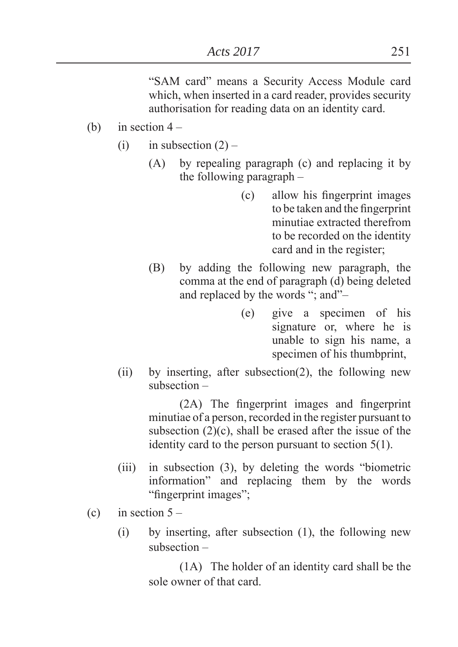"SAM card" means a Security Access Module card which, when inserted in a card reader, provides security authorisation for reading data on an identity card.

- (b) in section  $4 -$ 
	- (i) in subsection  $(2)$ 
		- (A) by repealing paragraph (c) and replacing it by the following paragraph –
			- (c) allow his fingerprint images to be taken and the fingerprint minutiae extracted therefrom to be recorded on the identity card and in the register
		- (B) by adding the following new paragraph, the comma at the end of paragraph (d) being deleted and replaced by the words "; and"-
			- (e) give a specimen of his signature or, where he is unable to sign his name, a specimen of his thumbprint,
	- (ii) by inserting, after subsection(2), the following new subsection –

 $(2A)$  The fingerprint images and fingerprint minutiae of a person, recorded in the register pursuant to subsection  $(2)(c)$ , shall be erased after the issue of the identity card to the person pursuant to section 5(1).

- $(iii)$  in subsection  $(3)$ , by deleting the words "biometric information" and replacing them by the words "fingerprint images";
- (c) in section  $5 -$ 
	- (i) by inserting, after subsection (1), the following new subsection –

 (1A) The holder of an identity card shall be the sole owner of that card.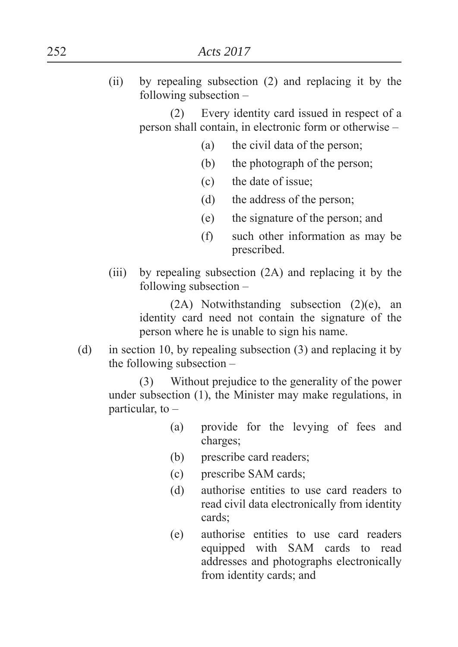(ii) by repealing subsection (2) and replacing it by the following subsection –

 (2) Every identity card issued in respect of a person shall contain, in electronic form or otherwise –

- (a) the civil data of the person
- (b) the photograph of the person
- (c) the date of issue
- (d) the address of the person
- $(e)$  the signature of the person; and
- (f) such other information as may be prescribed.
- (iii) by repealing subsection (2A) and replacing it by the following subsection –

 (2A) Notwithstanding subsection (2)(e), an identity card need not contain the signature of the person where he is unable to sign his name.

(d) in section 10, by repealing subsection (3) and replacing it by the following subsection –

 (3) Without prejudice to the generality of the power under subsection (1), the Minister may make regulations, in particular, to  $-$ 

- (a) provide for the levying of fees and charges
- (b) prescribe card readers
- (c) prescribe SAM cards
- (d) authorise entities to use card readers to read civil data electronically from identity cards:
- (e) authorise entities to use card readers equipped with SAM cards to read addresses and photographs electronically from identity cards; and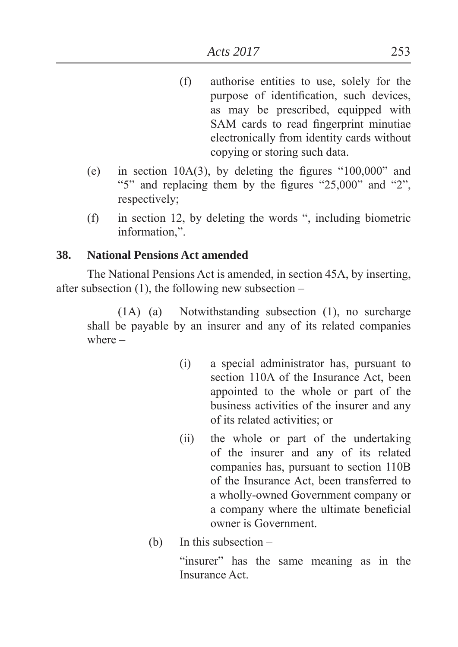- (f) authorise entities to use, solely for the purpose of identification, such devices, as may be prescribed, equipped with SAM cards to read fingerprint minutiae electronically from identity cards without copying or storing such data.
- (e) in section  $10A(3)$ , by deleting the figures " $100,000$ " and " $5$ " and replacing them by the figures " $25,000$ " and " $2$ ", respectively;
- $(f)$  in section 12, by deleting the words ", including biometric information.".

## **38. National Pensions Act amended**

 The National Pensions Act is amended, in section 45A, by inserting, after subsection  $(1)$ , the following new subsection –

(1A) (a) Notwithstanding subsection (1), no surcharge shall be payable by an insurer and any of its related companies where –

- (i) a special administrator has, pursuant to section 110A of the Insurance Act, been appointed to the whole or part of the business activities of the insurer and any of its related activities or
- (ii) the whole or part of the undertaking of the insurer and any of its related companies has, pursuant to section 110B of the Insurance Act, been transferred to a wholly-owned Government company or a company where the ultimate beneficial owner is Government.
- (b) In this subsection –

"insurer" has the same meaning as in the Insurance Act.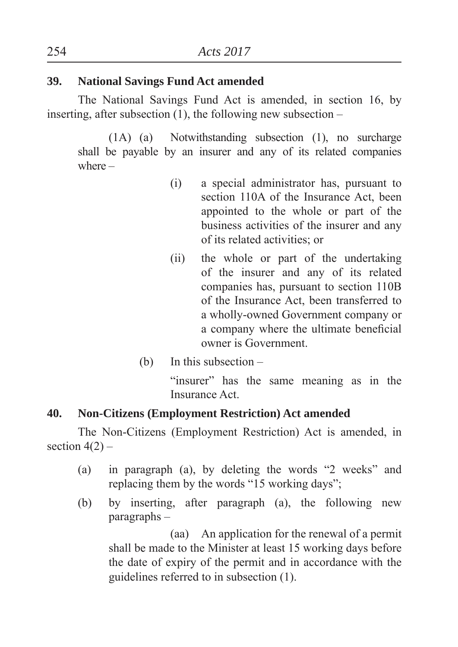## **39. National Savings Fund Act amended**

 The National Savings Fund Act is amended, in section 16, by inserting, after subsection (1), the following new subsection –

(1A) (a) Notwithstanding subsection (1), no surcharge shall be payable by an insurer and any of its related companies where –

- (i) a special administrator has, pursuant to section 110A of the Insurance Act, been appointed to the whole or part of the business activities of the insurer and any of its related activities or
- (ii) the whole or part of the undertaking of the insurer and any of its related companies has, pursuant to section 110B of the Insurance Act, been transferred to a wholly-owned Government company or a company where the ultimate beneficial owner is Government.
- (b) In this subsection –

"insurer" has the same meaning as in the Insurance Act.

# **40. Non-Citizens (Employment Restriction) Act amended**

 The Non-Citizens (Employment Restriction) Act is amended, in section  $4(2)$  –

- (a) in paragraph (a), by deleting the words  $2$  weeks<sup>"</sup> and replacing them by the words "15 working days";
- (b) by inserting, after paragraph (a), the following new paragraphs –

 (aa) An application for the renewal of a permit shall be made to the Minister at least 15 working days before the date of expiry of the permit and in accordance with the guidelines referred to in subsection (1).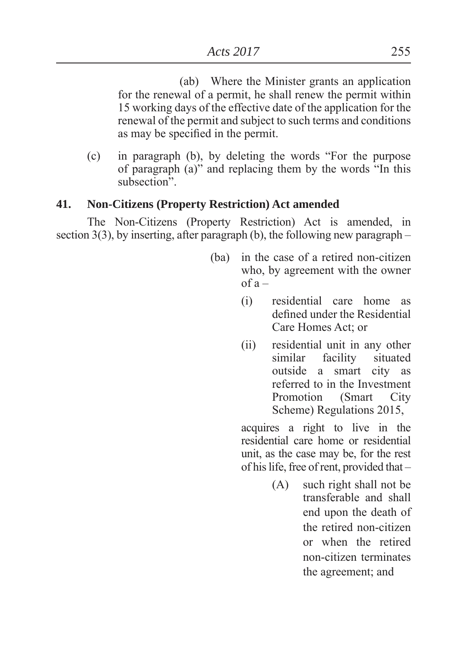(ab) Where the Minister grants an application for the renewal of a permit, he shall renew the permit within 15 working days of the effective date of the application for the renewal of the permit and subject to such terms and conditions as may be specified in the permit.

 $(c)$  in paragraph  $(b)$ , by deleting the words "For the purpose" of paragraph  $(a)$ " and replacing them by the words "In this subsection"

## **41. Non-Citizens (Property Restriction) Act amended**

 The Non-Citizens (Property Restriction) Act is amended, in section  $3(3)$ , by inserting, after paragraph (b), the following new paragraph –

- (ba) in the case of a retired non-citizen who, by agreement with the owner  $of a -$ 
	- (i) residential care home as defined under the Residential Care Homes Act; or
	- (ii) residential unit in any other similar facility situated outside a smart city as referred to in the Investment Promotion (Smart City Scheme) Regulations 2015,

 acquires a right to live in the residential care home or residential unit, as the case may be, for the rest of his life, free of rent, provided that –

> (A) such right shall not be transferable and shall end upon the death of the retired non-citizen or when the retired non-citizen terminates the agreement; and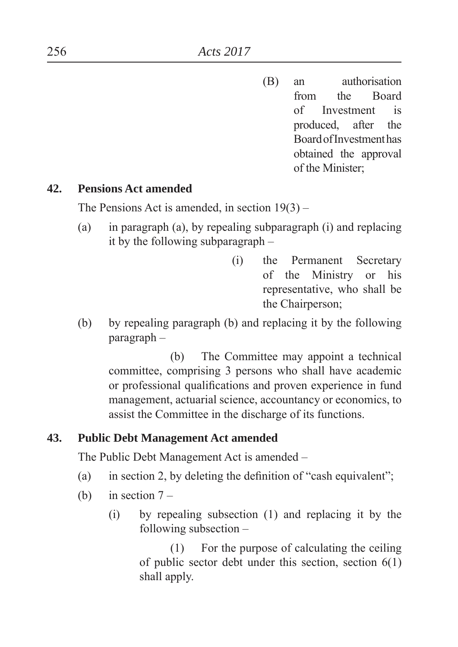(B) an authorisation from the Board of Investment is produced, after the Board of Investment has obtained the approval of the Minister

### **42. Pensions Act amended**

The Pensions Act is amended, in section  $19(3)$  –

- (a) in paragraph (a), by repealing subparagraph (i) and replacing it by the following subparagraph –
	- (i) the Permanent Secretary of the Ministry or his representative, who shall be the Chairperson
- (b) by repealing paragraph (b) and replacing it by the following paragraph –

 (b) The Committee may appoint a technical committee, comprising 3 persons who shall have academic or professional qualifications and proven experience in fund management, actuarial science, accountancy or economics, to assist the Committee in the discharge of its functions.

### **43. Public Debt Management Act amended**

The Public Debt Management Act is amended –

- (a) in section 2, by deleting the definition of "cash equivalent";
- (b) in section  $7 -$ 
	- (i) by repealing subsection (1) and replacing it by the following subsection –

 (1) For the purpose of calculating the ceiling of public sector debt under this section, section  $6(1)$ shall apply.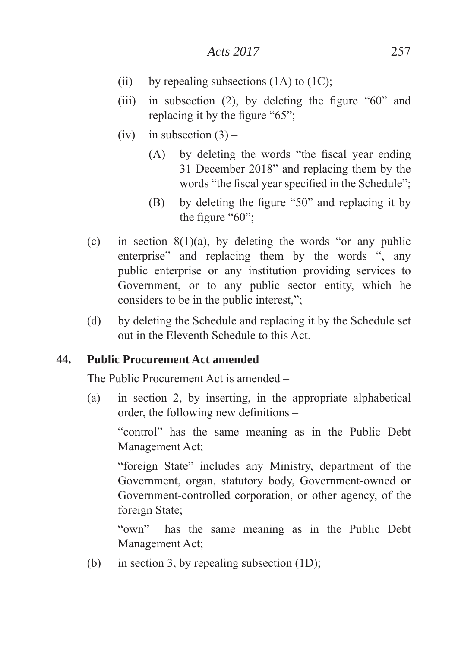- (ii) by repealing subsections  $(1A)$  to  $(1C)$ ;
- (iii) in subsection  $(2)$ , by deleting the figure "60" and replacing it by the figure " $65$ ";
- (iv) in subsection  $(3)$ 
	- $(A)$  by deleting the words "the fiscal year ending 31 December 2018" and replacing them by the words "the fiscal year specified in the Schedule";
	- (B) by deleting the figure  $\degree$ 50 $\degree$  and replacing it by the figure " $60$ ";
- (c) in section  $8(1)(a)$ , by deleting the words "or any public enterprise" and replacing them by the words ", any public enterprise or any institution providing services to Government, or to any public sector entity, which he considers to be in the public interest,";
- (d) by deleting the Schedule and replacing it by the Schedule set out in the Eleventh Schedule to this Act.

### **44. Public Procurement Act amended**

The Public Procurement Act is amended –

(a) in section 2, by inserting, in the appropriate alphabetical order, the following new definitions  $-$ 

"control" has the same meaning as in the Public Debt Management Act

"foreign State" includes any Ministry, department of the Government, organ, statutory body, Government-owned or Government-controlled corporation, or other agency, of the foreign State

³own´ has the same meaning as in the Public Debt Management Act;

(b) in section 3, by repealing subsection  $(1D)$ ;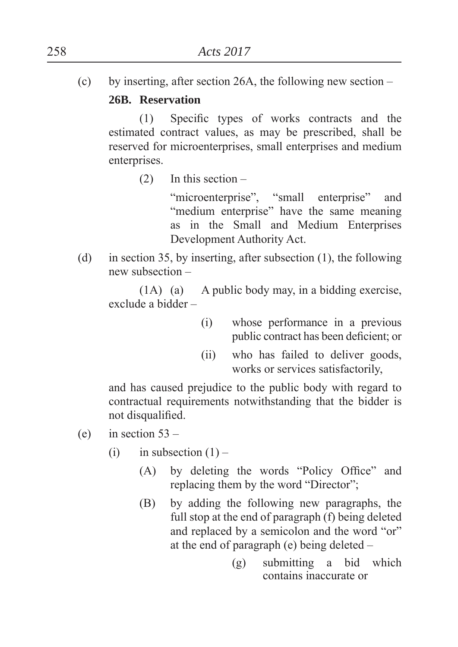(c) by inserting, after section 26A, the following new section –

## **26B. Reservation**

(1) Specific types of works contracts and the estimated contract values, as may be prescribed, shall be reserved for microenterprises, small enterprises and medium enterprises.

(2) In this section –

"microenterprise", "small enterprise" and "medium enterprise" have the same meaning as in the Small and Medium Enterprises Development Authority Act.

(d) in section 35, by inserting, after subsection (1), the following new subsection –

 (1A) (a) A public body may, in a bidding exercise, exclude a bidder –

- (i) whose performance in a previous public contract has been deficient; or
- (ii) who has failed to deliver goods, works or services satisfactorily,

 and has caused prejudice to the public body with regard to contractual requirements notwithstanding that the bidder is not disqualified.

- (e) in section  $53 -$ 
	- (i) in subsection  $(1)$ 
		- $(A)$  by deleting the words "Policy Office" and replacing them by the word "Director";
		- (B) by adding the following new paragraphs, the full stop at the end of paragraph (f) being deleted and replaced by a semicolon and the word "or" at the end of paragraph (e) being deleted –
			- (g) submitting a bid which contains inaccurate or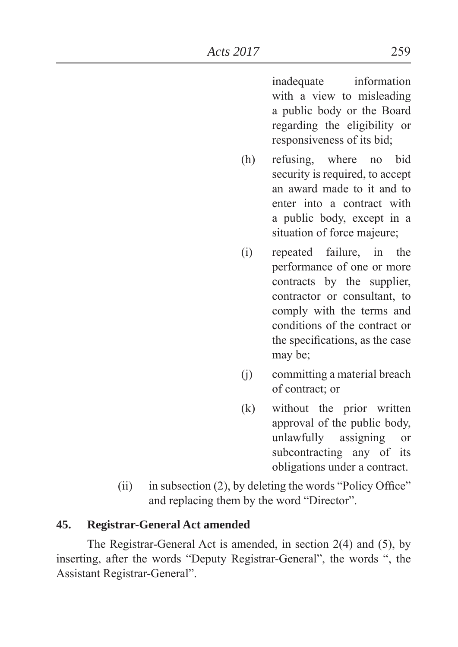inadequate information with a view to misleading a public body or the Board regarding the eligibility or responsiveness of its bid

- (h) refusing, where no bid security is required, to accept an award made to it and to enter into a contract with a public body, except in a situation of force majeure;
- (i) repeated failure, in the performance of one or more contracts by the supplier, contractor or consultant, to comply with the terms and conditions of the contract or the specifications, as the case may be;
- (j) committing a material breach of contract: or
- (k) without the prior written approval of the public body, unlawfully assigning or subcontracting any of its obligations under a contract.
- $(ii)$  in subsection (2), by deleting the words "Policy Office" and replacing them by the word "Director".

### **45. Registrar-General Act amended**

 The Registrar-General Act is amended, in section 2(4) and (5), by inserting, after the words "Deputy Registrar-General", the words ", the Assistant Registrar-General".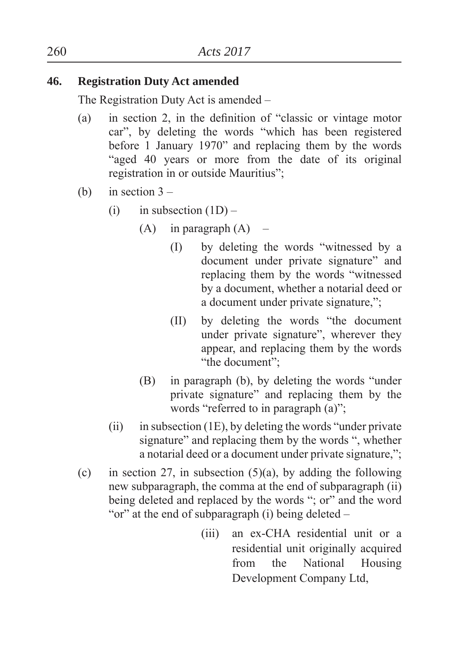## **46. Registration Duty Act amended**

The Registration Duty Act is amended –

- (a) in section 2, in the definition of "classic or vintage motor car", by deleting the words "which has been registered before 1 January 1970" and replacing them by the words "aged 40 years or more from the date of its original registration in or outside Mauritius";
- (b) in section  $3 -$ 
	- (i) in subsection  $(1D)$ 
		- $(A)$  in paragraph  $(A)$ 
			- $(I)$  by deleting the words "witnessed by a document under private signature" and replacing them by the words "witnessed by a document, whether a notarial deed or a document under private signature,";
			- (II) by deleting the words "the document" under private signature", wherever they appear, and replacing them by the words "the document":
		- $(B)$  in paragraph  $(b)$ , by deleting the words "under private signature" and replacing them by the words "referred to in paragraph  $(a)$ ".
	- (ii) in subsection (1E), by deleting the words "under private" signature" and replacing them by the words ", whether a notarial deed or a document under private signature,";
- (c) in section 27, in subsection  $(5)(a)$ , by adding the following new subparagraph, the comma at the end of subparagraph (ii) being deleted and replaced by the words "; or" and the word "or" at the end of subparagraph (i) being deleted  $-$ 
	- (iii) an ex-CHA residential unit or a residential unit originally acquired from the National Housing Development Company Ltd,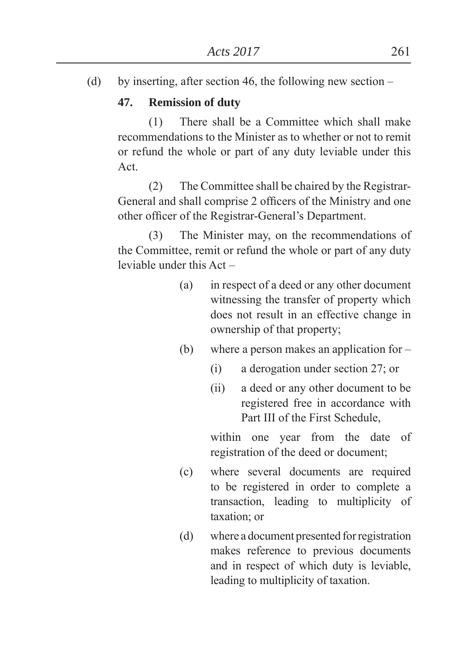(d) by inserting, after section 46, the following new section –

# **47. Remission of duty**

 (1) There shall be a Committee which shall make recommendations to the Minister as to whether or not to remit or refund the whole or part of any duty leviable under this Act.

 (2) The Committee shall be chaired by the Registrar-General and shall comprise 2 officers of the Ministry and one other officer of the Registrar-General's Department.

 (3) The Minister may, on the recommendations of the Committee, remit or refund the whole or part of any duty leviable under this Act –

- (a) in respect of a deed or any other document witnessing the transfer of property which does not result in an effective change in ownership of that property
- (b) where a person makes an application for
	- (i) a derogation under section 27; or
	- (ii) a deed or any other document to be registered free in accordance with Part III of the First Schedule,

 within one year from the date of registration of the deed or document

- (c) where several documents are required to be registered in order to complete a transaction, leading to multiplicity of taxation; or
- (d) where a document presented for registration makes reference to previous documents and in respect of which duty is leviable, leading to multiplicity of taxation.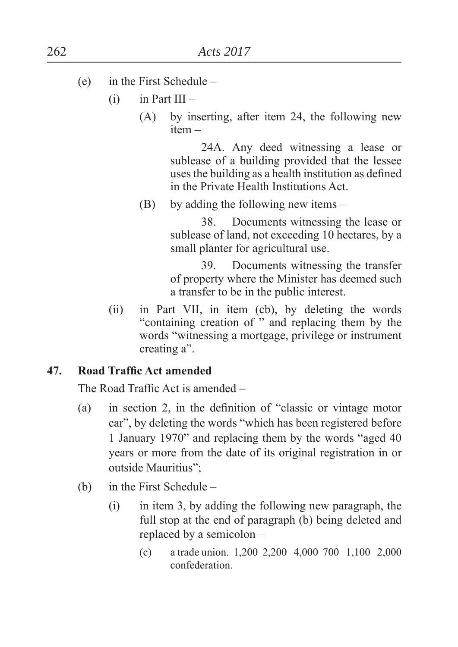- (e) in the First Schedule
	- $(i)$  in Part III
		- (A) by inserting, after item 24, the following new item –

 24A. Any deed witnessing a lease or sublease of a building provided that the lessee uses the building as a health institution as defined in the Private Health Institutions Act.

(B) by adding the following new items –

 38. Documents witnessing the lease or sublease of land, not exceeding 10 hectares, by a small planter for agricultural use.

 39. Documents witnessing the transfer of property where the Minister has deemed such a transfer to be in the public interest.

(ii) in Part VII, in item (cb), by deleting the words "containing creation of " and replacing them by the words "witnessing a mortgage, privilege or instrument creating a".

### **47.** Road Traffic Act amended

The Road Traffic Act is amended –

- $(a)$  in section 2, in the definition of "classic or vintage motor car", by deleting the words "which has been registered before 1 January 1970" and replacing them by the words "aged 40 years or more from the date of its original registration in or outside Mauritius":
- (b) in the First Schedule
	- (i) in item 3, by adding the following new paragraph, the full stop at the end of paragraph (b) being deleted and replaced by a semicolon –
		- (c) a trade union. 1,200 2,200 4,000 700 1,100 2,000 confederation.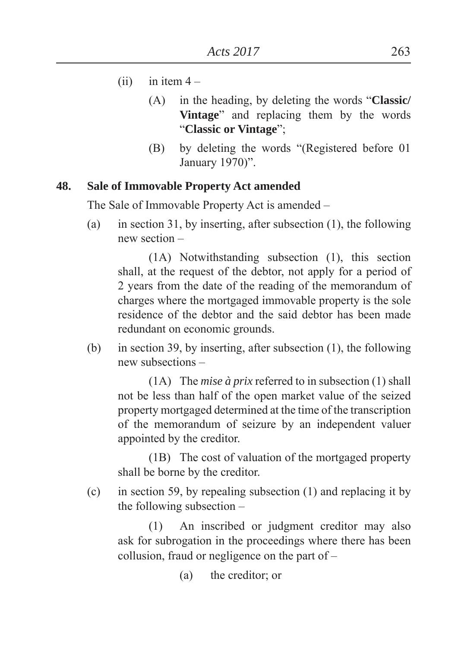- $(ii)$  in item  $4 -$ 
	- (A) in the heading, by deleting the words "**Classic**/ **Vintage**" and replacing them by the words ³**Classic or Vintage**´
	- (B) by deleting the words "(Registered before 01) January 1970)".

## **48. Sale of Immovable Property Act amended**

The Sale of Immovable Property Act is amended –

(a) in section 31, by inserting, after subsection (1), the following new section –

 (1A) Notwithstanding subsection (1), this section shall, at the request of the debtor, not apply for a period of 2 years from the date of the reading of the memorandum of charges where the mortgaged immovable property is the sole residence of the debtor and the said debtor has been made redundant on economic grounds.

(b) in section 39, by inserting, after subsection (1), the following new subsections –

 (1A) The *mise à prix* referred to in subsection (1) shall not be less than half of the open market value of the seized property mortgaged determined at the time of the transcription of the memorandum of seizure by an independent valuer appointed by the creditor.

 (1B) The cost of valuation of the mortgaged property shall be borne by the creditor.

(c) in section 59, by repealing subsection (1) and replacing it by the following subsection –

 (1) An inscribed or judgment creditor may also ask for subrogation in the proceedings where there has been collusion, fraud or negligence on the part of –

 $(a)$  the creditor; or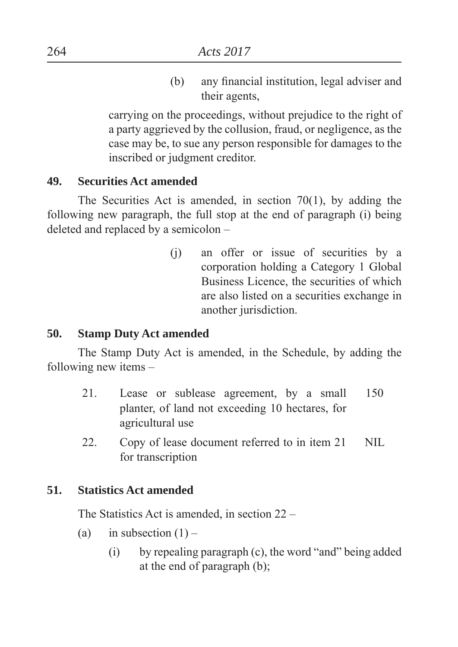(b) any financial institution, legal adviser and their agents,

 carrying on the proceedings, without prejudice to the right of a party aggrieved by the collusion, fraud, or negligence, as the case may be, to sue any person responsible for damages to the inscribed or judgment creditor.

### **49. Securities Act amended**

 The Securities Act is amended, in section 70(1), by adding the following new paragraph, the full stop at the end of paragraph (i) being deleted and replaced by a semicolon –

> (j) an offer or issue of securities by a corporation holding a Category 1 Global Business Licence, the securities of which are also listed on a securities exchange in another jurisdiction.

#### **50. Stamp Duty Act amended**

 The Stamp Duty Act is amended, in the Schedule, by adding the following new items –

- 21. Lease or sublease agreement, by a small planter, of land not exceeding 10 hectares, for agricultural use 150
- 22. Copy of lease document referred to in item 21 for transcription NIL

#### **51. Statistics Act amended**

The Statistics Act is amended, in section 22 –

- (a) in subsection  $(1)$ 
	- $(i)$  by repealing paragraph  $(c)$ , the word "and" being added at the end of paragraph (b)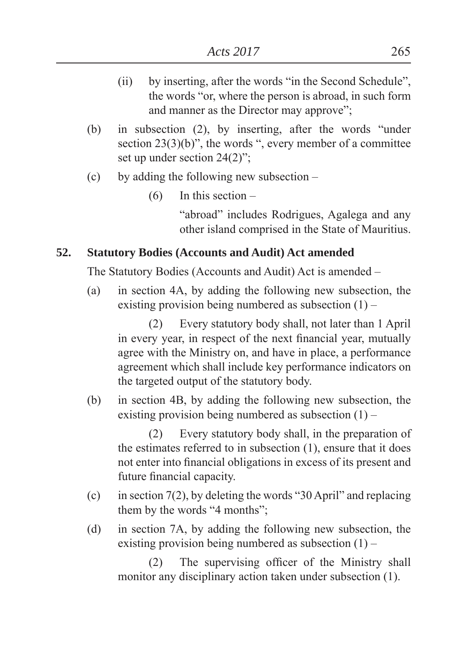- $(ii)$  by inserting, after the words "in the Second Schedule", the words "or, where the person is abroad, in such form and manner as the Director may approve";
- (b) in subsection  $(2)$ , by inserting, after the words "under section  $23(3)(b)$ <sup>"</sup>, the words ", every member of a committee set up under section  $24(2)$ <sup>"</sup>:
- (c) by adding the following new subsection
	- (6) In this section –

"abroad" includes Rodrigues, Agalega and any other island comprised in the State of Mauritius.

# **52. Statutory Bodies (Accounts and Audit) Act amended**

The Statutory Bodies (Accounts and Audit) Act is amended –

(a) in section 4A, by adding the following new subsection, the existing provision being numbered as subsection  $(1)$  –

 (2) Every statutory body shall, not later than 1 April in every year, in respect of the next financial year, mutually agree with the Ministry on, and have in place, a performance agreement which shall include key performance indicators on the targeted output of the statutory body.

(b) in section 4B, by adding the following new subsection, the existing provision being numbered as subsection  $(1)$  –

 (2) Every statutory body shall, in the preparation of the estimates referred to in subsection (1), ensure that it does not enter into financial obligations in excess of its present and future financial capacity.

- (c) in section  $7(2)$ , by deleting the words "30 April" and replacing them by the words "4 months";
- (d) in section 7A, by adding the following new subsection, the existing provision being numbered as subsection  $(1)$  –

 $(2)$  The supervising officer of the Ministry shall monitor any disciplinary action taken under subsection (1).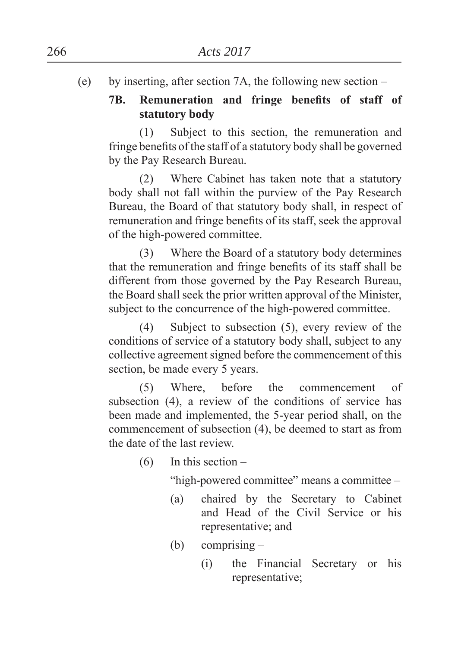(e) by inserting, after section 7A, the following new section –

# 7B. Remuneration and fringe benefits of staff of **statutory body**

 (1) Subject to this section, the remuneration and fringe benefits of the staff of a statutory body shall be governed by the Pay Research Bureau.

 (2) Where Cabinet has taken note that a statutory body shall not fall within the purview of the Pay Research Bureau, the Board of that statutory body shall, in respect of remuneration and fringe benefits of its staff, seek the approval of the high-powered committee.

 (3) Where the Board of a statutory body determines that the remuneration and fringe benefits of its staff shall be different from those governed by the Pay Research Bureau, the Board shall seek the prior written approval of the Minister, subject to the concurrence of the high-powered committee.

 (4) Subject to subsection (5), every review of the conditions of service of a statutory body shall, subject to any collective agreement signed before the commencement of this section, be made every 5 years.

 (5) Where, before the commencement of subsection (4), a review of the conditions of service has been made and implemented, the 5-year period shall, on the commencement of subsection (4), be deemed to start as from the date of the last review.

 $(6)$  In this section –

"high-powered committee" means a committee –

- (a) chaired by the Secretary to Cabinet and Head of the Civil Service or his representative; and
- (b) comprising  $-$ 
	- (i) the Financial Secretary or his representative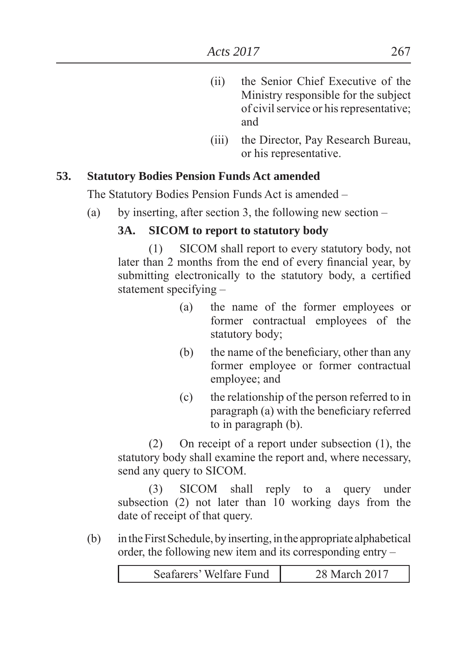- (ii) the Senior Chief Executive of the Ministry responsible for the subject of civil service or his representative and
- (iii) the Director, Pay Research Bureau, or his representative.

### **53. Statutory Bodies Pension Funds Act amended**

The Statutory Bodies Pension Funds Act is amended –

(a) by inserting, after section 3, the following new section  $-$ 

## **3A. SICOM to report to statutory body**

 (1) SICOM shall report to every statutory body, not later than 2 months from the end of every financial year, by submitting electronically to the statutory body, a certified statement specifying –

- (a) the name of the former employees or former contractual employees of the statutory body:
- $(b)$  the name of the beneficiary, other than any former employee or former contractual employee; and
- (c) the relationship of the person referred to in  $\alpha$ ) with the beneficiary referred to in paragraph (b).

 (2) On receipt of a report under subsection (1), the statutory body shall examine the report and, where necessary, send any query to SICOM.

 (3) SICOM shall reply to a query under subsection (2) not later than 10 working days from the date of receipt of that query.

(b) in the First Schedule, by inserting, in the appropriate alphabetical order, the following new item and its corresponding entry –

| Seafarers' Welfare Fund<br>March 2017 |
|---------------------------------------|
|---------------------------------------|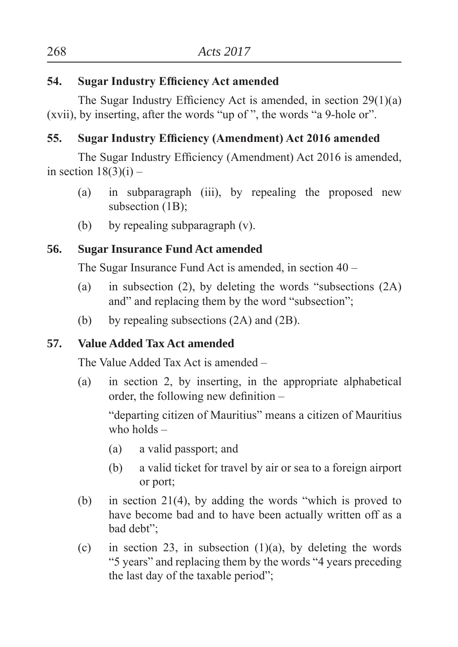# **54.** Sugar Industry Efficiency Act amended

The Sugar Industry Efficiency Act is amended, in section  $29(1)(a)$ (xvii), by inserting, after the words "up of ", the words "a 9-hole or".

# **55.** Sugar Industry Efficiency (Amendment) Act 2016 amended

The Sugar Industry Efficiency (Amendment) Act 2016 is amended. in section  $18(3)(i)$  –

- (a) in subparagraph (iii), by repealing the proposed new subsection (1B);
- (b) by repealing subparagraph (v).

# **56. Sugar Insurance Fund Act amended**

The Sugar Insurance Fund Act is amended, in section 40 –

- (a) in subsection (2), by deleting the words "subsections  $(2A)$ and" and replacing them by the word "subsection":
- (b) by repealing subsections (2A) and (2B).

# **57. Value Added Tax Act amended**

The Value Added Tax Act is amended –

(a) in section 2, by inserting, in the appropriate alphabetical order, the following new definition  $-$ 

"departing citizen of Mauritius" means a citizen of Mauritius who holds –

- $(a)$  a valid passport; and
- (b) a valid ticket for travel by air or sea to a foreign airport or port
- (b) in section 21(4), by adding the words "which is proved to have become bad and to have been actually written off as a bad debt";
- (c) in section 23, in subsection  $(1)(a)$ , by deleting the words "<sup>5</sup> years" and replacing them by the words "4 years preceding" the last day of the taxable period";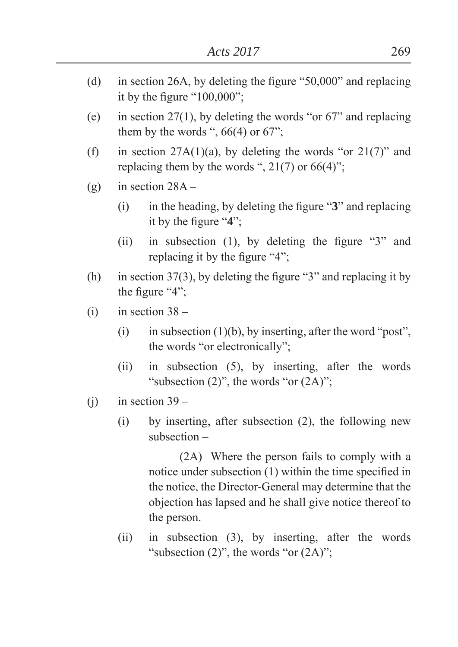- (d) in section 26A, by deleting the figure  $"50,000"$  and replacing it by the figure " $100,000$ ";
- (e) in section 27(1), by deleting the words "or  $67$ " and replacing them by the words ",  $66(4)$  or  $67$ ";
- (f) in section  $27A(1)(a)$ , by deleting the words "or  $21(7)$ " and replacing them by the words ",  $21(7)$  or 66(4)";
- (g) in section  $28A -$ 
	- $(i)$  in the heading, by deleting the figure  $\mathscr{B}$ <sup>2</sup> and replacing it by the figure  $4$ <sup>\*</sup>;
	- (ii) in subsection (1), by deleting the figure  $\mathscr{L}3$ <sup>2</sup> and replacing it by the figure  $4$ <sup>2</sup>.
- (h) in section 37(3), by deleting the figure "3" and replacing it by the figure  $4$ <sup>"</sup>.
- $(i)$  in section  $38 -$ 
	- (i) in subsection (1)(b), by inserting, after the word "post", the words "or electronically":
	- (ii) in subsection (5), by inserting, after the words "subsection  $(2)$ ", the words "or  $(2A)$ ";
- $(i)$  in section 39
	- (i) by inserting, after subsection (2), the following new subsection –

 (2A) Where the person fails to comply with a notice under subsection  $(1)$  within the time specified in the notice, the Director-General may determine that the objection has lapsed and he shall give notice thereof to the person.

(ii) in subsection (3), by inserting, after the words "subsection  $(2)$ ", the words "or  $(2A)$ ";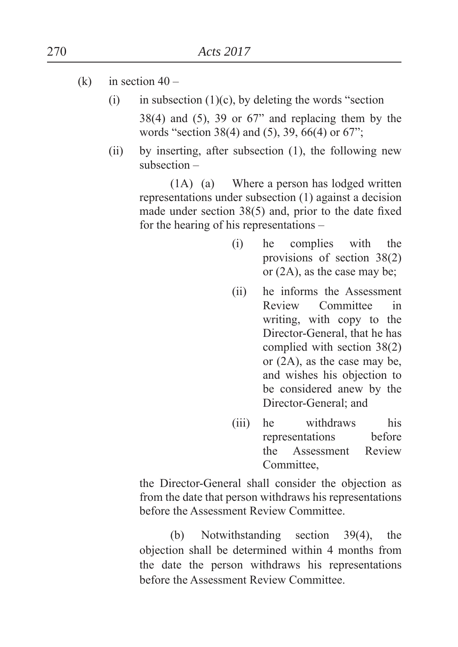- (k) in section  $40 -$ 
	- (i) in subsection  $(1)(c)$ , by deleting the words "section  $38(4)$  and  $(5)$ ,  $39$  or  $67$ <sup>"</sup> and replacing them by the words "section 38(4) and (5), 39, 66(4) or 67";
	- (ii) by inserting, after subsection (1), the following new subsection –

 (1A) (a) Where a person has lodged written representations under subsection (1) against a decision made under section  $38(5)$  and, prior to the date fixed for the hearing of his representations –

- (i) he complies with the provisions of section 38(2) or  $(2A)$ , as the case may be;
- (ii) he informs the Assessment Review Committee in writing, with copy to the Director-General, that he has complied with section 38(2) or (2A), as the case may be, and wishes his objection to be considered anew by the Director-General: and
- (iii) he withdraws his representations before the Assessment Review Committee,

 the Director-General shall consider the objection as from the date that person withdraws his representations before the Assessment Review Committee.

 (b) Notwithstanding section 39(4), the objection shall be determined within 4 months from the date the person withdraws his representations before the Assessment Review Committee.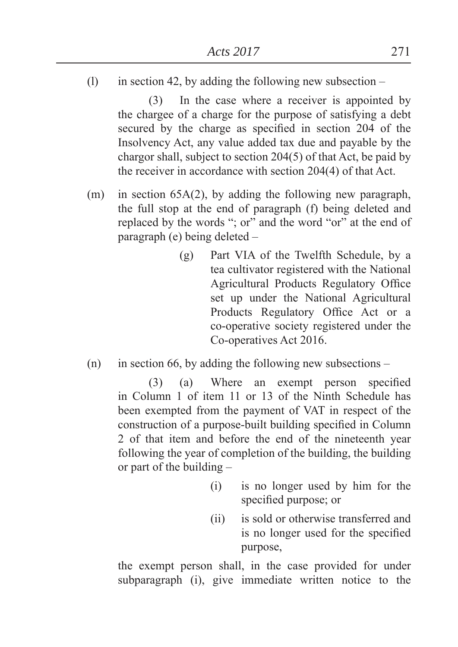(1) in section 42, by adding the following new subsection  $-$ 

 (3) In the case where a receiver is appointed by the chargee of a charge for the purpose of satisfying a debt secured by the charge as specified in section 204 of the Insolvency Act, any value added tax due and payable by the chargor shall, subject to section 204(5) of that Act, be paid by the receiver in accordance with section 204(4) of that Act.

- (m) in section 65A(2), by adding the following new paragraph, the full stop at the end of paragraph (f) being deleted and replaced by the words "; or" and the word "or" at the end of paragraph (e) being deleted –
	- (g) Part VIA of the Twelfth Schedule, by a tea cultivator registered with the National Agricultural Products Regulatory Office set up under the National Agricultural Products Regulatory Office Act or a co-operative society registered under the Co-operatives Act 2016.
- (n) in section 66, by adding the following new subsections –

 $(3)$  (a) Where an exempt person specified in Column 1 of item 11 or 13 of the Ninth Schedule has been exempted from the payment of VAT in respect of the construction of a purpose-built building specified in Column 2 of that item and before the end of the nineteenth year following the year of completion of the building, the building or part of the building –

- (i) is no longer used by him for the specified purpose; or
- (ii) is sold or otherwise transferred and is no longer used for the specified purpose,

 the exempt person shall, in the case provided for under subparagraph (i), give immediate written notice to the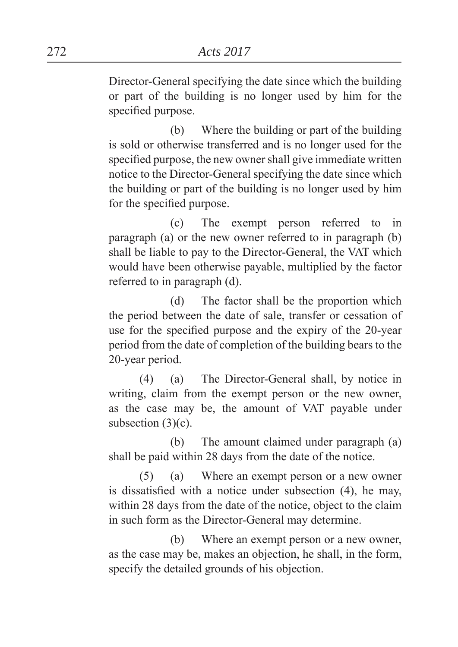Director-General specifying the date since which the building or part of the building is no longer used by him for the specified purpose.

 (b) Where the building or part of the building is sold or otherwise transferred and is no longer used for the specified purpose, the new owner shall give immediate written notice to the Director-General specifying the date since which the building or part of the building is no longer used by him for the specified purpose.

 (c) The exempt person referred to in paragraph (a) or the new owner referred to in paragraph (b) shall be liable to pay to the Director-General, the VAT which would have been otherwise payable, multiplied by the factor referred to in paragraph (d).

 (d) The factor shall be the proportion which the period between the date of sale, transfer or cessation of use for the specified purpose and the expiry of the 20-year period from the date of completion of the building bears to the 20-year period.

 (4) (a) The Director-General shall, by notice in writing, claim from the exempt person or the new owner, as the case may be, the amount of VAT payable under subsection  $(3)(c)$ .

 (b) The amount claimed under paragraph (a) shall be paid within 28 days from the date of the notice.

 (5) (a) Where an exempt person or a new owner is dissatisfied with a notice under subsection  $(4)$ , he may, within 28 days from the date of the notice, object to the claim in such form as the Director-General may determine.

 (b) Where an exempt person or a new owner, as the case may be, makes an objection, he shall, in the form, specify the detailed grounds of his objection.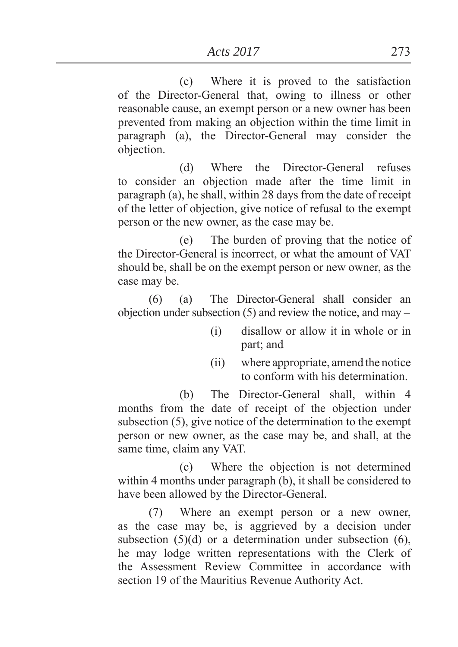(c) Where it is proved to the satisfaction of the Director-General that, owing to illness or other reasonable cause, an exempt person or a new owner has been prevented from making an objection within the time limit in paragraph (a), the Director-General may consider the objection.

 (d) Where the Director-General refuses to consider an objection made after the time limit in paragraph (a), he shall, within 28 days from the date of receipt of the letter of objection, give notice of refusal to the exempt person or the new owner, as the case may be.

 (e) The burden of proving that the notice of the Director-General is incorrect, or what the amount of VAT should be, shall be on the exempt person or new owner, as the case may be.

 (6) (a) The Director-General shall consider an objection under subsection (5) and review the notice, and may –

- (i) disallow or allow it in whole or in part; and
- (ii) where appropriate, amend the notice to conform with his determination.

 (b) The Director-General shall, within 4 months from the date of receipt of the objection under subsection (5), give notice of the determination to the exempt person or new owner, as the case may be, and shall, at the same time, claim any VAT.

 (c) Where the objection is not determined within 4 months under paragraph (b), it shall be considered to have been allowed by the Director-General.

 (7) Where an exempt person or a new owner, as the case may be, is aggrieved by a decision under subsection (5)(d) or a determination under subsection (6), he may lodge written representations with the Clerk of the Assessment Review Committee in accordance with section 19 of the Mauritius Revenue Authority Act.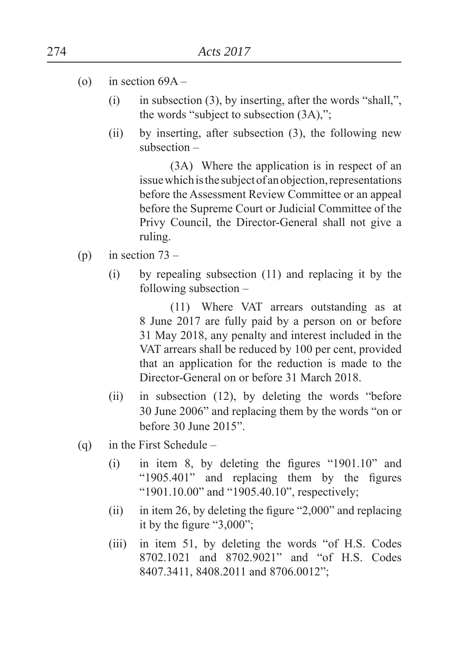- (o) in section  $69A -$ 
	- (i) in subsection (3), by inserting, after the words "shall,", the words "subject to subsection  $(3A)$ ,";
	- (ii) by inserting, after subsection (3), the following new subsection –

 (3A) Where the application is in respect of an issue which is the subject of an objection, representations before the Assessment Review Committee or an appeal before the Supreme Court or Judicial Committee of the Privy Council, the Director-General shall not give a ruling.

- (p) in section  $73 -$ 
	- (i) by repealing subsection (11) and replacing it by the following subsection –

 (11) Where VAT arrears outstanding as at 8 June 2017 are fully paid by a person on or before 31 May 2018, any penalty and interest included in the VAT arrears shall be reduced by 100 per cent, provided that an application for the reduction is made to the Director-General on or before 31 March 2018.

- (ii) in subsection  $(12)$ , by deleting the words "before" 30 June 2006" and replacing them by the words "on or before  $30 \text{ June } 2015$ ".
- (q) in the First Schedule
	- $(i)$  in item 8, by deleting the figures "1901.10" and " $1905.401$ " and replacing them by the figures "1901.10.00" and "1905.40.10", respectively;
	- (ii) in item 26, by deleting the figure  $2,000$ <sup>"</sup> and replacing it by the figure  $"3,000"$ ;
	- $(iii)$  in item 51, by deleting the words "of H.S. Codes 8702.1021 and 8702.9021" and "of H.S. Codes 8407.3411, 8408.2011 and 8706.0012";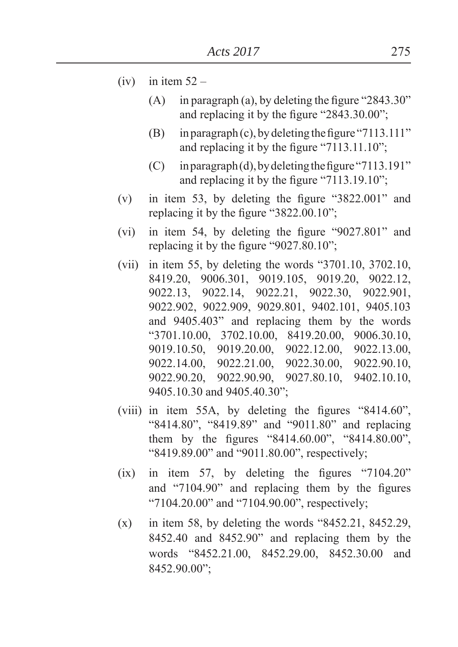- $(iv)$  in item  $52 -$ 
	- (A) in paragraph (a), by deleting the figure "2843.30" and replacing it by the figure  $"2843.30.00"$ ;
	- (B) in paragraph (c), by deleting the figure "7113.111" and replacing it by the figure  $"7113.11.10"$ .
	- $(C)$  in paragraph (d), by deleting the figure "7113.191" and replacing it by the figure  $"7113.19.10"$ ;
- (v) in item 53, by deleting the figure  $"3822.001"$  and replacing it by the figure  $"3822.00.10"$ ;
- (vi) in item 54, by deleting the figure  $9027.801$ <sup>"</sup> and replacing it by the figure  $\degree$ 9027.80.10<sup> $\degree$ </sup>;
- (vii) in item 55, by deleting the words  $\degree$ 3701.10, 3702.10, 8419.20, 9006.301, 9019.105, 9019.20, 9022.12, 9022.13, 9022.14, 9022.21, 9022.30, 9022.901, 9022.902, 9022.909, 9029.801, 9402.101, 9405.103 and 9405.403<sup>"</sup> and replacing them by the words ³3701.10.00, 3702.10.00, 8419.20.00, 9006.30.10, 9019.10.50, 9019.20.00, 9022.12.00, 9022.13.00, 9022.14.00, 9022.21.00, 9022.30.00, 9022.90.10, 9022.90.20, 9022.90.90, 9027.80.10, 9402.10.10, 9405.10.30 and 9405.40.30";
- (viii) in item 55A, by deleting the figures  $"8414.60"$ , "8414.80", "8419.89" and "9011.80" and replacing them by the figures " $8414.60.00$ ", " $8414.80.00$ ", " $8419.89.00$ " and " $9011.80.00$ ", respectively;
- (ix) in item 57, by deleting the figures  $"7104.20"$ and  $\degree$ 7104.90 $\degree$  and replacing them by the figures " $7104.20.00$ " and " $7104.90.00$ ", respectively;
- $(x)$  in item 58, by deleting the words "8452.21, 8452.29, 8452.40 and 8452.90´ and replacing them by the words ³8452.21.00, 8452.29.00, 8452.30.00 and 8452.90.00´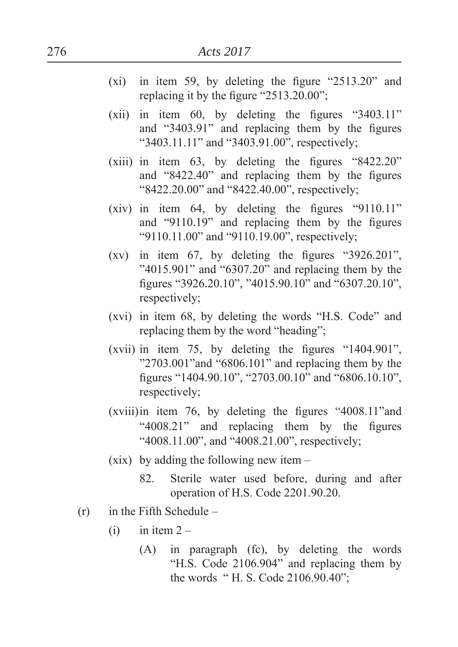- $(xi)$  in item 59, by deleting the figure  $2513.20$ <sup>"</sup> and replacing it by the figure  $"2513.20.00"$ ;
- (xii) in item  $60$ , by deleting the figures "3403.11" and  $"3403.91"$  and replacing them by the figures " $3403.11.11$ " and " $3403.91.00$ ", respectively;
- (xiii) in item  $63$ , by deleting the figures  $\degree$ 8422.20<sup> $\degree$ </sup> and  $"8422.40"$  and replacing them by the figures " $8422.20.00$ " and " $8422.40.00$ ", respectively;
- (xiv) in item 64, by deleting the figures  $\degree$ 9110.11<sup>"</sup> and  $\degree$ 9110.19 $\degree$  and replacing them by the figures "9110.11.00" and "9110.19.00", respectively;
- (xv) in item 67, by deleting the figures  $\degree$ 3926.201<sup>"</sup>, " $4015.901$ " and " $6307.20$ " and replacing them by the figures "3926.20.10", "4015.90.10" and "6307.20.10", respectively;
- (xvi) in item  $68$ , by deleting the words "H.S. Code" and replacing them by the word "heading";
- (xvii) in item 75, by deleting the figures  $\degree$ 1404.901 $\degree$ ,  $"2703.001"$  and  $"6806.101"$  and replacing them by the figures "1404.90.10", "2703.00.10" and "6806.10.10", respectively;
- $(xviii)$  in item 76, by deleting the figures  $4008.11$ <sup>2</sup> and " $4008.21$ " and replacing them by the figures "4008.11.00", and "4008.21.00", respectively;
- (xix) by adding the following new item
	- 82. Sterile water used before, during and after operation of H.S. Code 2201.90.20.
- $(r)$  in the Fifth Schedule
	- $(i)$  in item  $2 -$ 
		- (A) in paragraph (fc), by deleting the words "H.S. Code 2106.904" and replacing them by the words "H. S. Code 2106.90.40";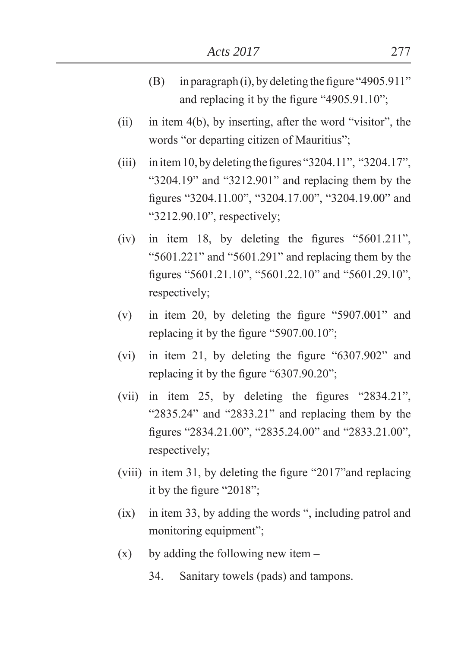- (B) in paragraph (i), by deleting the figure  $4905.911$ " and replacing it by the figure  $4905.91.10$ ";
- (ii) in item  $4(b)$ , by inserting, after the word "visitor", the words "or departing citizen of Mauritius":
- (iii) in item 10, by deleting the figures "3204.11", "3204.17", " $3204.19$ " and " $3212.901$ " and replacing them by the figures "3204.11.00", "3204.17.00", "3204.19.00" and " $3212.90.10$ ", respectively;
- (iv) in item 18, by deleting the figures  $\degree$ 5601.211<sup>"</sup>, " $5601.221$ " and " $5601.291$ " and replacing them by the figures "5601.21.10", "5601.22.10" and "5601.29.10", respectively;
- (v) in item 20, by deleting the figure  $\degree$ 5907.001<sup>°</sup> and replacing it by the figure  $\degree$ 5907.00.10<sup> $\degree$ </sup>;
- (vi) in item 21, by deleting the figure  $6307.902$ <sup>"</sup> and replacing it by the figure  $6307.90.20$ ".
- (vii) in item 25, by deleting the figures  $"2834.21"$ , " $2835.24$ " and " $2833.21$ " and replacing them by the figures "2834.21.00", "2835.24.00" and "2833.21.00", respectively;
- (viii) in item 31, by deleting the figure  $"2017"$  and replacing it by the figure "2018";
- $(ix)$  in item 33, by adding the words ", including patrol and monitoring equipment";
- $(x)$  by adding the following new item
	- 34. Sanitary towels (pads) and tampons.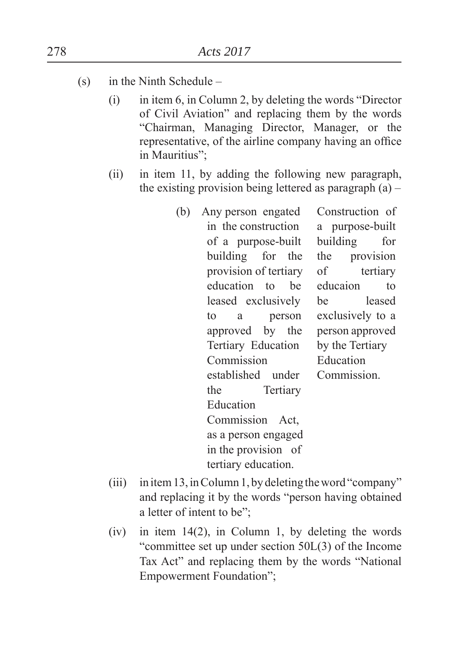- (s) in the Ninth Schedule
	- $(i)$  in item 6, in Column 2, by deleting the words "Director" of Civil Aviation" and replacing them by the words ³Chairman, Managing Director, Manager, or the representative, of the airline company having an office in Mauritius":
	- (ii) in item 11, by adding the following new paragraph, the existing provision being lettered as paragraph  $(a)$  –
		- (b) Any person engated in the construction of a purpose-built building for the provision of tertiary education to be leased exclusively to a person approved by the Tertiary Education Commission established under the Tertiary Education Commission Act, as a person engaged in the provision of tertiary education. Construction of a purpose-built building for the provision of tertiary educaion to be leased exclusively to a person approved by the Tertiary Education Commission.
	- (iii) in item 13, in Column 1, by deleting the word "company" and replacing it by the words "person having obtained a letter of intent to be":
	- (iv) in item 14(2), in Column 1, by deleting the words "committee set up under section  $50L(3)$  of the Income Tax Act" and replacing them by the words "National" Empowerment Foundation":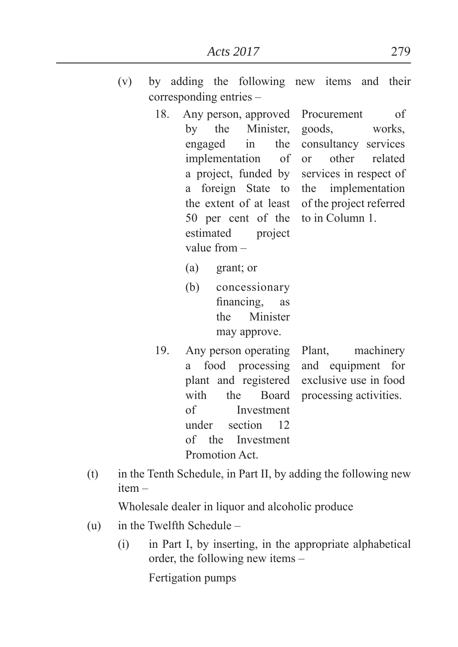- (v) by adding the following new items and their corresponding entries –
	- 18. Any person, approved by the Minister, engaged in the implementation of a project, funded by a foreign State to the extent of at least 50 per cent of the estimated project value from – Procurement of goods, works, consultancy services or other related services in respect of the implementation of the project referred to in Column 1.
		- $(a)$  grant; or
		- (b) concessionary financing, as the Minister may approve.
	- 19. Any person operating a food processing plant and registered with the Board of Investment under section 12 of the Investment Promotion Act. Plant, machinery and equipment for exclusive use in food processing activities.
- (t) in the Tenth Schedule, in Part II, by adding the following new item –

Wholesale dealer in liquor and alcoholic produce

- (u) in the Twelfth Schedule
	- (i) in Part I, by inserting, in the appropriate alphabetical order, the following new items –

Fertigation pumps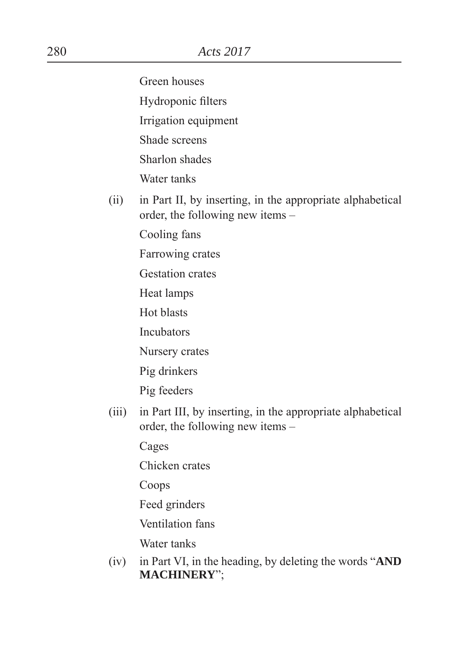Green houses

Hydroponic filters

Irrigation equipment

Shade screens

Sharlon shades

Water tanks

(ii) in Part II, by inserting, in the appropriate alphabetical order, the following new items –

Cooling fans

Farrowing crates

Gestation crates

Heat lamps

Hot blasts

Incubators

Nursery crates

Pig drinkers

Pig feeders

(iii) in Part III, by inserting, in the appropriate alphabetical order, the following new items –

Cages

Chicken crates

Coops

Feed grinders

Ventilation fans

Water tanks

(iv) in Part VI, in the heading, by deleting the words  $\mathbf{Y}$ **AND MACHINERY**´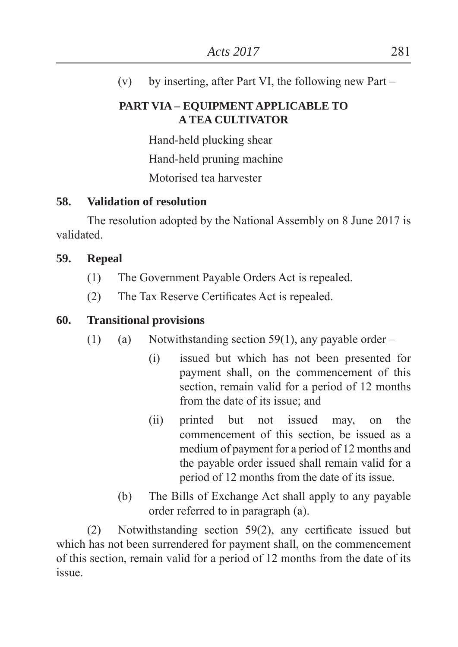(v) by inserting, after Part VI, the following new Part –

### **PART VIA – EQUIPMENT APPLICABLE TO A TEA CULTIVATOR**

Hand-held plucking shear Hand-held pruning machine Motorised tea harvester

# **58. Validation of resolution**

 The resolution adopted by the National Assembly on 8 June 2017 is validated.

## **59. Repeal**

- (1) The Government Payable Orders Act is repealed.
- $(2)$  The Tax Reserve Certificates Act is repealed.

# **60. Transitional provisions**

- (1) (a) Notwithstanding section 59(1), any payable order
	- (i) issued but which has not been presented for payment shall, on the commencement of this section, remain valid for a period of 12 months from the date of its issue; and
	- (ii) printed but not issued may, on the commencement of this section, be issued as a medium of payment for a period of 12 months and the payable order issued shall remain valid for a period of 12 months from the date of its issue.
	- (b) The Bills of Exchange Act shall apply to any payable order referred to in paragraph (a).

(2) Notwithstanding section  $59(2)$ , any certificate issued but which has not been surrendered for payment shall, on the commencement of this section, remain valid for a period of 12 months from the date of its issue.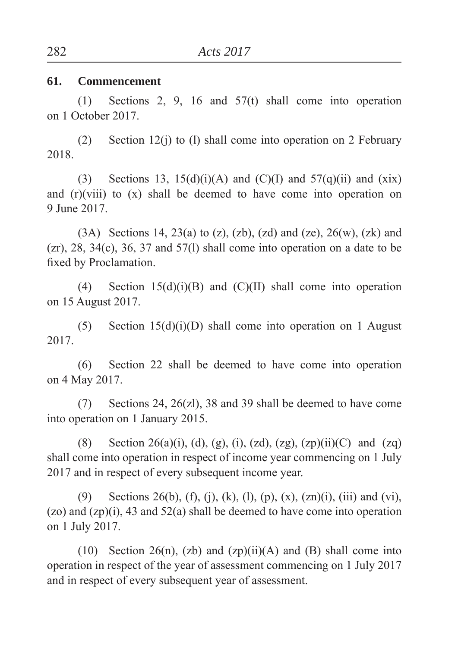#### **61. Commencement**

 (1) Sections 2, 9, 16 and 57(t) shall come into operation on 1 October 2017.

 (2) Section 12(j) to (l) shall come into operation on 2 February 2018.

(3) Sections 13, 15(d)(i)(A) and (C)(I) and 57(q)(ii) and (xix) and (r)(viii) to (x) shall be deemed to have come into operation on 9 June 2017.

(3A) Sections 14, 23(a) to (z), (zb), (zd) and (ze),  $26(w)$ , (zk) and  $(zr)$ , 28, 34 $(c)$ , 36, 37 and 57 $(l)$  shall come into operation on a date to be fixed by Proclamation.

(4) Section  $15(d)(i)(B)$  and  $(C)(II)$  shall come into operation on 15 August 2017.

(5) Section  $15(d)(i)(D)$  shall come into operation on 1 August 2017.

 (6) Section 22 shall be deemed to have come into operation on 4 May 2017.

 (7) Sections 24, 26(zl), 38 and 39 shall be deemed to have come into operation on 1 January 2015.

(8) Section 26(a)(i), (d), (g), (i), (zd), (zg), (zp)(ii)(C) and (zq) shall come into operation in respect of income year commencing on 1 July 2017 and in respect of every subsequent income year.

(9) Sections 26(b), (f), (j), (k), (l), (p), (x), (zn)(i), (iii) and (vi), (zo) and (zp)(i), 43 and 52(a) shall be deemed to have come into operation on 1 July 2017.

(10) Section 26(n), (zb) and  $(zp)(ii)(A)$  and (B) shall come into operation in respect of the year of assessment commencing on 1 July 2017 and in respect of every subsequent year of assessment.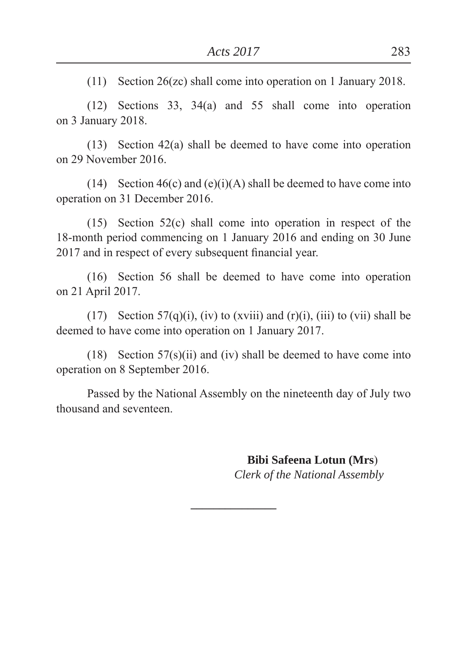(11) Section 26(zc) shall come into operation on 1 January 2018.

 (12) Sections 33, 34(a) and 55 shall come into operation on 3 January 2018.

 (13) Section 42(a) shall be deemed to have come into operation on 29 November 2016.

(14) Section  $46(c)$  and  $(e)(i)(A)$  shall be deemed to have come into operation on 31 December 2016.

 (15) Section 52(c) shall come into operation in respect of the 18-month period commencing on 1 January 2016 and ending on 30 June 2017 and in respect of every subsequent financial year.

 (16) Section 56 shall be deemed to have come into operation on 21 April 2017.

(17) Section 57(q)(i), (iv) to (xviii) and (r)(i), (iii) to (vii) shall be deemed to have come into operation on 1 January 2017.

(18) Section  $57(s)(ii)$  and (iv) shall be deemed to have come into operation on 8 September 2016.

 Passed by the National Assembly on the nineteenth day of July two thousand and seventeen.

**\_\_\_\_\_\_\_\_\_\_\_\_\_\_\_**

 **Bibi Safeena Lotun (Mrs**)  *Clerk of the National Assembly*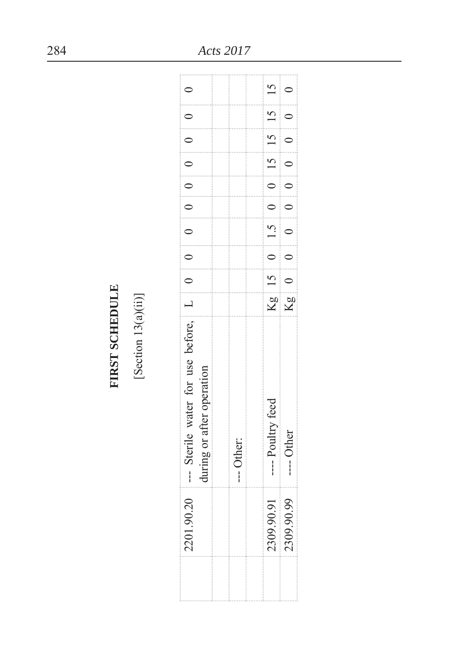**FIRST SCHEDULE** [Section 13(a)(ii)]

| $\widetilde{\mathcal{C}}$<br>こうりょう こうしょう こうしょう こうしょう こうしん アルファー・エス こうしょうしょう しょうしょうしょう<br>2201.90.                | -- Sterile water for use before, $\begin{bmatrix} 1 \\ 0 \\ 0 \end{bmatrix} = 0$ |  |                                                           |  |  | $\begin{bmatrix} 0 & 0 & 0 \\ 0 & 0 & 0 \\ 0 & 0 & 0 \end{bmatrix}$ |  |
|------------------------------------------------------------------------------------------------------------------|----------------------------------------------------------------------------------|--|-----------------------------------------------------------|--|--|---------------------------------------------------------------------|--|
|                                                                                                                  | during or after operation                                                        |  |                                                           |  |  |                                                                     |  |
|                                                                                                                  |                                                                                  |  |                                                           |  |  |                                                                     |  |
| 医皮肤发生的 医皮肤发生的 医皮肤发生的 医皮肤发生 医阿尔伯氏试验检尿道氏征 医皮肤病 医皮肤病 医皮肤病 医皮肤病<br>アンティング・ファイン アイディング・ファイン きょうかん かいしょう アイディング しゅうしょう | Other:<br>ĺ                                                                      |  |                                                           |  |  |                                                                     |  |
|                                                                                                                  |                                                                                  |  |                                                           |  |  |                                                                     |  |
| :<br>:::::::<br>医皮肤发生的过去式和过去分词 医皮肤发生的 医皮肤发育 电电子电子电子电子电子电子电子电子电子电子电子电子<br>2309.90<br>                             | ---- Poultry feed                                                                |  | Kg  15   0   1.5   0   0   15   15   15                   |  |  |                                                                     |  |
| 99<br>2309.90.                                                                                                   | <b>Other</b><br>$\frac{1}{2}$                                                    |  | $Kg \begin{bmatrix} 0 & 0 & 0 \\ 0 & 0 & 0 \end{bmatrix}$ |  |  | $\begin{bmatrix} 0 & 0 & 0 \\ 0 & 0 & 0 \\ 0 & 0 & 0 \end{bmatrix}$ |  |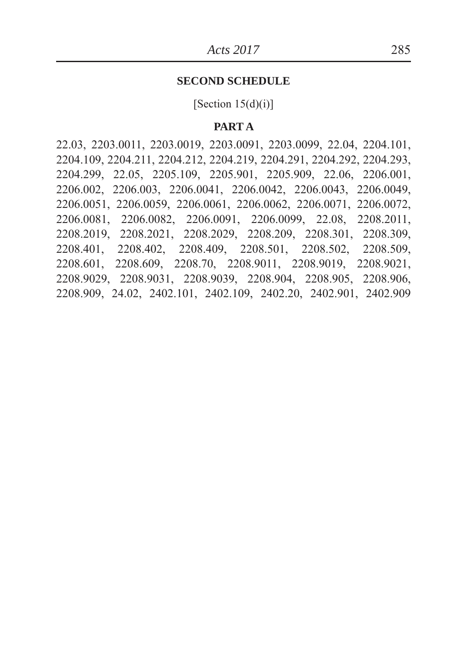#### **SECOND SCHEDULE**

[Section  $15(d)(i)$ ]

#### **PART A**

22.03, 2203.0011, 2203.0019, 2203.0091, 2203.0099, 22.04, 2204.101, 2204.109, 2204.211, 2204.212, 2204.219, 2204.291, 2204.292, 2204.293, 2204.299, 22.05, 2205.109, 2205.901, 2205.909, 22.06, 2206.001, 2206.002, 2206.003, 2206.0041, 2206.0042, 2206.0043, 2206.0049, 2206.0051, 2206.0059, 2206.0061, 2206.0062, 2206.0071, 2206.0072, 2206.0081, 2206.0082, 2206.0091, 2206.0099, 22.08, 2208.2011, 2208.2019, 2208.2021, 2208.2029, 2208.209, 2208.301, 2208.309, 2208.401, 2208.402, 2208.409, 2208.501, 2208.502, 2208.509, 2208.601, 2208.609, 2208.70, 2208.9011, 2208.9019, 2208.9021, 2208.9029, 2208.9031, 2208.9039, 2208.904, 2208.905, 2208.906, 2208.909, 24.02, 2402.101, 2402.109, 2402.20, 2402.901, 2402.909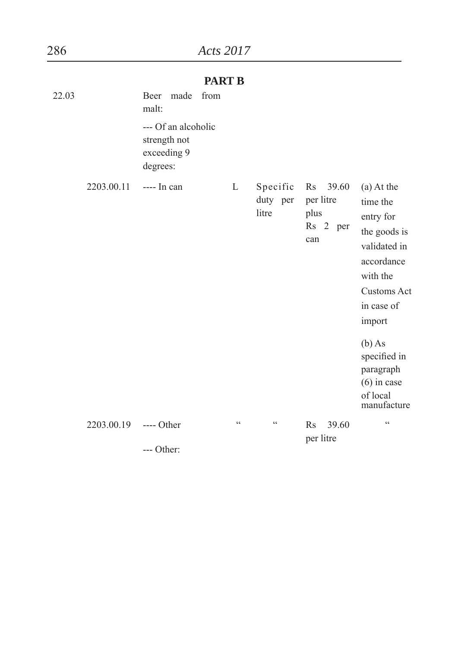|       |            |                                                                | <b>PART B</b>   |                               |                                                  |                                                                                                                                                                                                                           |
|-------|------------|----------------------------------------------------------------|-----------------|-------------------------------|--------------------------------------------------|---------------------------------------------------------------------------------------------------------------------------------------------------------------------------------------------------------------------------|
| 22.03 |            | Beer<br>made<br>malt:                                          | from            |                               |                                                  |                                                                                                                                                                                                                           |
|       |            | --- Of an alcoholic<br>strength not<br>exceeding 9<br>degrees: |                 |                               |                                                  |                                                                                                                                                                                                                           |
|       | 2203.00.11 | $--- In can$                                                   | L               | Specific<br>duty per<br>litre | Rs 39.60<br>per litre<br>plus<br>Rs 2 per<br>can | (a) At the<br>time the<br>entry for<br>the goods is<br>validated in<br>accordance<br>with the<br>Customs Act<br>in case of<br>import<br>$(b)$ As<br>specified in<br>paragraph<br>$(6)$ in case<br>of local<br>manufacture |
|       | 2203.00.19 | $---$ Other                                                    | $\zeta$ $\zeta$ | $\zeta$ $\zeta$               | 39.60<br>$\rm Rs$<br>per litre                   | $\zeta$ $\zeta$                                                                                                                                                                                                           |
|       |            |                                                                |                 |                               |                                                  |                                                                                                                                                                                                                           |

--- Other: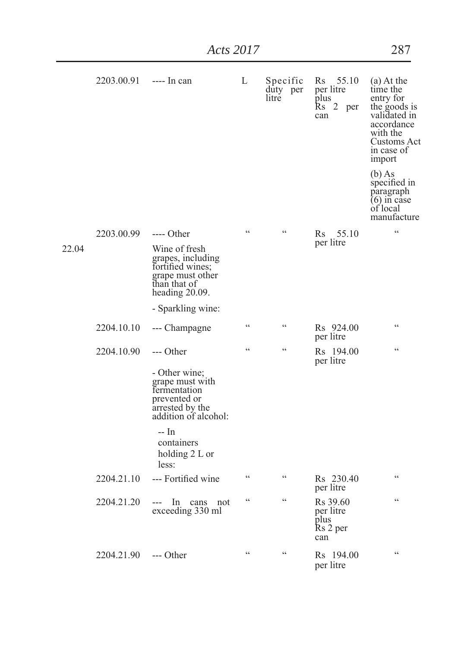|       | 2203.00.91 ---- In can |                                                                                                                          | L               | Specific<br>duty per<br>litre | Rs 55.10<br>per litre<br>plus<br><b>Rs</b><br>2 per<br>can   | $(a)$ At the<br>time the<br>entry for<br>the goods is<br>validated in<br>accordance<br>with the<br>Customs Act<br>in case of<br>import |
|-------|------------------------|--------------------------------------------------------------------------------------------------------------------------|-----------------|-------------------------------|--------------------------------------------------------------|----------------------------------------------------------------------------------------------------------------------------------------|
|       |                        |                                                                                                                          |                 |                               |                                                              | $(b)$ As<br>specified in<br>paragraph<br>$(6)$ in case<br>of local<br>manufacture                                                      |
|       | 2203.00.99             | ---- Other                                                                                                               | $\epsilon$      | $\epsilon$                    | 55.10<br>Rs -                                                | $\zeta\,\zeta$                                                                                                                         |
| 22.04 |                        | Wine of fresh<br>grapes, including<br>fortified wines;<br>grape must other<br>than that of<br>heading 20.09.             |                 |                               | per litre                                                    |                                                                                                                                        |
|       |                        | - Sparkling wine:                                                                                                        |                 |                               |                                                              |                                                                                                                                        |
|       | 2204.10.10             | --- Champagne                                                                                                            | $\epsilon$      | $\zeta\zeta$                  | Rs 924.00<br>per litre                                       | $\epsilon$                                                                                                                             |
|       | 2204.10.90             | --- Other<br>- Other wine;<br>grape must with<br>fermentation<br>prevented or<br>arrested by the<br>addition of alcohol: | $\epsilon$      | $\epsilon$                    | Rs 194.00<br>per litre                                       | $\epsilon$                                                                                                                             |
|       |                        | -- In<br>containers<br>holding 2 L or<br>less:                                                                           |                 |                               |                                                              |                                                                                                                                        |
|       | 2204.21.10             | --- Fortified wine                                                                                                       | $\zeta$ $\zeta$ | $\zeta$ $\zeta$               | Rs 230.40<br>per litre                                       | $\zeta$ $\zeta$                                                                                                                        |
|       | 2204.21.20             | In<br>cans not<br>---<br>exceeding 330 ml                                                                                | $\zeta$ $\zeta$ | $\epsilon$                    | R <sub>s</sub> 39.60<br>per litre<br>plus<br>Rs 2 per<br>can | $\epsilon$                                                                                                                             |
|       | 2204.21.90             | --- Other                                                                                                                | $\zeta$ $\zeta$ | $\epsilon$                    | R <sub>s</sub> 194.00<br>per litre                           | $\epsilon$                                                                                                                             |

*Acts 2017* 287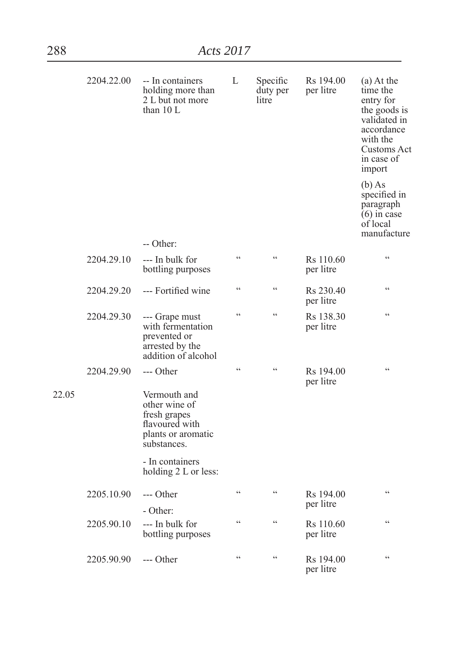|       | 2204.22.00 | -- In containers<br>holding more than<br>2 L but not more<br>than $10L$                              | L               | Specific<br>duty per<br>litre | Rs 194.00<br>per litre             | (a) At the<br>time the<br>entry for<br>the goods is<br>validated in<br>accordance<br>with the<br>Customs Act<br>in case of<br>import |
|-------|------------|------------------------------------------------------------------------------------------------------|-----------------|-------------------------------|------------------------------------|--------------------------------------------------------------------------------------------------------------------------------------|
|       |            | -- Other:                                                                                            |                 |                               |                                    | $(b)$ As<br>specified in<br>paragraph<br>$(6)$ in case<br>of local<br>manufacture                                                    |
|       | 2204.29.10 | --- In bulk for<br>bottling purposes                                                                 | $\epsilon$      | $\epsilon$                    | Rs 110.60<br>per litre             | $\zeta\,\zeta$                                                                                                                       |
|       | 2204.29.20 | --- Fortified wine                                                                                   | C               | $\epsilon$                    | Rs 230.40<br>per litre             | $\zeta\,\zeta$                                                                                                                       |
|       | 2204.29.30 | --- Grape must<br>with fermentation<br>prevented or<br>arrested by the<br>addition of alcohol        | $\epsilon$      | $\epsilon$                    | Rs 138.30<br>per litre             | $\epsilon\epsilon$                                                                                                                   |
|       | 2204.29.90 | --- Other                                                                                            | $\zeta\,\zeta$  | $\epsilon$                    | R <sub>s</sub> 194.00<br>per litre | $\zeta\,\zeta$                                                                                                                       |
| 22.05 |            | Vermouth and<br>other wine of<br>fresh grapes<br>flavoured with<br>plants or aromatic<br>substances. |                 |                               |                                    |                                                                                                                                      |
|       |            | - In containers<br>holding 2 L or less:                                                              |                 |                               |                                    |                                                                                                                                      |
|       | 2205.10.90 | --- Other<br>- Other:                                                                                | $\zeta\,\zeta$  | $\zeta$ $\zeta$               | Rs 194.00<br>per litre             | $\zeta\,\zeta$                                                                                                                       |
|       | 2205.90.10 | --- In bulk for<br>bottling purposes                                                                 | $\zeta$ $\zeta$ | $\zeta$ $\zeta$               | R <sub>s</sub> 110.60<br>per litre | $\zeta\,\zeta$                                                                                                                       |
|       | 2205.90.90 | --- Other                                                                                            | C               | $\epsilon$                    | Rs 194.00<br>per litre             | $\zeta\,\zeta$                                                                                                                       |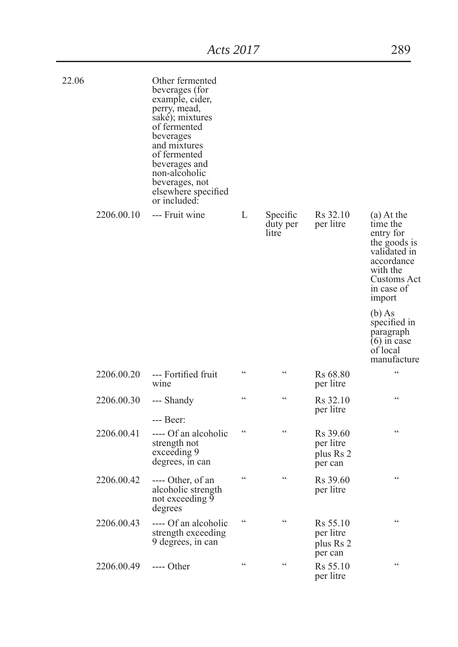| 22.06 |            | Other fermented<br>beverages (for<br>example, cider,<br>perry, mead,<br>saké); mixtures<br>of fermented<br>beverages<br>and mixtures<br>of fermented<br>beverages and<br>non-alcoholic<br>beverages, not<br>elsewhere specified<br>or included: |                 |                               |                                               |                                                                                                                                        |
|-------|------------|-------------------------------------------------------------------------------------------------------------------------------------------------------------------------------------------------------------------------------------------------|-----------------|-------------------------------|-----------------------------------------------|----------------------------------------------------------------------------------------------------------------------------------------|
|       | 2206.00.10 | --- Fruit wine                                                                                                                                                                                                                                  | L               | Specific<br>duty per<br>litre | R <sub>s</sub> 32.10<br>per litre             | $(a)$ At the<br>time the<br>entry for<br>the goods is<br>validated in<br>accordance<br>with the<br>Customs Act<br>in case of<br>import |
|       |            |                                                                                                                                                                                                                                                 |                 |                               |                                               | $(b)$ As<br>specified in<br>paragraph<br>$(6)$ in case<br>of local<br>manufacture                                                      |
|       | 2206.00.20 | --- Fortified fruit<br>wine                                                                                                                                                                                                                     | $\epsilon$      | $\epsilon$                    | Rs 68.80<br>per litre                         | $\epsilon$                                                                                                                             |
|       | 2206.00.30 | --- Shandy<br>--- Beer:                                                                                                                                                                                                                         | $\epsilon$      | $\zeta$ $\zeta$               | Rs 32.10<br>per litre                         | $\epsilon$                                                                                                                             |
|       | 2206.00.41 | ---- Of an alcoholic<br>strength not<br>exceeding 9<br>degrees, in can                                                                                                                                                                          | $\zeta$ $\zeta$ | $\epsilon$                    | Rs 39.60<br>per litre<br>plus Rs 2<br>per can | $\epsilon$                                                                                                                             |
|       | 2206.00.42 | ---- Other, of an<br>alcoholic strength<br>not exceeding 9<br>degrees                                                                                                                                                                           | $\epsilon$      | $\epsilon$                    | R <sub>s</sub> 39.60<br>per litre             | $\epsilon$                                                                                                                             |
|       | 2206.00.43 | ---- Of an alcoholic<br>strength exceeding<br>9 degrees, in can                                                                                                                                                                                 | C               | $\epsilon$                    | Rs 55.10<br>per litre<br>plus Rs 2<br>per can | $\epsilon$                                                                                                                             |
|       | 2206.00.49 | $---$ Other                                                                                                                                                                                                                                     | $\zeta$ $\zeta$ | $\zeta$ $\zeta$               | Rs 55.10<br>per litre                         | $\zeta$ $\zeta$                                                                                                                        |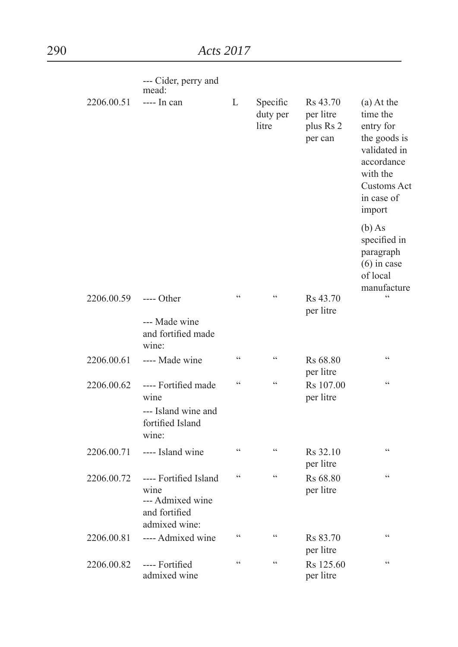|            | --- Cider, perry and<br>mead:                                                       |                          |                               |                                                           |                                                                                                                                             |
|------------|-------------------------------------------------------------------------------------|--------------------------|-------------------------------|-----------------------------------------------------------|---------------------------------------------------------------------------------------------------------------------------------------------|
| 2206.00.51 | $--- In can$                                                                        | L                        | Specific<br>duty per<br>litre | R <sub>s</sub> 43.70<br>per litre<br>plus Rs 2<br>per can | (a) At the<br>time the<br>entry for<br>the goods is<br>validated in<br>accordance<br>with the<br><b>Customs Act</b><br>in case of<br>import |
|            |                                                                                     |                          |                               |                                                           | $(b)$ As<br>specified in<br>paragraph<br>$(6)$ in case<br>of local<br>manufacture                                                           |
| 2206.00.59 | $---$ Other<br>--- Made wine<br>and fortified made                                  | $\epsilon$               | C                             | Rs 43.70<br>per litre                                     | $\epsilon$                                                                                                                                  |
|            | wine:                                                                               |                          |                               |                                                           |                                                                                                                                             |
| 2206.00.61 | ---- Made wine                                                                      | $\epsilon$               | $\zeta \zeta$                 | Rs 68.80<br>per litre                                     | $\overline{\mathcal{L}}$                                                                                                                    |
| 2206.00.62 | ---- Fortified made<br>wine<br>--- Island wine and<br>fortified Island<br>wine:     | $\epsilon$               | $\epsilon$                    | Rs 107.00<br>per litre                                    | $\epsilon$                                                                                                                                  |
| 2206.00.71 | ---- Island wine                                                                    | $\zeta$ $\zeta$          | $\zeta$ $\zeta$               | Rs 32.10<br>per litre                                     | $\epsilon$                                                                                                                                  |
| 2206.00.72 | ---- Fortified Island<br>wine<br>--- Admixed wine<br>and fortified<br>admixed wine: | $\epsilon$               | $\epsilon$                    | Rs 68.80<br>per litre                                     | $\epsilon\epsilon$                                                                                                                          |
| 2206.00.81 | ---- Admixed wine                                                                   | $\zeta$ $\zeta$          | $\zeta$ $\zeta$               | Rs 83.70<br>per litre                                     | $\zeta$ $\zeta$                                                                                                                             |
| 2206.00.82 | ---- Fortified<br>admixed wine                                                      | $\overline{\mathcal{L}}$ | $\zeta\,\zeta$                | Rs 125.60<br>per litre                                    | $\epsilon$                                                                                                                                  |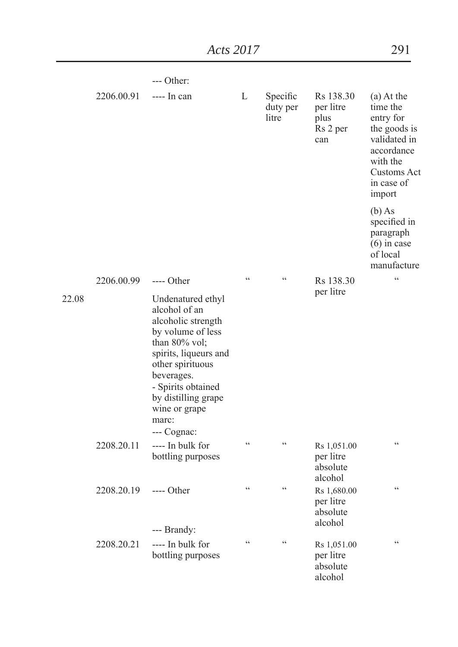|       |            | --- Other:                                                                                                                                                                                                                                      |                 |                               |                                                   |                                                                                                                                        |
|-------|------------|-------------------------------------------------------------------------------------------------------------------------------------------------------------------------------------------------------------------------------------------------|-----------------|-------------------------------|---------------------------------------------------|----------------------------------------------------------------------------------------------------------------------------------------|
|       | 2206.00.91 | $--- In can$                                                                                                                                                                                                                                    | L               | Specific<br>duty per<br>litre | Rs 138.30<br>per litre<br>plus<br>Rs 2 per<br>can | $(a)$ At the<br>time the<br>entry for<br>the goods is<br>validated in<br>accordance<br>with the<br>Customs Act<br>in case of<br>import |
|       |            |                                                                                                                                                                                                                                                 |                 |                               |                                                   | $(b)$ As<br>specified in<br>paragraph<br>$(6)$ in case<br>of local<br>manufacture                                                      |
|       | 2206.00.99 | $---$ Other                                                                                                                                                                                                                                     | $\zeta$ $\zeta$ | $\zeta$ $\zeta$               | Rs 138.30<br>per litre                            | $\zeta$ $\zeta$                                                                                                                        |
| 22.08 |            | Undenatured ethyl<br>alcohol of an<br>alcoholic strength<br>by volume of less<br>than 80% vol;<br>spirits, liqueurs and<br>other spirituous<br>beverages.<br>- Spirits obtained<br>by distilling grape<br>wine or grape<br>marc:<br>--- Cognac: |                 |                               |                                                   |                                                                                                                                        |
|       | 2208.20.11 | ---- In bulk for<br>bottling purposes                                                                                                                                                                                                           | $\zeta$ $\zeta$ | $\zeta$ $\zeta$               | Rs 1,051.00<br>per litre<br>absolute<br>alcohol   | $\zeta$ $\zeta$                                                                                                                        |
|       | 2208.20.19 | $---$ Other<br>--- Brandy:                                                                                                                                                                                                                      | $\zeta$ $\zeta$ | $\zeta$ $\zeta$               | Rs 1,680.00<br>per litre<br>absolute<br>alcohol   | $\zeta$ $\zeta$                                                                                                                        |
|       | 2208.20.21 | ---- In bulk for<br>bottling purposes                                                                                                                                                                                                           | $\zeta$ $\zeta$ | $\zeta$ $\zeta$               | Rs 1,051.00<br>per litre<br>absolute<br>alcohol   | $\zeta$ $\zeta$                                                                                                                        |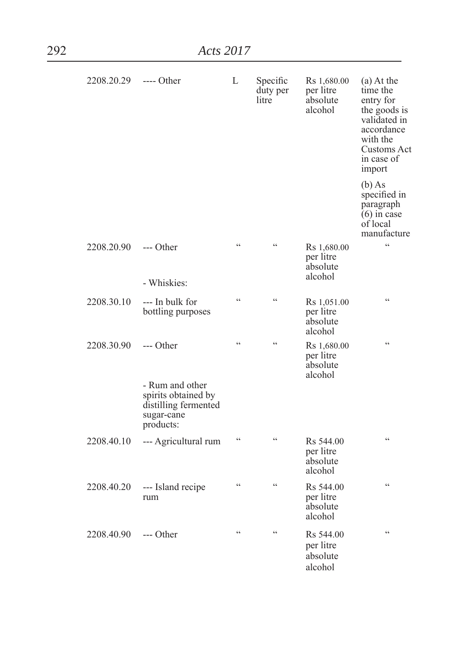| 292 |            | Acts 2017                                                                                 |                 |                               |                                                 |                                                                                                                                        |
|-----|------------|-------------------------------------------------------------------------------------------|-----------------|-------------------------------|-------------------------------------------------|----------------------------------------------------------------------------------------------------------------------------------------|
|     | 2208.20.29 | ---- Other                                                                                | L               | Specific<br>duty per<br>litre | Rs 1,680.00<br>per litre<br>absolute<br>alcohol | $(a)$ At the<br>time the<br>entry for<br>the goods is<br>validated in<br>accordance<br>with the<br>Customs Act<br>in case of<br>import |
|     |            |                                                                                           |                 |                               |                                                 | $(b)$ As<br>specified in<br>paragraph<br>$(6)$ in case<br>of local<br>manufacture                                                      |
|     | 2208.20.90 | --- Other<br>- Whiskies:                                                                  | $\zeta$ $\zeta$ | $\zeta$ $\zeta$               | Rs 1,680.00<br>per litre<br>absolute<br>alcohol | $\zeta$ $\zeta$                                                                                                                        |
|     | 2208.30.10 | --- In bulk for<br>bottling purposes                                                      | $\epsilon$      | $\zeta$ $\zeta$               | Rs 1,051.00<br>per litre<br>absolute<br>alcohol | C                                                                                                                                      |
|     | 2208.30.90 | --- Other<br>- Rum and other<br>spirits obtained by<br>distilling fermented<br>sugar-cane | $\zeta$ $\zeta$ | $\zeta$ $\zeta$               | Rs 1,680.00<br>per litre<br>absolute<br>alcohol | $\zeta$ $\zeta$                                                                                                                        |
|     | 2208.40.10 | products:<br>--- Agricultural rum                                                         | $\zeta$ $\zeta$ | $\zeta$ $\zeta$               | Rs 544.00<br>per litre<br>absolute<br>alcohol   | C                                                                                                                                      |
|     |            | 2208.40.20 --- Island recipe<br>rum                                                       | $\zeta$ $\zeta$ | $\zeta$ $\zeta$               | Rs 544.00<br>per litre<br>absolute<br>alcohol   | C                                                                                                                                      |
|     | 2208.40.90 | --- Other                                                                                 | $\zeta$ $\zeta$ | $\zeta$ $\zeta$               | Rs 544.00<br>per litre<br>absolute<br>alcohol   | $\zeta$ $\zeta$                                                                                                                        |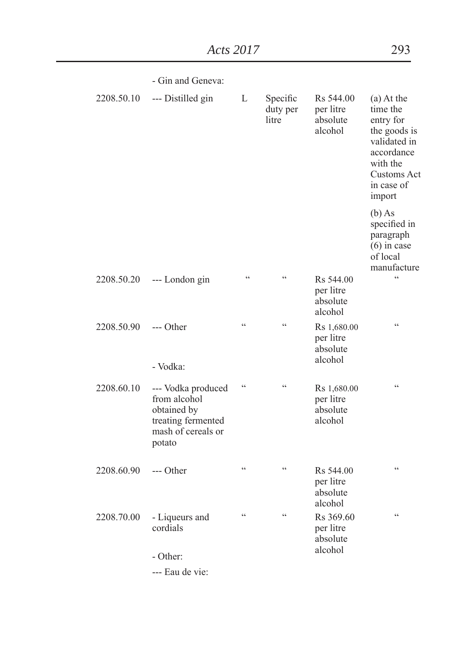|            | - Gin and Geneva:                                                                                       |                 |                               |                                                 |                                                                                                                                        |
|------------|---------------------------------------------------------------------------------------------------------|-----------------|-------------------------------|-------------------------------------------------|----------------------------------------------------------------------------------------------------------------------------------------|
| 2208.50.10 | --- Distilled gin                                                                                       | L               | Specific<br>duty per<br>litre | Rs 544.00<br>per litre<br>absolute<br>alcohol   | $(a)$ At the<br>time the<br>entry for<br>the goods is<br>validated in<br>accordance<br>with the<br>Customs Act<br>in case of<br>import |
|            |                                                                                                         |                 |                               |                                                 | $(b)$ As<br>specified in<br>paragraph<br>$(6)$ in case<br>of local<br>manufacture                                                      |
| 2208.50.20 | --- London gin                                                                                          | $\zeta\,\zeta$  | $\epsilon$                    | Rs 544.00<br>per litre<br>absolute<br>alcohol   | $\zeta\,\zeta$                                                                                                                         |
| 2208.50.90 | $---$ Other<br>- Vodka:                                                                                 | $\zeta \zeta$   | $\zeta\,\zeta$                | Rs 1,680.00<br>per litre<br>absolute<br>alcohol | $\zeta\,\zeta$                                                                                                                         |
| 2208.60.10 | --- Vodka produced<br>from alcohol<br>obtained by<br>treating fermented<br>mash of cereals or<br>potato | $\zeta$ $\zeta$ | $\epsilon$                    | Rs 1,680.00<br>per litre<br>absolute<br>alcohol | $\epsilon$                                                                                                                             |
| 2208.60.90 | $---$ Other                                                                                             | $\zeta \zeta$   | $\epsilon$                    | Rs 544.00<br>per litre<br>absolute<br>alcohol   | $\zeta\,\zeta$                                                                                                                         |
| 2208.70.00 | - Liqueurs and<br>cordials<br>- Other:                                                                  | $\epsilon$      | $\epsilon$                    | Rs 369.60<br>per litre<br>absolute<br>alcohol   | $\zeta\,\zeta$                                                                                                                         |

--- Eau de vie: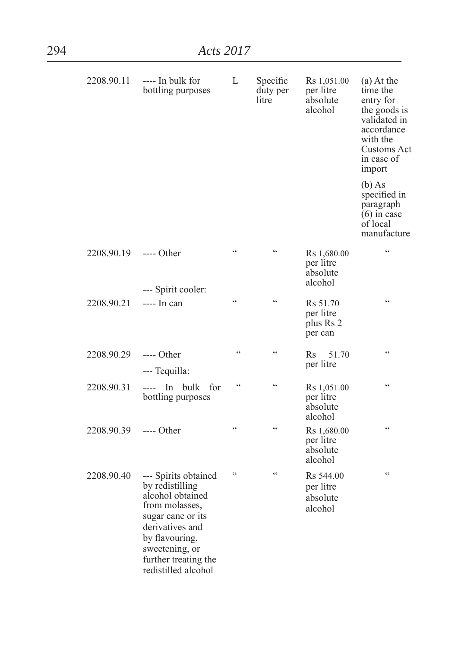| 2208.90.11 | ---- In bulk for<br>bottling purposes                                                                                                                                                                    | L               | Specific<br>duty per<br>litre | Rs 1,051.00<br>per litre<br>absolute<br>alcohol           | $(a)$ At the<br>time the<br>entry for<br>the goods is<br>validated in<br>accordance<br>with the<br>Customs Act<br>in case of<br>import |
|------------|----------------------------------------------------------------------------------------------------------------------------------------------------------------------------------------------------------|-----------------|-------------------------------|-----------------------------------------------------------|----------------------------------------------------------------------------------------------------------------------------------------|
|            |                                                                                                                                                                                                          |                 |                               |                                                           | $(b)$ As<br>specified in<br>paragraph<br>$(6)$ in case<br>of local<br>manufacture                                                      |
| 2208.90.19 | $---$ Other<br>--- Spirit cooler:                                                                                                                                                                        | $\epsilon$      | $\epsilon$                    | Rs 1,680.00<br>per litre<br>absolute<br>alcohol           | $\epsilon$                                                                                                                             |
| 2208.90.21 | $--- In can$                                                                                                                                                                                             | $\zeta$ $\zeta$ | $\epsilon$                    | Rs 51.70<br>per litre<br>plus Rs 2<br>per can             | $\epsilon$                                                                                                                             |
| 2208.90.29 | $---$ Other<br>--- Tequilla:                                                                                                                                                                             | $\zeta$ $\zeta$ | $\zeta$ $\zeta$               | Rs<br>51.70<br>per litre                                  | ۷Ć.                                                                                                                                    |
| 2208.90.31 | ---- In bulk<br>for<br>bottling purposes                                                                                                                                                                 | $\epsilon$      | $\epsilon$                    | Rs 1,051.00<br>per litre<br>absolute<br>alcohol           | ۷Ć.                                                                                                                                    |
| 2208.90.39 | $---$ Other                                                                                                                                                                                              | $\epsilon$      | $\overline{\mathcal{L}}$      | Rs 1,680.00<br>per litre<br>absolute<br>alcohol           | ۷Ć                                                                                                                                     |
| 2208.90.40 | --- Spirits obtained<br>by redistilling<br>alcohol obtained<br>from molasses,<br>sugar cane or its<br>derivatives and<br>by flavouring,<br>sweetening, or<br>further treating the<br>redistilled alcohol | $\zeta$ $\zeta$ | $\epsilon$                    | R <sub>s</sub> 544.00<br>per litre<br>absolute<br>alcohol | $\epsilon$                                                                                                                             |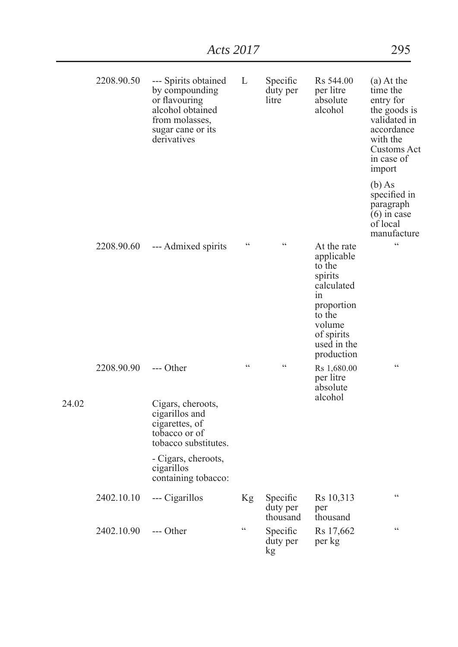|       | 2208.90.50 | --- Spirits obtained<br>by compounding<br>or flavouring<br>alcohol obtained<br>from molasses,<br>sugar cane or its<br>derivatives | L               | Specific<br>duty per<br>litre    | Rs 544.00<br>per litre<br>absolute<br>alcohol                                                                                                   | (a) At the<br>time the<br>entry for<br>the goods is<br>validated in<br>accordance<br>with the<br>Customs Act<br>in case of<br>import |
|-------|------------|-----------------------------------------------------------------------------------------------------------------------------------|-----------------|----------------------------------|-------------------------------------------------------------------------------------------------------------------------------------------------|--------------------------------------------------------------------------------------------------------------------------------------|
|       |            |                                                                                                                                   |                 |                                  |                                                                                                                                                 | $(b)$ As<br>specified in<br>paragraph<br>$(6)$ in case<br>of local<br>manufacture                                                    |
|       | 2208.90.60 | --- Admixed spirits                                                                                                               | $\epsilon$      | $\epsilon$                       | At the rate<br>applicable<br>to the<br>spirits<br>calculated<br>1n<br>proportion<br>to the<br>volume<br>of spirits<br>used in the<br>production | $\epsilon$                                                                                                                           |
| 24.02 | 2208.90.90 | $---$ Other<br>Cigars, cheroots,<br>cigarillos and<br>cigarettes, of<br>tobacco or of<br>tobacco substitutes.                     | $\epsilon$      | $\epsilon$                       | Rs 1,680.00<br>per litre<br>absolute<br>alcohol                                                                                                 | $\epsilon$                                                                                                                           |
|       |            | - Cigars, cheroots,<br>cigarillos<br>containing tobacco:                                                                          |                 |                                  |                                                                                                                                                 |                                                                                                                                      |
|       | 2402.10.10 | --- Cigarillos                                                                                                                    | Kg              | Specific<br>duty per<br>thousand | Rs 10,313<br>per<br>thousand                                                                                                                    | $\epsilon$                                                                                                                           |
|       | 2402.10.90 | --- Other                                                                                                                         | $\zeta$ $\zeta$ | Specific<br>duty per<br>kg       | Rs 17,662<br>per kg                                                                                                                             | $\zeta\,\zeta$                                                                                                                       |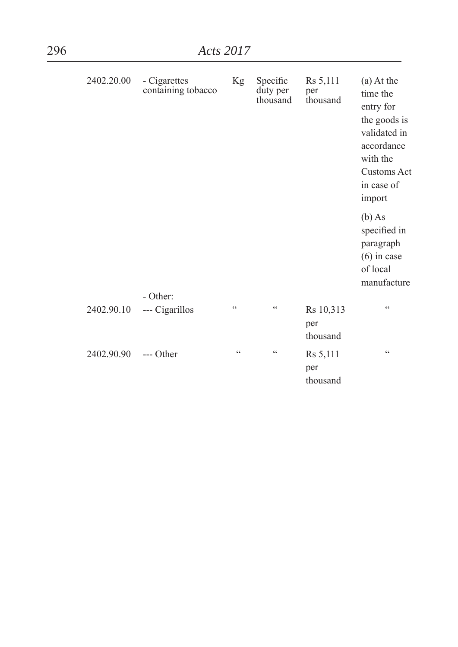| 2402.20.00 | - Cigarettes<br>containing tobacco | Kg                | Specific<br>duty per<br>thousand | Rs 5,111<br>per<br>thousand  | (a) At the<br>time the<br>entry for<br>the goods is<br>validated in<br>accordance<br>with the<br><b>Customs Act</b><br>in case of<br>import |
|------------|------------------------------------|-------------------|----------------------------------|------------------------------|---------------------------------------------------------------------------------------------------------------------------------------------|
|            |                                    |                   |                                  |                              | $(b)$ As<br>specified in<br>paragraph<br>$(6)$ in case<br>of local<br>manufacture                                                           |
|            | - Other:                           |                   |                                  |                              |                                                                                                                                             |
| 2402.90.10 | --- Cigarillos                     | C                 | C                                | Rs 10,313<br>per<br>thousand | C                                                                                                                                           |
| 2402.90.90 | $---$ Other                        | $\subset \subset$ | $\zeta$ $\zeta$                  | Rs 5,111<br>per<br>thousand  | $\zeta$ $\zeta$                                                                                                                             |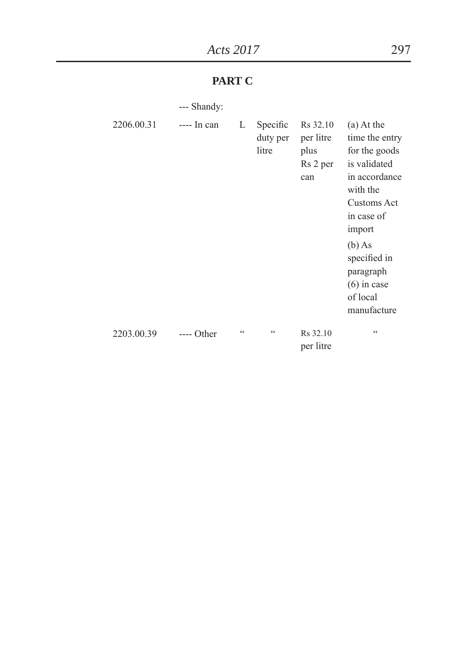## **PART C**

| --- Shandy: |
|-------------|
|-------------|

| 2206.00.31 | $--- In can$ | L                 | Specific<br>duty per<br>litre | R <sub>s</sub> 32.10<br>per litre<br>plus<br>Rs 2 per<br>can | (a) At the<br>time the entry<br>for the goods<br>is validated<br>in accordance<br>with the<br>Customs Act<br>in case of<br>import<br>$(b)$ As<br>specified in<br>paragraph<br>$(6)$ in case<br>of local<br>manufacture |
|------------|--------------|-------------------|-------------------------------|--------------------------------------------------------------|------------------------------------------------------------------------------------------------------------------------------------------------------------------------------------------------------------------------|
| 2203.00.39 | $---$ Other  | $\subset \subset$ | $\subset \subset$             | Rs 32.10<br>per litre                                        | $\epsilon$                                                                                                                                                                                                             |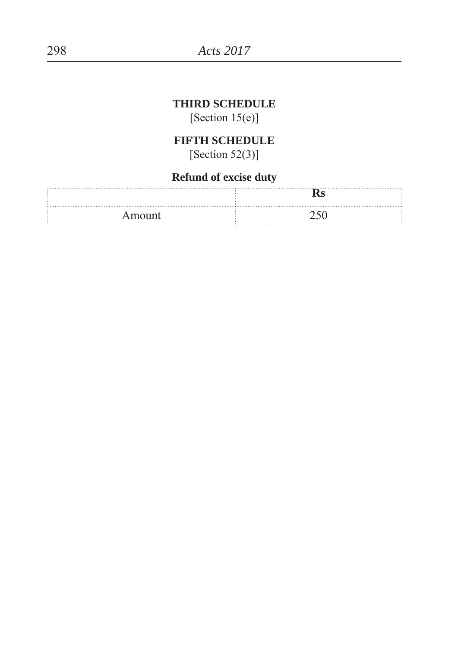## **THIRD SCHEDULE**

[Section  $15(e)$ ]

## **FIFTH SCHEDULE**

 $[Section 52(3)]$ 

## **Refund of excise duty**

| Amount |  |
|--------|--|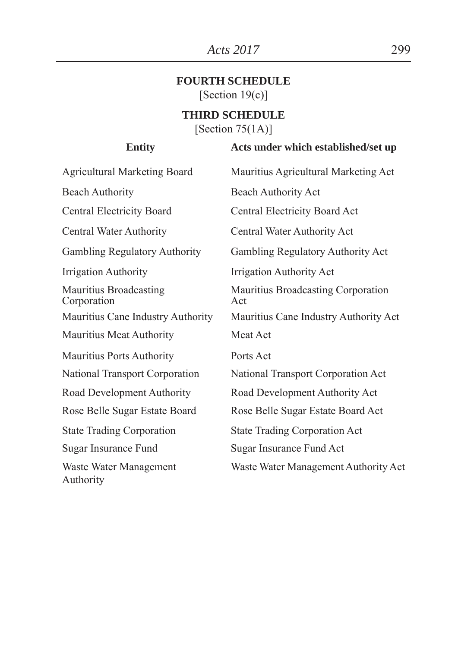#### **FOURTH SCHEDULE** [Section  $19(c)$ ]

#### **THIRD SCHEDULE**

[Section  $75(1A)$ ]

#### **Entity Acts under which established/set up**

Agricultural Marketing Board Mauritius Agricultural Marketing Act Beach Authority Beach Authority Act Central Electricity Board Central Electricity Board Act Central Water Authority Central Water Authority Act Gambling Regulatory Authority Gambling Regulatory Authority Act Irrigation Authority Irrigation Authority Act Mauritius Broadcasting Corporation Mauritius Broadcasting Corporation Act Mauritius Cane Industry Authority Mauritius Cane Industry Authority Act Mauritius Meat Authority Meat Act Mauritius Ports Authority Ports Act National Transport Corporation National Transport Corporation Act Road Development Authority Road Development Authority Act Rose Belle Sugar Estate Board Rose Belle Sugar Estate Board Act State Trading Corporation State Trading Corporation Act Sugar Insurance Fund Sugar Insurance Fund Act Waste Water Management Authority Waste Water Management Authority Act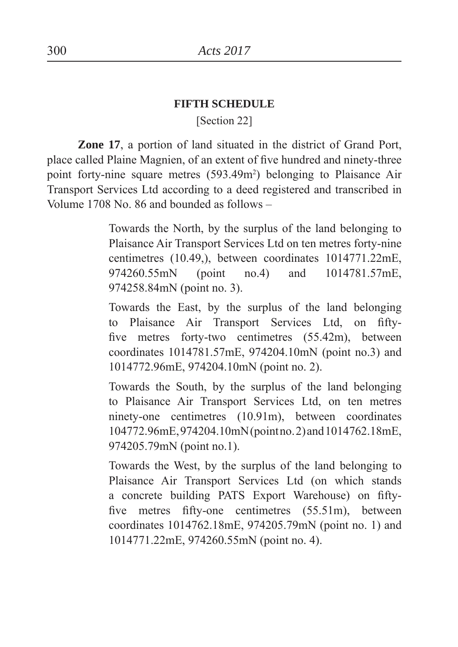#### **FIFTH SCHEDULE**

[Section 22]

 **Zone 17**, a portion of land situated in the district of Grand Port, place called Plaine Magnien, of an extent of five hundred and ninety-three point forty-nine square metres (593.49m<sup>2</sup>) belonging to Plaisance Air Transport Services Ltd according to a deed registered and transcribed in Volume 1708 No. 86 and bounded as follows –

> Towards the North, by the surplus of the land belonging to Plaisance Air Transport Services Ltd on ten metres forty-nine centimetres (10.49,), between coordinates 1014771.22mE, 974260.55mN (point no.4) and 1014781.57mE, 974258.84mN (point no. 3).

> Towards the East, by the surplus of the land belonging to Plaisance Air Transport Services Ltd, on fiftyfive metres forty-two centimetres  $(55.42m)$ , between coordinates 1014781.57mE, 974204.10mN (point no.3) and 1014772.96mE, 974204.10mN (point no. 2).

> Towards the South, by the surplus of the land belonging to Plaisance Air Transport Services Ltd, on ten metres ninety-one centimetres (10.91m), between coordinates 104772.96mE, 974204.10mN (point no. 2) and 1014762.18mE, 974205.79mN (point no.1).

> Towards the West, by the surplus of the land belonging to Plaisance Air Transport Services Ltd (on which stands a concrete building PATS Export Warehouse) on fiftyfive metres fifty-one centimetres  $(55.51m)$ , between coordinates 1014762.18mE, 974205.79mN (point no. 1) and 1014771.22mE, 974260.55mN (point no. 4).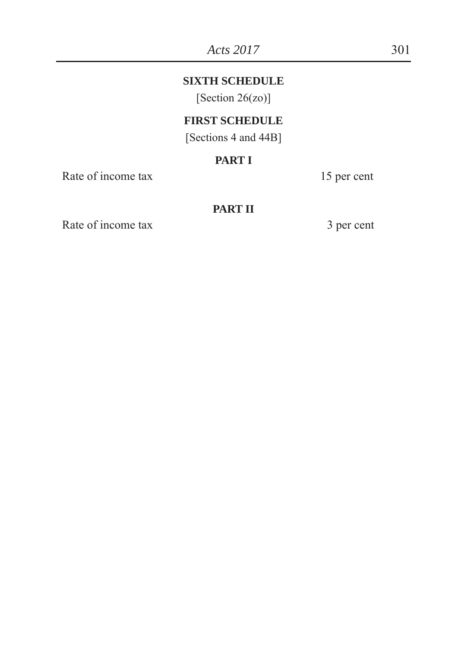## **SIXTH SCHEDULE**

[Section 26(zo)]

## **FIRST SCHEDULE**

[Sections 4 and 44B]

## **PART I**

Rate of income tax 15 per cent

## **PART II**

Rate of income tax 3 per cent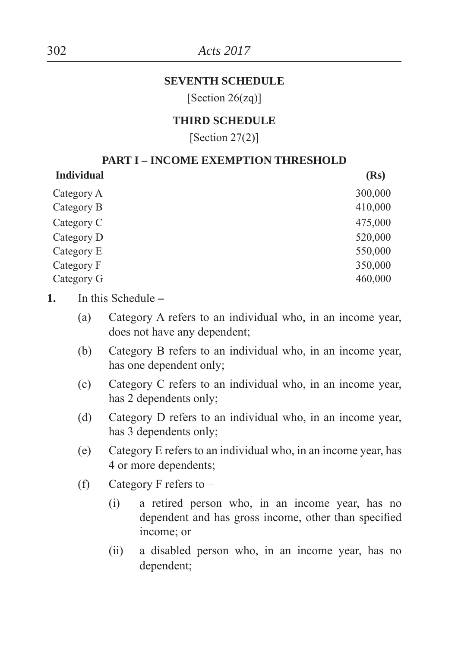#### **SEVENTH SCHEDULE**

[Section 26(zq)]

#### **THIRD SCHEDULE**

[Section  $27(2)$ ]

#### **PART I – INCOME EXEMPTION THRESHOLD**

| <b>Individual</b> | (Rs)    |
|-------------------|---------|
| Category A        | 300,000 |
| Category B        | 410,000 |
| Category C        | 475,000 |
| Category D        | 520,000 |
| Category E        | 550,000 |
| Category F        | 350,000 |
| Category G        | 460,000 |
|                   |         |

- **1.** In this Schedule **–**
	- (a) Category A refers to an individual who, in an income year, does not have any dependent
	- (b) Category B refers to an individual who, in an income year, has one dependent only;
	- (c) Category C refers to an individual who, in an income year, has 2 dependents only;
	- (d) Category D refers to an individual who, in an income year, has 3 dependents only;
	- (e) Category E refers to an individual who, in an income year, has 4 or more dependents
	- (f) Category F refers to  $-$ 
		- (i) a retired person who, in an income year, has no dependent and has gross income, other than specified income; or
		- (ii) a disabled person who, in an income year, has no dependent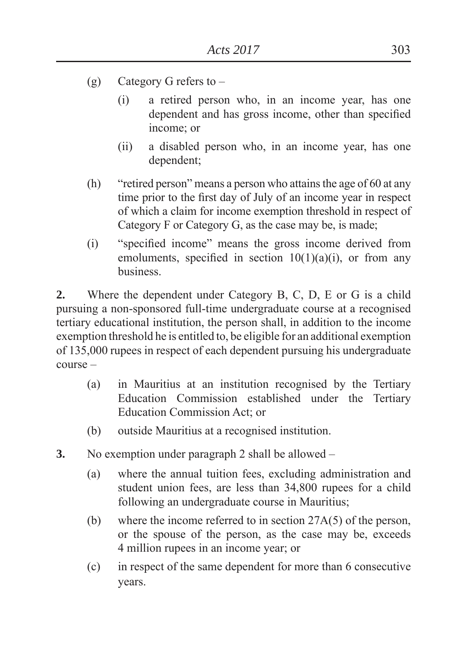- (g) Category G refers to
	- (i) a retired person who, in an income year, has one dependent and has gross income, other than specified income; or
	- (ii) a disabled person who, in an income year, has one dependent
- (h) "retired person" means a person who attains the age of 60 at any time prior to the first day of July of an income year in respect of which a claim for income exemption threshold in respect of Category F or Category G, as the case may be, is made
- (i) "specified income" means the gross income derived from emoluments, specified in section  $10(1)(a)(i)$ , or from any business.

**2.** Where the dependent under Category B, C, D, E or G is a child pursuing a non-sponsored full-time undergraduate course at a recognised tertiary educational institution, the person shall, in addition to the income exemption threshold he is entitled to, be eligible for an additional exemption of 135,000 rupees in respect of each dependent pursuing his undergraduate course –

- (a) in Mauritius at an institution recognised by the Tertiary Education Commission established under the Tertiary Education Commission Act; or
- (b) outside Mauritius at a recognised institution.
- **3.** No exemption under paragraph 2 shall be allowed
	- (a) where the annual tuition fees, excluding administration and student union fees, are less than 34,800 rupees for a child following an undergraduate course in Mauritius
	- (b) where the income referred to in section 27A(5) of the person, or the spouse of the person, as the case may be, exceeds 4 million rupees in an income year; or
	- (c) in respect of the same dependent for more than 6 consecutive years.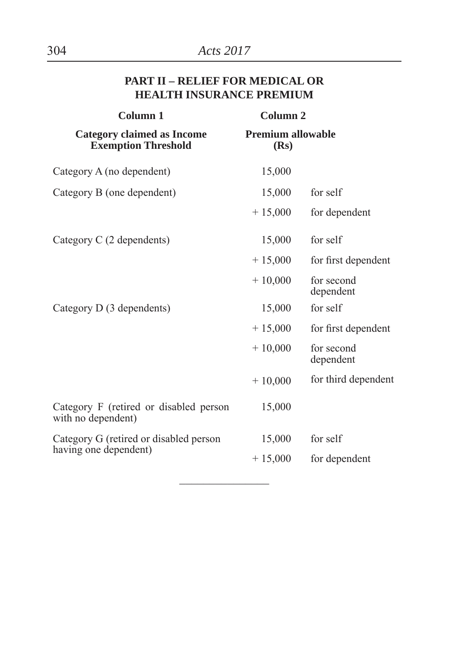## **PART II – RELIEF FOR MEDICAL OR HEALTH INSURANCE PREMIUM**

| <b>Column 1</b>                                                 | <b>Column 2</b>                  |                         |
|-----------------------------------------------------------------|----------------------------------|-------------------------|
| <b>Category claimed as Income</b><br><b>Exemption Threshold</b> | <b>Premium allowable</b><br>(Rs) |                         |
| Category A (no dependent)                                       | 15,000                           |                         |
| Category B (one dependent)                                      | 15,000                           | for self                |
|                                                                 | $+15,000$                        | for dependent           |
| Category C (2 dependents)                                       | 15,000                           | for self                |
|                                                                 | $+15,000$                        | for first dependent     |
|                                                                 | $+10,000$                        | for second<br>dependent |
| Category D (3 dependents)                                       | 15,000                           | for self                |
|                                                                 | $+15,000$                        | for first dependent     |
|                                                                 | $+10,000$                        | for second<br>dependent |
|                                                                 | $+10,000$                        | for third dependent     |
| Category F (retired or disabled person<br>with no dependent)    | 15,000                           |                         |
| Category G (retired or disabled person                          | 15,000                           | for self                |
| having one dependent)                                           | $+15,000$                        | for dependent           |
|                                                                 |                                  |                         |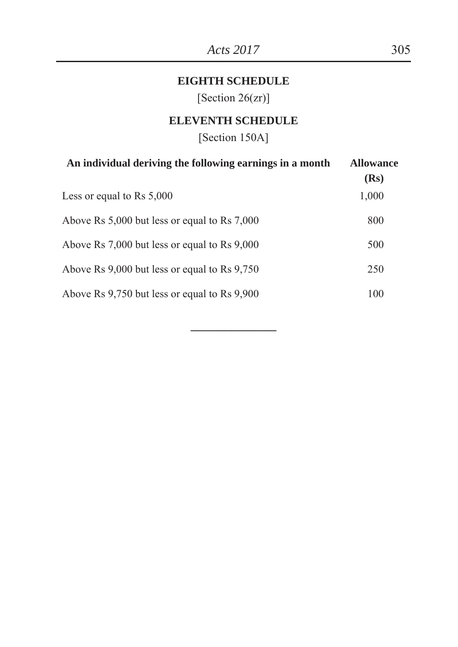## **EIGHTH SCHEDULE**

[Section 26(zr)]

## **ELEVENTH SCHEDULE**

[Section 150A]

| An individual deriving the following earnings in a month | <b>Allowance</b><br>(Rs) |
|----------------------------------------------------------|--------------------------|
| Less or equal to Rs $5,000$                              | 1,000                    |
| Above Rs 5,000 but less or equal to Rs 7,000             | 800                      |
| Above Rs 7,000 but less or equal to Rs 9,000             | 500                      |
| Above Rs 9,000 but less or equal to Rs 9,750             | 250                      |
| Above Rs 9,750 but less or equal to Rs 9,900             | 100                      |

**\_\_\_\_\_\_\_\_\_\_\_\_\_\_\_**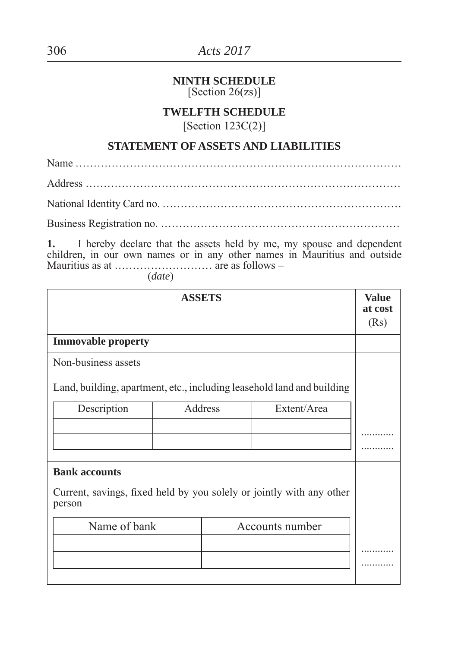#### **NINTH SCHEDULE** [Section 26(zs)]

## **TWELFTH SCHEDULE**

[Section 123C(2)]

## **STATEMENT OF ASSETS AND LIABILITIES**

Name ……………………………………………………………………………… Address …………………………………………………………………………… National Identity Card no. …………………………………………………………

Business Registration no. …………………………………………………………

**1.** I hereby declare that the assets held by me, my spouse and dependent children, in our own names or in any other names in Mauritius and outside Mauritius as at ……………………… are as follows –

(*date*)

|                                                                                | <b>ASSETS</b> |         |             | <b>Value</b><br>at cost<br>(Rs) |  |  |
|--------------------------------------------------------------------------------|---------------|---------|-------------|---------------------------------|--|--|
| <b>Immovable property</b>                                                      |               |         |             |                                 |  |  |
| Non-business assets                                                            |               |         |             |                                 |  |  |
| Land, building, apartment, etc., including leasehold land and building         |               |         |             |                                 |  |  |
| Description                                                                    |               | Address | Extent/Area |                                 |  |  |
|                                                                                |               |         |             |                                 |  |  |
|                                                                                |               |         |             |                                 |  |  |
|                                                                                |               |         |             |                                 |  |  |
| <b>Bank accounts</b>                                                           |               |         |             |                                 |  |  |
| Current, savings, fixed held by you solely or jointly with any other<br>person |               |         |             |                                 |  |  |
| Name of bank<br>Accounts number                                                |               |         |             |                                 |  |  |
|                                                                                |               |         |             |                                 |  |  |
|                                                                                |               |         |             |                                 |  |  |
|                                                                                |               |         |             |                                 |  |  |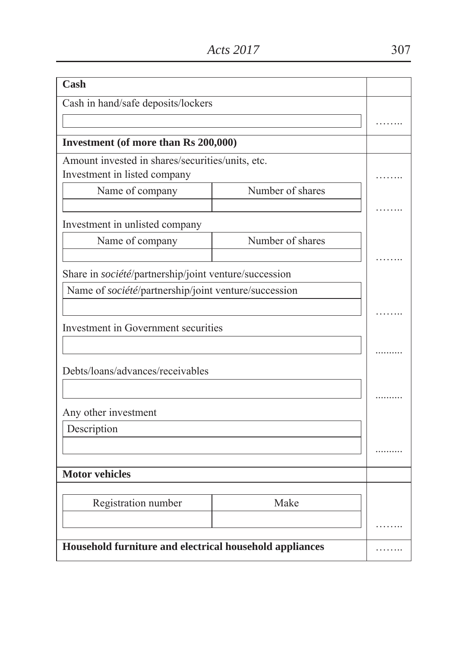| Cash                                                    |                  |  |  |  |
|---------------------------------------------------------|------------------|--|--|--|
| Cash in hand/safe deposits/lockers                      |                  |  |  |  |
|                                                         |                  |  |  |  |
| Investment (of more than Rs 200,000)                    |                  |  |  |  |
| Amount invested in shares/securities/units, etc.        |                  |  |  |  |
| Investment in listed company                            |                  |  |  |  |
| Name of company                                         | Number of shares |  |  |  |
|                                                         |                  |  |  |  |
| Investment in unlisted company                          |                  |  |  |  |
| Name of company                                         | Number of shares |  |  |  |
|                                                         |                  |  |  |  |
| Share in société/partnership/joint venture/succession   |                  |  |  |  |
| Name of société/partnership/joint venture/succession    |                  |  |  |  |
|                                                         |                  |  |  |  |
| Investment in Government securities                     |                  |  |  |  |
|                                                         |                  |  |  |  |
|                                                         |                  |  |  |  |
| Debts/loans/advances/receivables                        |                  |  |  |  |
|                                                         |                  |  |  |  |
| Any other investment                                    |                  |  |  |  |
| Description                                             |                  |  |  |  |
|                                                         |                  |  |  |  |
|                                                         |                  |  |  |  |
| <b>Motor vehicles</b>                                   |                  |  |  |  |
|                                                         |                  |  |  |  |
| Registration number                                     | Make             |  |  |  |
|                                                         |                  |  |  |  |
| Household furniture and electrical household appliances |                  |  |  |  |
|                                                         |                  |  |  |  |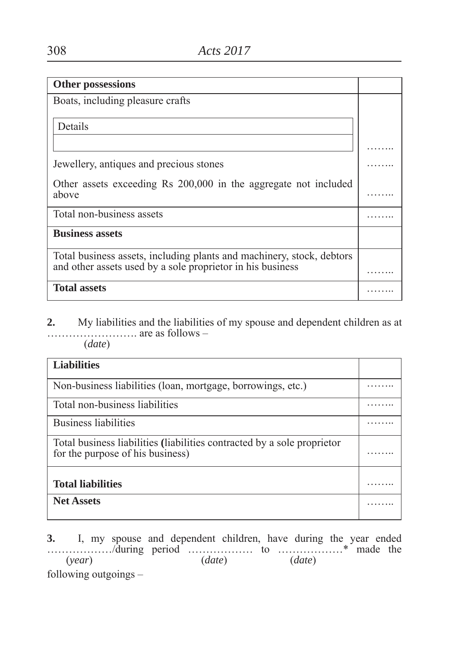| <b>Other possessions</b>                                              |  |
|-----------------------------------------------------------------------|--|
| Boats, including pleasure crafts                                      |  |
|                                                                       |  |
| Details                                                               |  |
|                                                                       |  |
|                                                                       |  |
| Jewellery, antiques and precious stones                               |  |
| Other assets exceeding Rs 200,000 in the aggregate not included       |  |
| above                                                                 |  |
| Total non-business assets                                             |  |
| <b>Business assets</b>                                                |  |
| Total business assets, including plants and machinery, stock, debtors |  |
| and other assets used by a sole proprietor in his business            |  |
| <b>Total assets</b>                                                   |  |

**2.** My liabilities and the liabilities of my spouse and dependent children as at ……………………. are as follows – (*date*)

| <b>Liabilities</b>                                                                                          |  |
|-------------------------------------------------------------------------------------------------------------|--|
| Non-business liabilities (loan, mortgage, borrowings, etc.)                                                 |  |
| Total non-business liabilities                                                                              |  |
| <b>Business liabilities</b>                                                                                 |  |
| Total business liabilities (liabilities contracted by a sole proprietor<br>for the purpose of his business) |  |
| <b>Total liabilities</b>                                                                                    |  |
| <b>Net Assets</b>                                                                                           |  |
|                                                                                                             |  |

**3.** I, my spouse and dependent children, have during the year ended ………………/during period ……………… to ………………\* made the (*year*) (*date*) (*date*) following outgoings –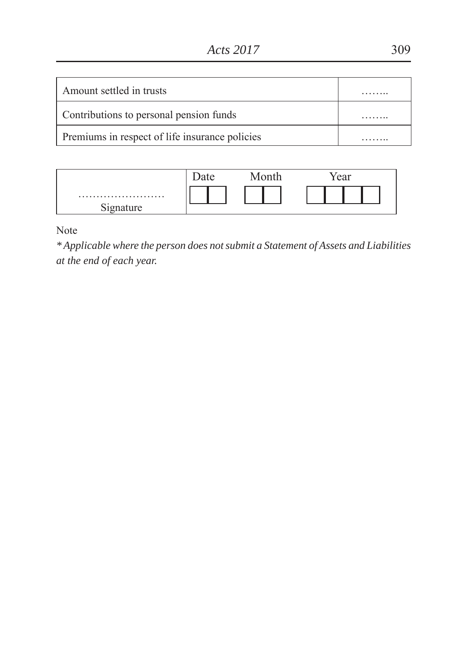| Amount settled in trusts                       |  |
|------------------------------------------------|--|
| Contributions to personal pension funds        |  |
| Premiums in respect of life insurance policies |  |

|                     | $\sim$ $\sim$ | $0.1$ $e$<br><b>vui</b> |
|---------------------|---------------|-------------------------|
| $\sim$<br>Signature |               |                         |

Note

*\* Applicable where the person does not submit a Statement of Assets and Liabilities at the end of each year.*